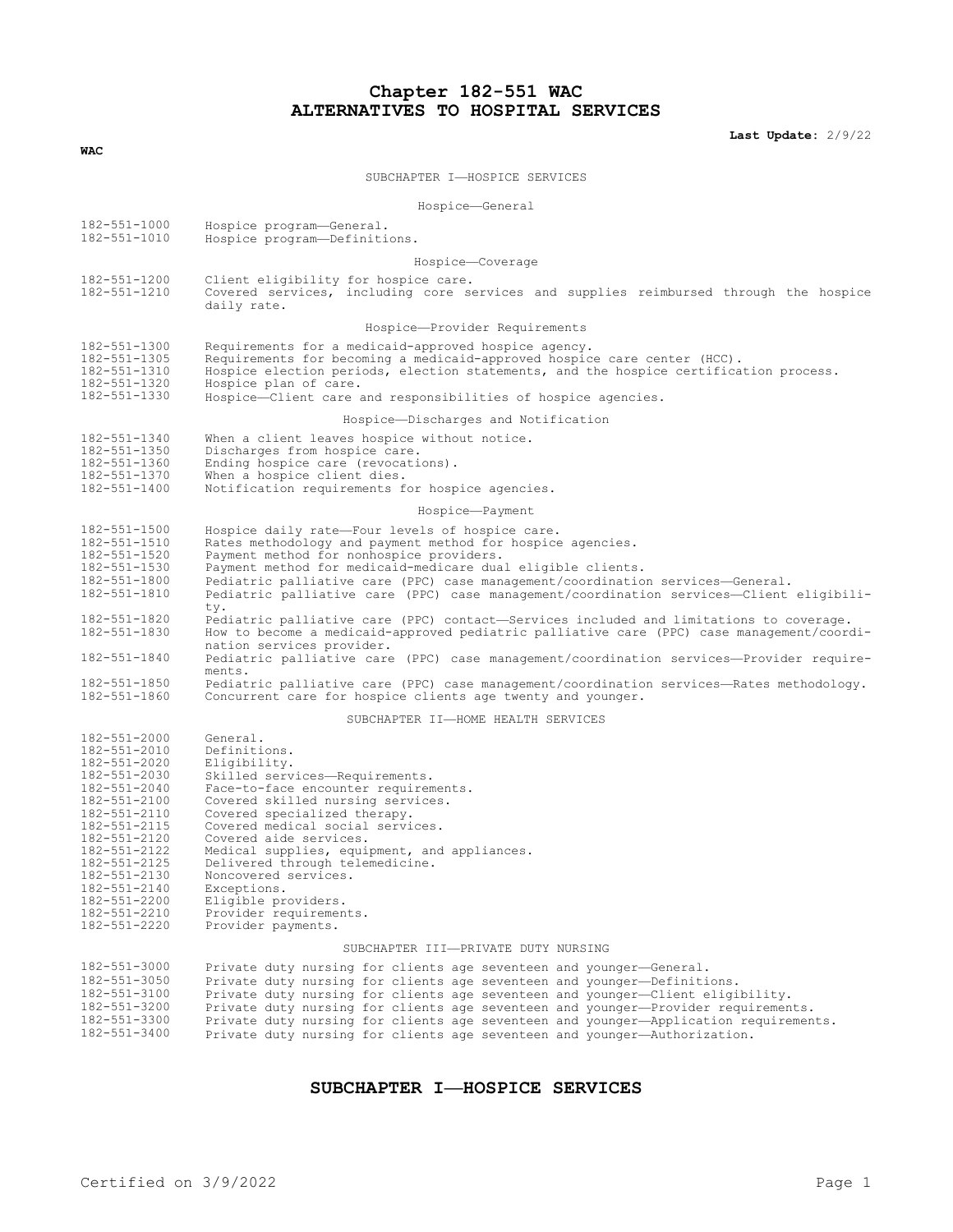# **Chapter 182-551 WAC ALTERNATIVES TO HOSPITAL SERVICES**

**Last Update:** 2/9/22

| WAC                                                                                                                                                                                                                                                          |                                                                                                                                                                                                                                                                                                                                                                                                                                                        |
|--------------------------------------------------------------------------------------------------------------------------------------------------------------------------------------------------------------------------------------------------------------|--------------------------------------------------------------------------------------------------------------------------------------------------------------------------------------------------------------------------------------------------------------------------------------------------------------------------------------------------------------------------------------------------------------------------------------------------------|
|                                                                                                                                                                                                                                                              | SUBCHAPTER I-HOSPICE SERVICES                                                                                                                                                                                                                                                                                                                                                                                                                          |
| Hospice-General                                                                                                                                                                                                                                              |                                                                                                                                                                                                                                                                                                                                                                                                                                                        |
| $182 - 551 - 1000$                                                                                                                                                                                                                                           | Hospice program-General.                                                                                                                                                                                                                                                                                                                                                                                                                               |
| 182-551-1010                                                                                                                                                                                                                                                 | Hospice program-Definitions.                                                                                                                                                                                                                                                                                                                                                                                                                           |
| Hospice-Coverage                                                                                                                                                                                                                                             |                                                                                                                                                                                                                                                                                                                                                                                                                                                        |
| 182-551-1200<br>182-551-1210                                                                                                                                                                                                                                 | Client eligibility for hospice care.<br>Covered services, including core services and supplies reimbursed through the hospice<br>daily rate.                                                                                                                                                                                                                                                                                                           |
|                                                                                                                                                                                                                                                              | Hospice-Provider Requirements                                                                                                                                                                                                                                                                                                                                                                                                                          |
| 182-551-1300<br>182-551-1305<br>182-551-1310<br>182-551-1320<br>182-551-1330                                                                                                                                                                                 | Requirements for a medicaid-approved hospice agency.<br>Requirements for becoming a medicaid-approved hospice care center (HCC).<br>Hospice election periods, election statements, and the hospice certification process.<br>Hospice plan of care.<br>Hospice-Client care and responsibilities of hospice agencies.                                                                                                                                    |
|                                                                                                                                                                                                                                                              | Hospice-Discharges and Notification                                                                                                                                                                                                                                                                                                                                                                                                                    |
| 182-551-1340<br>182-551-1350<br>182-551-1360<br>182-551-1370<br>182-551-1400                                                                                                                                                                                 | When a client leaves hospice without notice.<br>Discharges from hospice care.<br>Ending hospice care (revocations).<br>When a hospice client dies.<br>Notification requirements for hospice agencies.                                                                                                                                                                                                                                                  |
| Hospice-Payment                                                                                                                                                                                                                                              |                                                                                                                                                                                                                                                                                                                                                                                                                                                        |
| 182-551-1500<br>182-551-1510<br>182-551-1520<br>182-551-1530<br>182-551-1800<br>182-551-1810                                                                                                                                                                 | Hospice daily rate-Four levels of hospice care.<br>Rates methodology and payment method for hospice agencies.<br>Payment method for nonhospice providers.<br>Payment method for medicaid-medicare dual eligible clients.<br>Pediatric palliative care (PPC) case management/coordination services-General.<br>Pediatric palliative care (PPC) case management/coordination services-Client eligibili-                                                  |
| 182-551-1820<br>182-551-1830<br>182-551-1840                                                                                                                                                                                                                 | ty.<br>Pediatric palliative care (PPC) contact—Services included and limitations to coverage.<br>How to become a medicaid-approved pediatric palliative care (PPC) case management/coordi-<br>nation services provider.<br>Pediatric palliative care (PPC) case management/coordination services-Provider require-                                                                                                                                     |
| 182-551-1850<br>182-551-1860                                                                                                                                                                                                                                 | ments.<br>Pediatric palliative care (PPC) case management/coordination services—Rates methodology.<br>Concurrent care for hospice clients age twenty and younger.                                                                                                                                                                                                                                                                                      |
| SUBCHAPTER II-HOME HEALTH SERVICES                                                                                                                                                                                                                           |                                                                                                                                                                                                                                                                                                                                                                                                                                                        |
| 182-551-2000<br>182-551-2010<br>182-551-2020<br>182-551-2030<br>182-551-2040<br>182-551-2100<br>182-551-2110<br>182-551-2115<br>182-551-2120<br>182-551-2122<br>182-551-2125<br>182-551-2130<br>182-551-2140<br>182-551-2200<br>182-551-2210<br>182-551-2220 | General.<br>Definitions.<br>Eligibility.<br>Skilled services-Requirements.<br>Face-to-face encounter requirements.<br>Covered skilled nursing services.<br>Covered specialized therapy.<br>Covered medical social services.<br>Covered aide services.<br>Medical supplies, equipment, and appliances.<br>Delivered through telemedicine.<br>Noncovered services.<br>Exceptions.<br>Eligible providers.<br>Provider requirements.<br>Provider payments. |
| SUBCHAPTER III-PRIVATE DUTY NURSING                                                                                                                                                                                                                          |                                                                                                                                                                                                                                                                                                                                                                                                                                                        |
| 182-551-3000<br>182-551-3050<br>182-551-3100<br>182-551-3200<br>182-551-3300                                                                                                                                                                                 | Private duty nursing for clients age seventeen and younger-General.<br>Private duty nursing for clients age seventeen and younger-Definitions.<br>Private duty nursing for clients age seventeen and younger-Client eligibility.<br>Private duty nursing for clients age seventeen and younger-Provider requirements.<br>Private duty nursing for clients age seventeen and younger-Application requirements.                                          |

### **SUBCHAPTER I—HOSPICE SERVICES**

182-551-3400 Private duty nursing for clients age seventeen and younger—Authorization.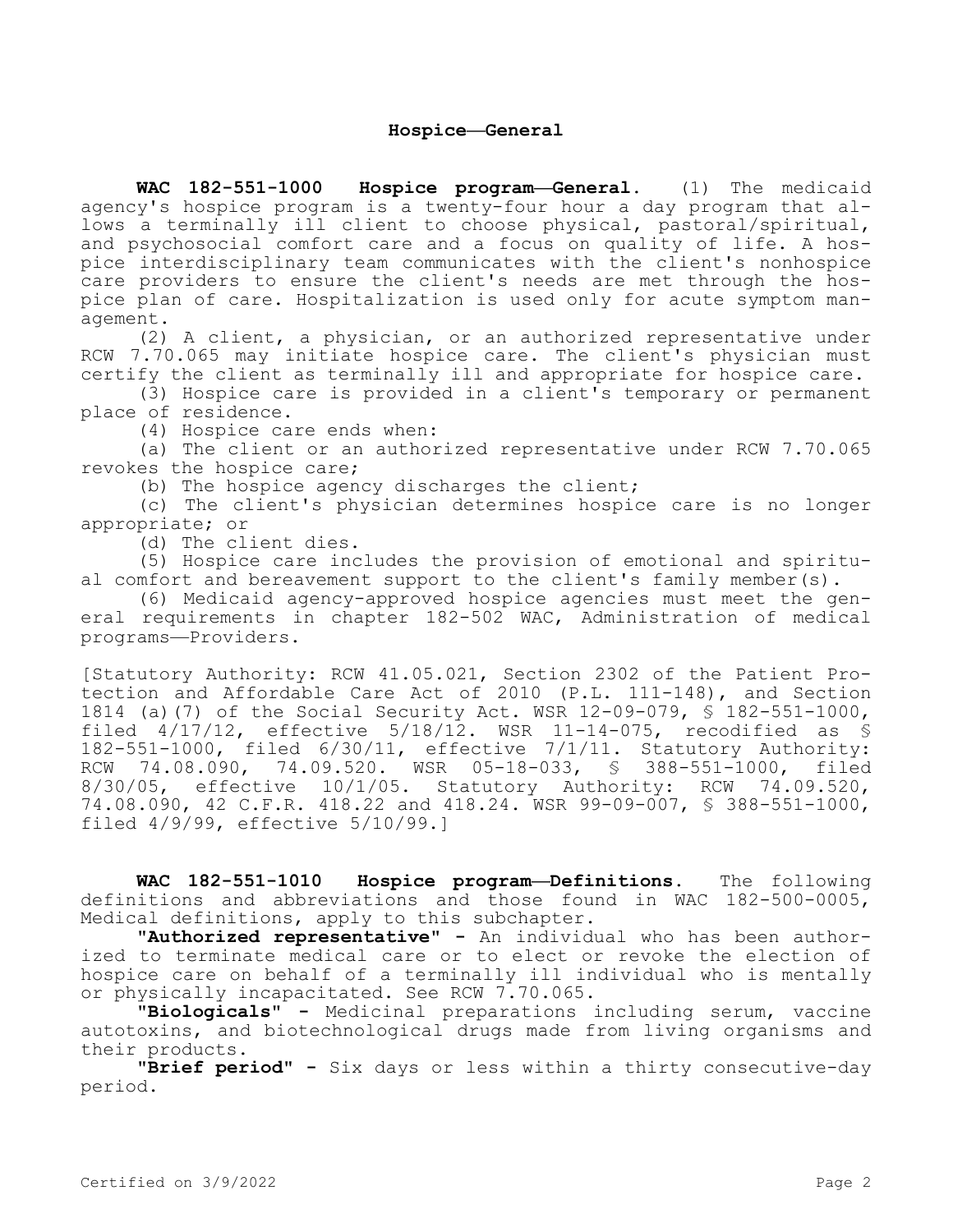**WAC 182-551-1000 Hospice program—General.** (1) The medicaid agency's hospice program is a twenty-four hour a day program that allows a terminally ill client to choose physical, pastoral/spiritual, and psychosocial comfort care and a focus on quality of life. A hospice interdisciplinary team communicates with the client's nonhospice care providers to ensure the client's needs are met through the hospice plan of care. Hospitalization is used only for acute symptom management.

(2) A client, a physician, or an authorized representative under RCW 7.70.065 may initiate hospice care. The client's physician must certify the client as terminally ill and appropriate for hospice care.

(3) Hospice care is provided in a client's temporary or permanent place of residence.

(4) Hospice care ends when:

(a) The client or an authorized representative under RCW 7.70.065 revokes the hospice care;

(b) The hospice agency discharges the client;

(c) The client's physician determines hospice care is no longer appropriate; or

(d) The client dies.

(5) Hospice care includes the provision of emotional and spiritual comfort and bereavement support to the client's family member(s).

(6) Medicaid agency-approved hospice agencies must meet the general requirements in chapter 182-502 WAC, Administration of medical programs—Providers.

[Statutory Authority: RCW 41.05.021, Section 2302 of the Patient Protection and Affordable Care Act of 2010 (P.L. 111-148), and Section 1814 (a)(7) of the Social Security Act. WSR 12-09-079, § 182-551-1000, filed 4/17/12, effective 5/18/12. WSR 11-14-075, recodified as § 182-551-1000, filed 6/30/11, effective 7/1/11. Statutory Authority:<br>RCW 74.08.090, 74.09.520. WSR 05-18-033, § 388-551-1000, filed RCW 74.08.090, 74.09.520. WSR 05-18-033, § 388-551-1000, filed 8/30/05, effective 10/1/05. Statutory Authority: RCW 74.09.520, 74.08.090, 42 C.F.R. 418.22 and 418.24. WSR 99-09-007, § 388-551-1000, filed 4/9/99, effective 5/10/99.]

**WAC 182-551-1010 Hospice program—Definitions.** The following definitions and abbreviations and those found in WAC 182-500-0005, Medical definitions, apply to this subchapter.

**"Authorized representative" -** An individual who has been authorized to terminate medical care or to elect or revoke the election of hospice care on behalf of a terminally ill individual who is mentally or physically incapacitated. See RCW 7.70.065.

**"Biologicals" -** Medicinal preparations including serum, vaccine autotoxins, and biotechnological drugs made from living organisms and their products.

**"Brief period" -** Six days or less within a thirty consecutive-day period.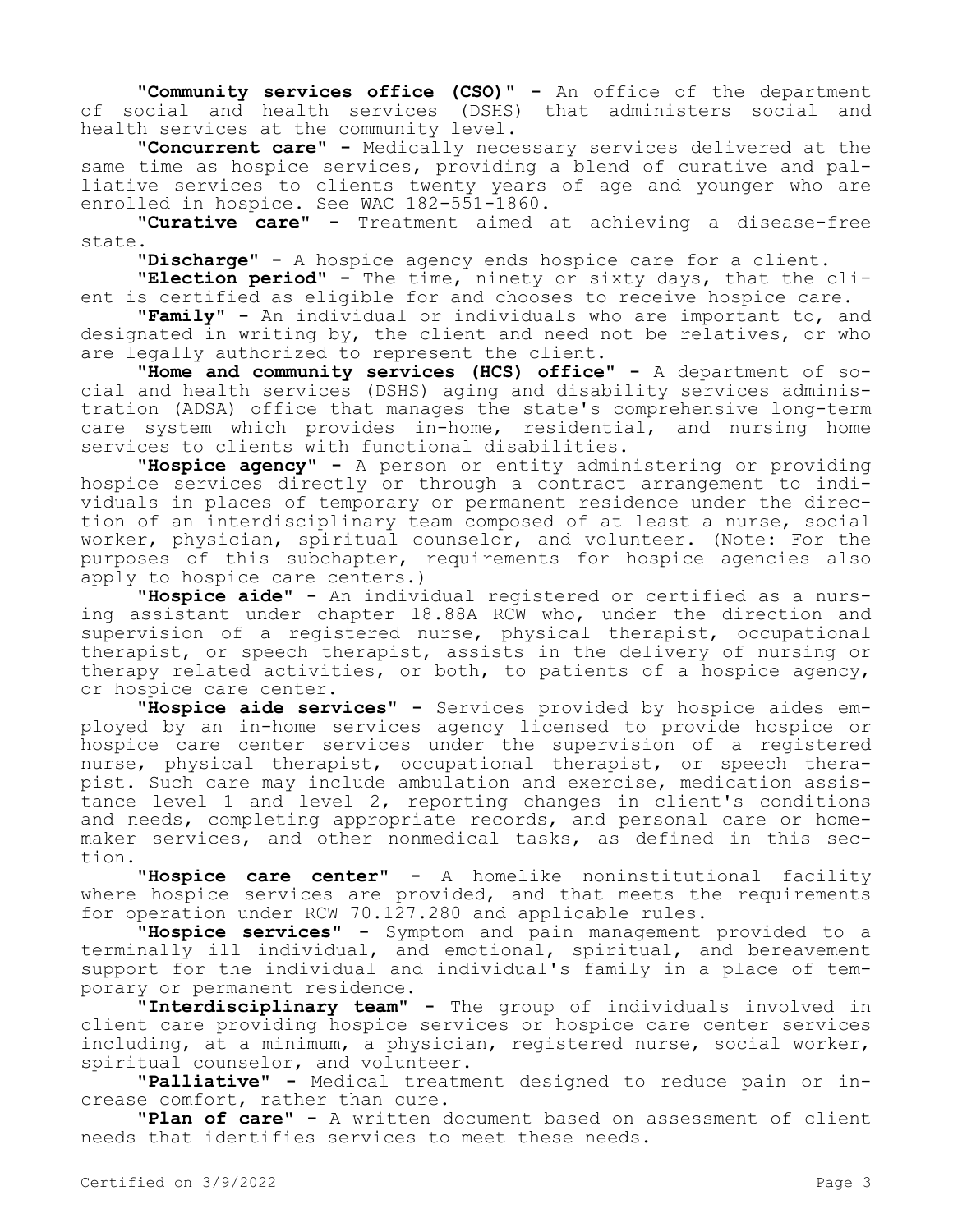**"Community services office (CSO)" -** An office of the department of social and health services (DSHS) that administers social and health services at the community level.

**"Concurrent care" -** Medically necessary services delivered at the same time as hospice services, providing a blend of curative and palliative services to clients twenty years of age and younger who are enrolled in hospice. See WAC 182-551-1860.

"Curative care" - Treatment aimed at achieving a disease-free state.

**"Discharge" -** A hospice agency ends hospice care for a client.

**"Election period" -** The time, ninety or sixty days, that the client is certified as eligible for and chooses to receive hospice care.

**"Family" -** An individual or individuals who are important to, and designated in writing by, the client and need not be relatives, or who are legally authorized to represent the client.

**"Home and community services (HCS) office" -** A department of social and health services (DSHS) aging and disability services administration (ADSA) office that manages the state's comprehensive long-term care system which provides in-home, residential, and nursing home services to clients with functional disabilities.

**"Hospice agency" -** A person or entity administering or providing hospice services directly or through a contract arrangement to individuals in places of temporary or permanent residence under the direction of an interdisciplinary team composed of at least a nurse, social worker, physician, spiritual counselor, and volunteer. (Note: For the purposes of this subchapter, requirements for hospice agencies also apply to hospice care centers.)

**"Hospice aide" -** An individual registered or certified as a nursing assistant under chapter 18.88A RCW who, under the direction and supervision of a registered nurse, physical therapist, occupational therapist, or speech therapist, assists in the delivery of nursing or therapy related activities, or both, to patients of a hospice agency, or hospice care center.

**"Hospice aide services" -** Services provided by hospice aides employed by an in-home services agency licensed to provide hospice or hospice care center services under the supervision of a registered nurse, physical therapist, occupational therapist, or speech therapist. Such care may include ambulation and exercise, medication assistance level 1 and level 2, reporting changes in client's conditions and needs, completing appropriate records, and personal care or homemaker services, and other nonmedical tasks, as defined in this section.

**"Hospice care center" -** A homelike noninstitutional facility where hospice services are provided, and that meets the requirements for operation under RCW 70.127.280 and applicable rules.

**"Hospice services" -** Symptom and pain management provided to a terminally ill individual, and emotional, spiritual, and bereavement support for the individual and individual's family in a place of temporary or permanent residence.

**"Interdisciplinary team" -** The group of individuals involved in client care providing hospice services or hospice care center services including, at a minimum, a physician, registered nurse, social worker, spiritual counselor, and volunteer.

**"Palliative" -** Medical treatment designed to reduce pain or increase comfort, rather than cure.

**"Plan of care" -** A written document based on assessment of client needs that identifies services to meet these needs.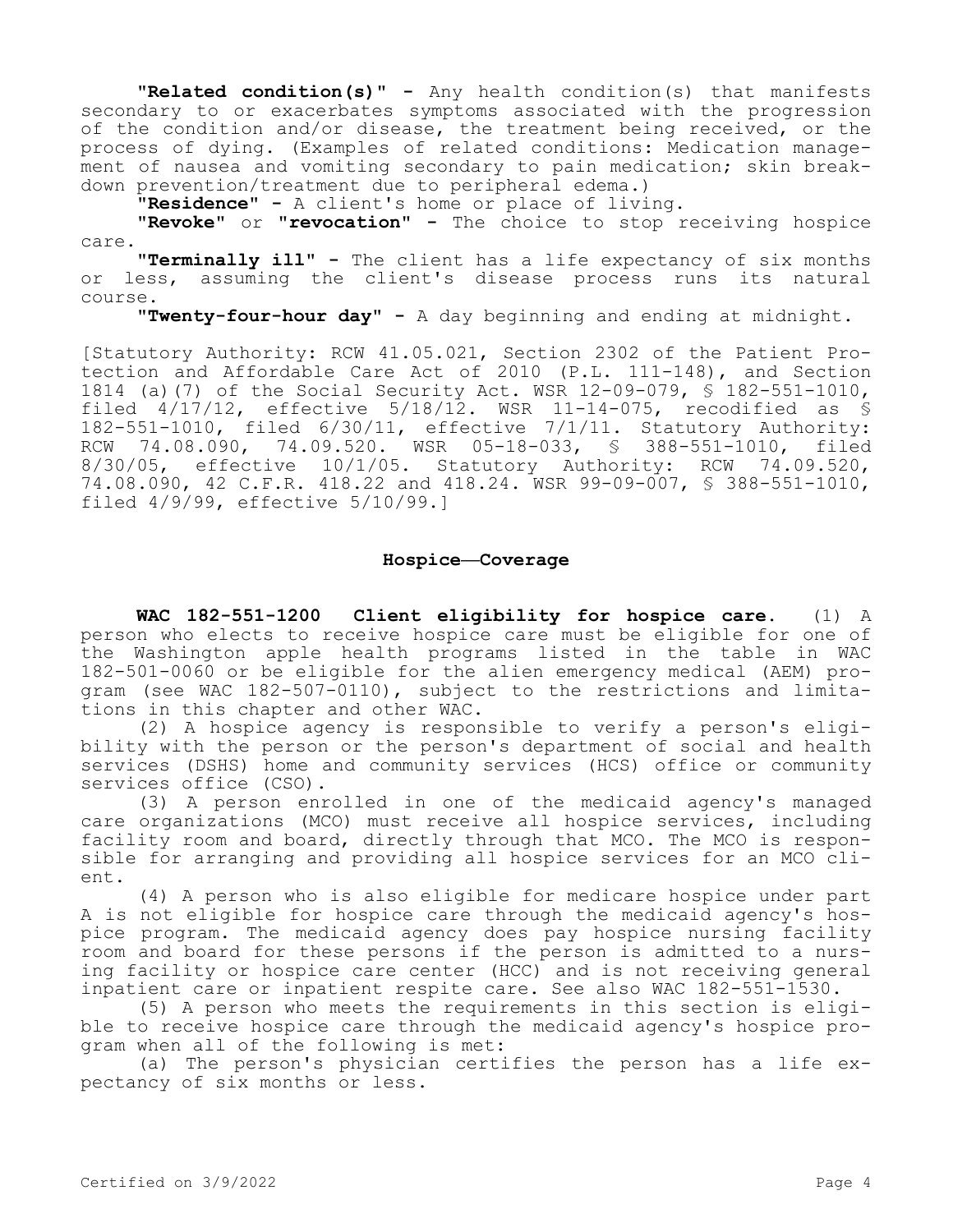**"Related condition(s)" -** Any health condition(s) that manifests secondary to or exacerbates symptoms associated with the progression of the condition and/or disease, the treatment being received, or the process of dying. (Examples of related conditions: Medication management of nausea and vomiting secondary to pain medication; skin breakdown prevention/treatment due to peripheral edema.)

**"Residence" -** A client's home or place of living.

**"Revoke"** or **"revocation" -** The choice to stop receiving hospice care.

**"Terminally ill" -** The client has a life expectancy of six months or less, assuming the client's disease process runs its natural course.

**"Twenty-four-hour day" -** A day beginning and ending at midnight.

[Statutory Authority: RCW 41.05.021, Section 2302 of the Patient Protection and Affordable Care Act of 2010 (P.L. 111-148), and Section 1814 (a)(7) of the Social Security Act. WSR 12-09-079, § 182-551-1010, filed 4/17/12, effective 5/18/12. WSR 11-14-075, recodified as § 182-551-1010, filed 6/30/11, effective 7/1/11. Statutory Authority: RCW 74.08.090, 74.09.520. WSR 05-18-033, § 388-551-1010, filed 8/30/05, effective 10/1/05. Statutory Authority: RCW 74.09.520, 74.08.090, 42 C.F.R. 418.22 and 418.24. WSR 99-09-007, § 388-551-1010, filed 4/9/99, effective 5/10/99.]

# **Hospice—Coverage**

**WAC 182-551-1200 Client eligibility for hospice care.** (1) A person who elects to receive hospice care must be eligible for one of the Washington apple health programs listed in the table in WAC 182-501-0060 or be eligible for the alien emergency medical (AEM) program (see WAC 182-507-0110), subject to the restrictions and limitations in this chapter and other WAC.

(2) A hospice agency is responsible to verify a person's eligibility with the person or the person's department of social and health services (DSHS) home and community services (HCS) office or community services office (CSO).

(3) A person enrolled in one of the medicaid agency's managed care organizations (MCO) must receive all hospice services, including facility room and board, directly through that MCO. The MCO is responsible for arranging and providing all hospice services for an MCO client.

(4) A person who is also eligible for medicare hospice under part A is not eligible for hospice care through the medicaid agency's hospice program. The medicaid agency does pay hospice nursing facility room and board for these persons if the person is admitted to a nursing facility or hospice care center (HCC) and is not receiving general inpatient care or inpatient respite care. See also WAC 182-551-1530.

(5) A person who meets the requirements in this section is eligible to receive hospice care through the medicaid agency's hospice program when all of the following is met:

(a) The person's physician certifies the person has a life expectancy of six months or less.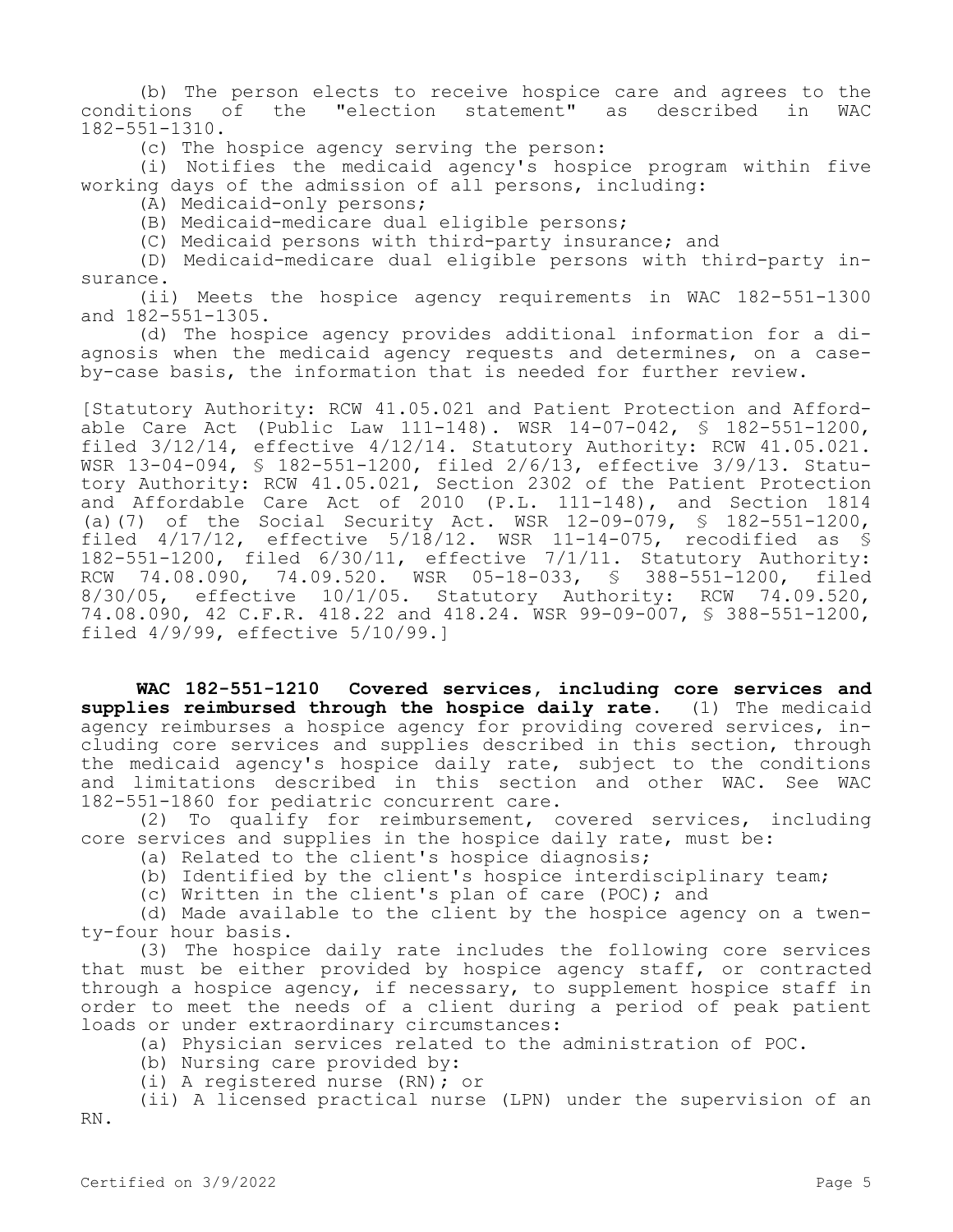(b) The person elects to receive hospice care and agrees to the conditions of the "election statement" as described in WAC 182-551-1310.

(c) The hospice agency serving the person:

(i) Notifies the medicaid agency's hospice program within five working days of the admission of all persons, including:

(A) Medicaid-only persons;

(B) Medicaid-medicare dual eligible persons;

(C) Medicaid persons with third-party insurance; and

(D) Medicaid-medicare dual eligible persons with third-party insurance.

(ii) Meets the hospice agency requirements in WAC 182-551-1300 and 182-551-1305.

(d) The hospice agency provides additional information for a diagnosis when the medicaid agency requests and determines, on a caseby-case basis, the information that is needed for further review.

[Statutory Authority: RCW 41.05.021 and Patient Protection and Affordable Care Act (Public Law 111-148). WSR 14-07-042, § 182-551-1200, filed 3/12/14, effective 4/12/14. Statutory Authority: RCW 41.05.021. WSR 13-04-094, § 182-551-1200, filed 2/6/13, effective 3/9/13. Statutory Authority: RCW 41.05.021, Section 2302 of the Patient Protection and Affordable Care Act of 2010 (P.L. 111-148), and Section 1814 (a)(7) of the Social Security Act. WSR 12-09-079, § 182-551-1200, filed  $4/17/12$ , effective  $5/18/12$ . WSR 11-14-075, recodified as § 182-551-1200, filed 6/30/11, effective 7/1/11. Statutory Authority: RCW 74.08.090, 74.09.520. WSR 05-18-033, § 388-551-1200, filed 8/30/05, effective 10/1/05. Statutory Authority: RCW 74.09.520, 74.08.090, 42 C.F.R. 418.22 and 418.24. WSR 99-09-007, § 388-551-1200, filed 4/9/99, effective 5/10/99.]

**WAC 182-551-1210 Covered services, including core services and supplies reimbursed through the hospice daily rate.** (1) The medicaid agency reimburses a hospice agency for providing covered services, including core services and supplies described in this section, through the medicaid agency's hospice daily rate, subject to the conditions and limitations described in this section and other WAC. See WAC 182-551-1860 for pediatric concurrent care.

(2) To qualify for reimbursement, covered services, including core services and supplies in the hospice daily rate, must be:

(a) Related to the client's hospice diagnosis;

(b) Identified by the client's hospice interdisciplinary team;

(c) Written in the client's plan of care (POC); and

(d) Made available to the client by the hospice agency on a twenty-four hour basis.

(3) The hospice daily rate includes the following core services that must be either provided by hospice agency staff, or contracted through a hospice agency, if necessary, to supplement hospice staff in order to meet the needs of a client during a period of peak patient loads or under extraordinary circumstances:

(a) Physician services related to the administration of POC.

(b) Nursing care provided by:

(i) A registered nurse (RN); or

(ii) A licensed practical nurse (LPN) under the supervision of an RN.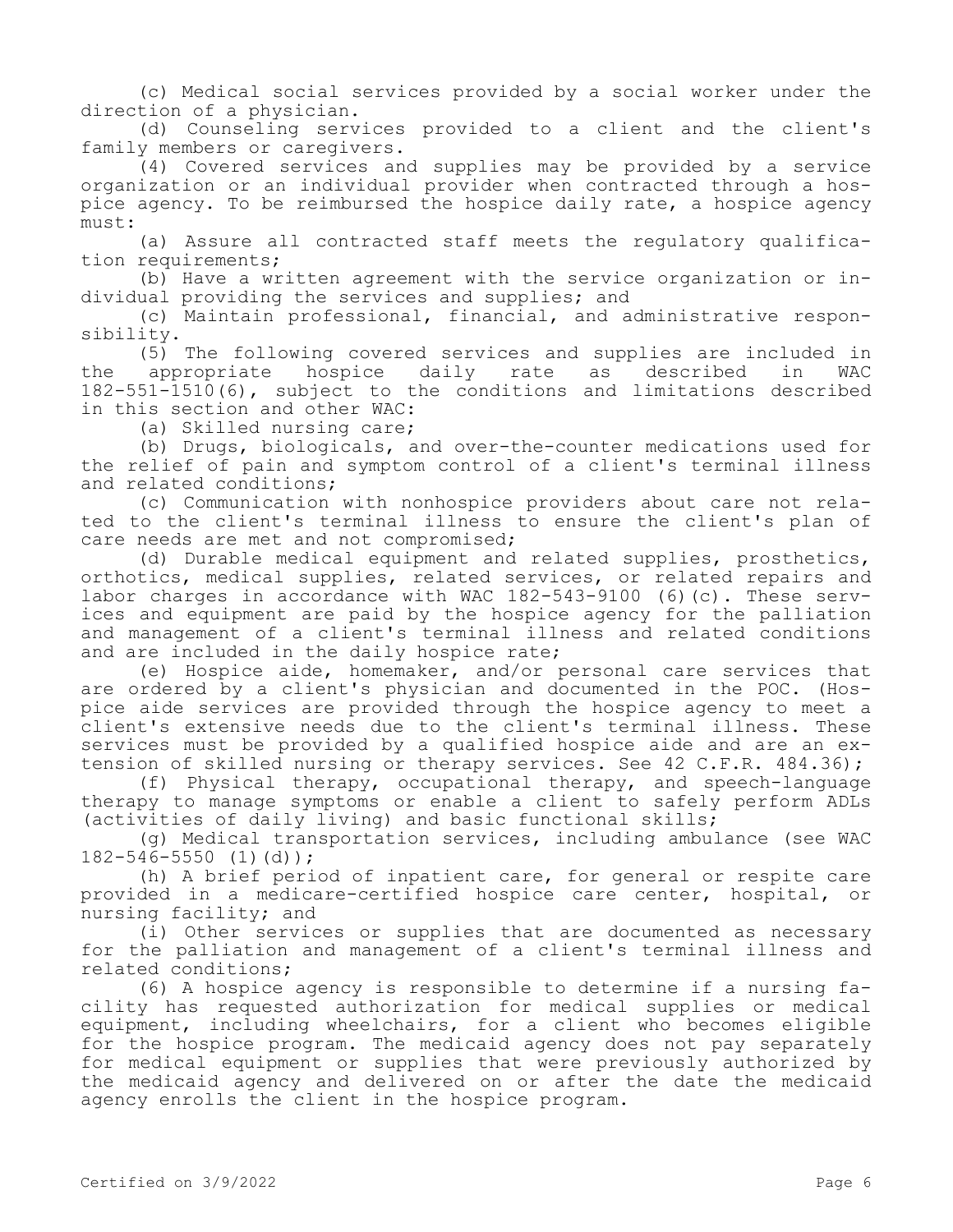(c) Medical social services provided by a social worker under the direction of a physician.

(d) Counseling services provided to a client and the client's family members or caregivers.

(4) Covered services and supplies may be provided by a service organization or an individual provider when contracted through a hospice agency. To be reimbursed the hospice daily rate, a hospice agency must:

(a) Assure all contracted staff meets the regulatory qualification requirements;

(b) Have a written agreement with the service organization or individual providing the services and supplies; and

(c) Maintain professional, financial, and administrative responsibility.

(5) The following covered services and supplies are included in the appropriate hospice daily rate as described in WAC 182-551-1510(6), subject to the conditions and limitations described in this section and other WAC:

(a) Skilled nursing care;

(b) Drugs, biologicals, and over-the-counter medications used for the relief of pain and symptom control of a client's terminal illness and related conditions;

(c) Communication with nonhospice providers about care not related to the client's terminal illness to ensure the client's plan of care needs are met and not compromised;

(d) Durable medical equipment and related supplies, prosthetics, orthotics, medical supplies, related services, or related repairs and labor charges in accordance with WAC 182-543-9100 (6)(c). These services and equipment are paid by the hospice agency for the palliation and management of a client's terminal illness and related conditions and are included in the daily hospice rate;

(e) Hospice aide, homemaker, and/or personal care services that are ordered by a client's physician and documented in the POC. (Hospice aide services are provided through the hospice agency to meet a client's extensive needs due to the client's terminal illness. These services must be provided by a qualified hospice aide and are an extension of skilled nursing or therapy services. See 42 C.F.R. 484.36);

(f) Physical therapy, occupational therapy, and speech-language therapy to manage symptoms or enable a client to safely perform ADLs (activities of daily living) and basic functional skills;

(g) Medical transportation services, including ambulance (see WAC 182-546-5550 (1)(d));

(h) A brief period of inpatient care, for general or respite care provided in a medicare-certified hospice care center, hospital, or nursing facility; and

(i) Other services or supplies that are documented as necessary for the palliation and management of a client's terminal illness and related conditions;

(6) A hospice agency is responsible to determine if a nursing facility has requested authorization for medical supplies or medical equipment, including wheelchairs, for a client who becomes eligible for the hospice program. The medicaid agency does not pay separately for medical equipment or supplies that were previously authorized by the medicaid agency and delivered on or after the date the medicaid agency enrolls the client in the hospice program.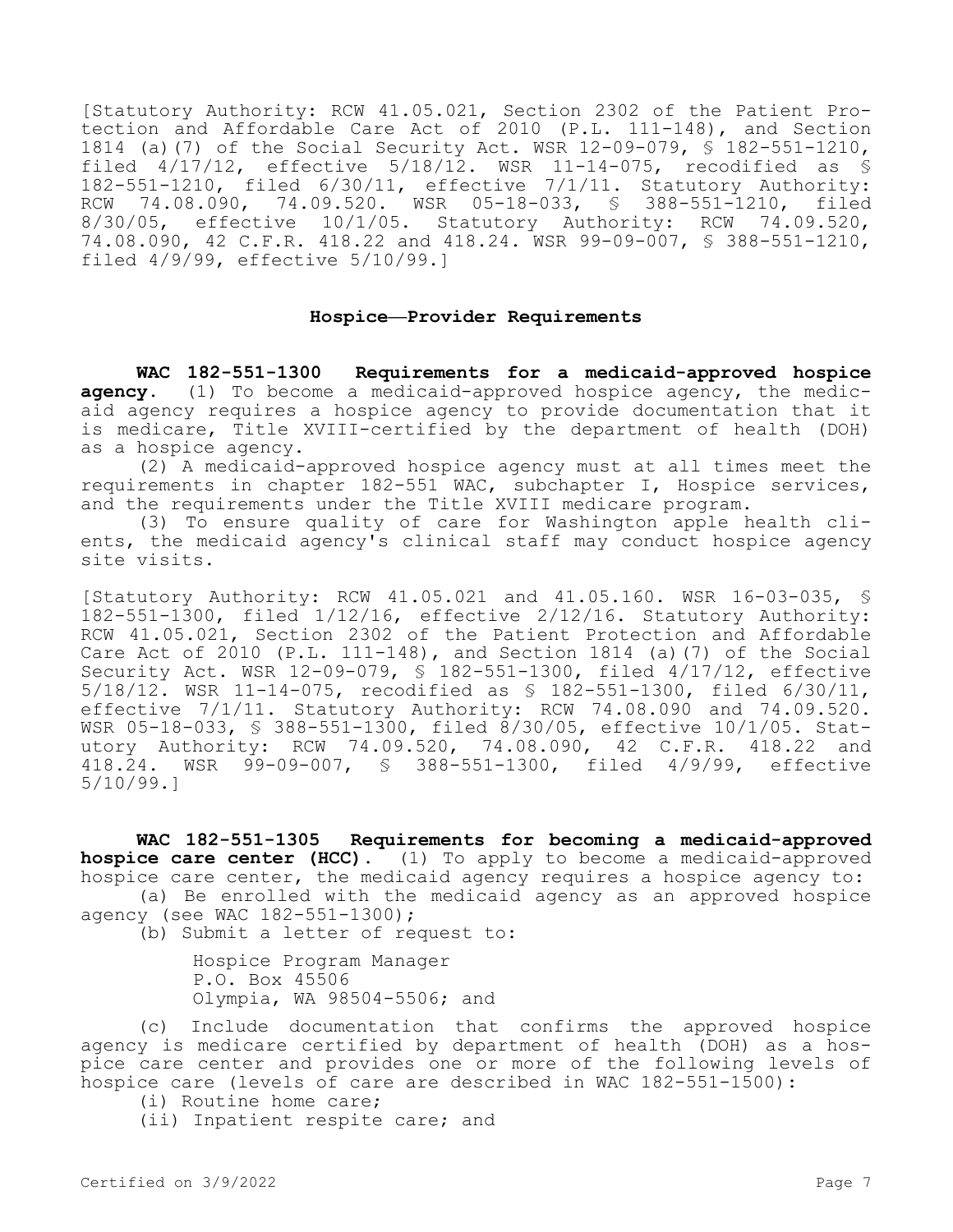[Statutory Authority: RCW 41.05.021, Section 2302 of the Patient Protection and Affordable Care Act of 2010 (P.L. 111-148), and Section 1814 (a)(7) of the Social Security Act. WSR 12-09-079, § 182-551-1210, filed  $4/17/12$ , effective  $5/18/12$ . WSR 11-14-075, recodified as § 182-551-1210, filed 6/30/11, effective 7/1/11. Statutory Authority:<br>RCW 74.08.090, 74.09.520. WSR 05-18-033, § 388-551-1210, filed 74.08.090, 74.09.520. WSR 05-18-033, § 388-551-1210, filed 8/30/05, effective 10/1/05. Statutory Authority: RCW 74.09.520, 74.08.090, 42 C.F.R. 418.22 and 418.24. WSR 99-09-007, § 388-551-1210, filed 4/9/99, effective 5/10/99.]

### **Hospice—Provider Requirements**

**WAC 182-551-1300 Requirements for a medicaid-approved hospice agency.** (1) To become a medicaid-approved hospice agency, the medicaid agency requires a hospice agency to provide documentation that it is medicare, Title XVIII-certified by the department of health (DOH) as a hospice agency.

(2) A medicaid-approved hospice agency must at all times meet the requirements in chapter 182-551 WAC, subchapter I, Hospice services, and the requirements under the Title XVIII medicare program.

(3) To ensure quality of care for Washington apple health clients, the medicaid agency's clinical staff may conduct hospice agency site visits.

[Statutory Authority: RCW 41.05.021 and 41.05.160. WSR 16-03-035, § 182-551-1300, filed 1/12/16, effective 2/12/16. Statutory Authority: RCW 41.05.021, Section 2302 of the Patient Protection and Affordable Care Act of 2010 (P.L. 111-148), and Section 1814 (a)(7) of the Social Security Act. WSR 12-09-079, § 182-551-1300, filed 4/17/12, effective 5/18/12. WSR 11-14-075, recodified as § 182-551-1300, filed 6/30/11, effective 7/1/11. Statutory Authority: RCW 74.08.090 and 74.09.520. WSR 05-18-033, § 388-551-1300, filed 8/30/05, effective 10/1/05. Statutory Authority: RCW 74.09.520, 74.08.090, 42 C.F.R. 418.22 and 418.24. WSR 99-09-007, § 388-551-1300, filed 4/9/99, effective 5/10/99.]

**WAC 182-551-1305 Requirements for becoming a medicaid-approved hospice care center (HCC).** (1) To apply to become a medicaid-approved hospice care center, the medicaid agency requires a hospice agency to: (a) Be enrolled with the medicaid agency as an approved hospice agency (see WAC 182-551-1300);

(b) Submit a letter of request to:

Hospice Program Manager P.O. Box 45506 Olympia, WA 98504-5506; and

(c) Include documentation that confirms the approved hospice agency is medicare certified by department of health (DOH) as a hospice care center and provides one or more of the following levels of hospice care (levels of care are described in WAC 182-551-1500):

(i) Routine home care;

(ii) Inpatient respite care; and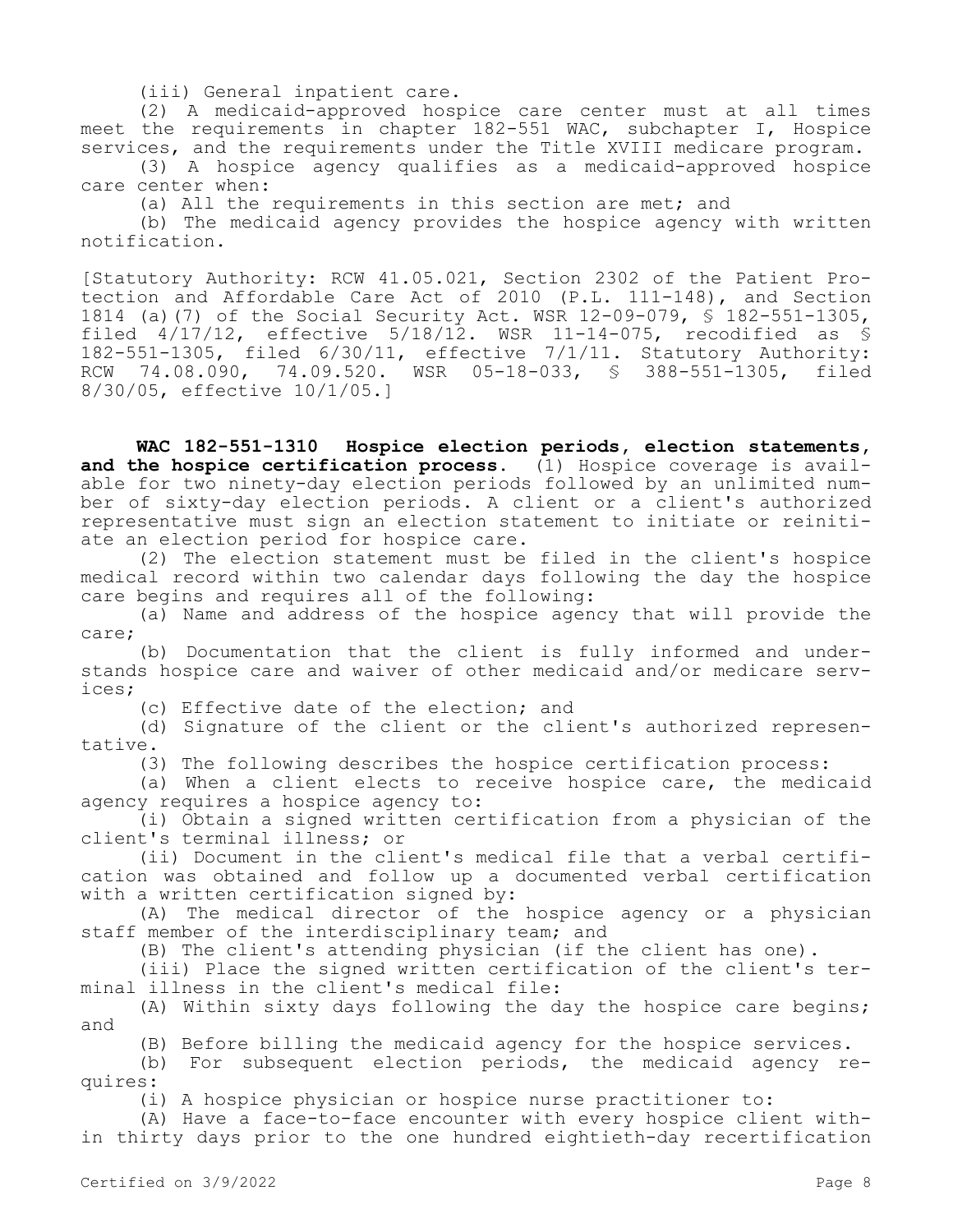(iii) General inpatient care.

(2) A medicaid-approved hospice care center must at all times meet the requirements in chapter 182-551 WAC, subchapter I, Hospice services, and the requirements under the Title XVIII medicare program.

(3) A hospice agency qualifies as a medicaid-approved hospice care center when:

(a) All the requirements in this section are met; and

(b) The medicaid agency provides the hospice agency with written notification.

[Statutory Authority: RCW 41.05.021, Section 2302 of the Patient Protection and Affordable Care Act of 2010 (P.L. 111-148), and Section 1814 (a)(7) of the Social Security Act. WSR 12-09-079, § 182-551-1305, filed 4/17/12, effective 5/18/12. WSR 11-14-075, recodified as § 182-551-1305, filed 6/30/11, effective 7/1/11. Statutory Authority: RCW 74.08.090, 74.09.520. WSR 05-18-033, § 388-551-1305, filed 8/30/05, effective 10/1/05.]

**WAC 182-551-1310 Hospice election periods, election statements, and the hospice certification process.** (1) Hospice coverage is available for two ninety-day election periods followed by an unlimited number of sixty-day election periods. A client or a client's authorized representative must sign an election statement to initiate or reinitiate an election period for hospice care.

(2) The election statement must be filed in the client's hospice medical record within two calendar days following the day the hospice care begins and requires all of the following:

(a) Name and address of the hospice agency that will provide the care;

(b) Documentation that the client is fully informed and understands hospice care and waiver of other medicaid and/or medicare services;

(c) Effective date of the election; and

(d) Signature of the client or the client's authorized representative.

(3) The following describes the hospice certification process:

(a) When a client elects to receive hospice care, the medicaid agency requires a hospice agency to:

(i) Obtain a signed written certification from a physician of the client's terminal illness; or

(ii) Document in the client's medical file that a verbal certification was obtained and follow up a documented verbal certification with a written certification signed by:

(A) The medical director of the hospice agency or a physician staff member of the interdisciplinary team; and

(B) The client's attending physician (if the client has one).

(iii) Place the signed written certification of the client's terminal illness in the client's medical file:

(A) Within sixty days following the day the hospice care begins; and

(B) Before billing the medicaid agency for the hospice services.

(b) For subsequent election periods, the medicaid agency requires:

(i) A hospice physician or hospice nurse practitioner to:

(A) Have a face-to-face encounter with every hospice client within thirty days prior to the one hundred eightieth-day recertification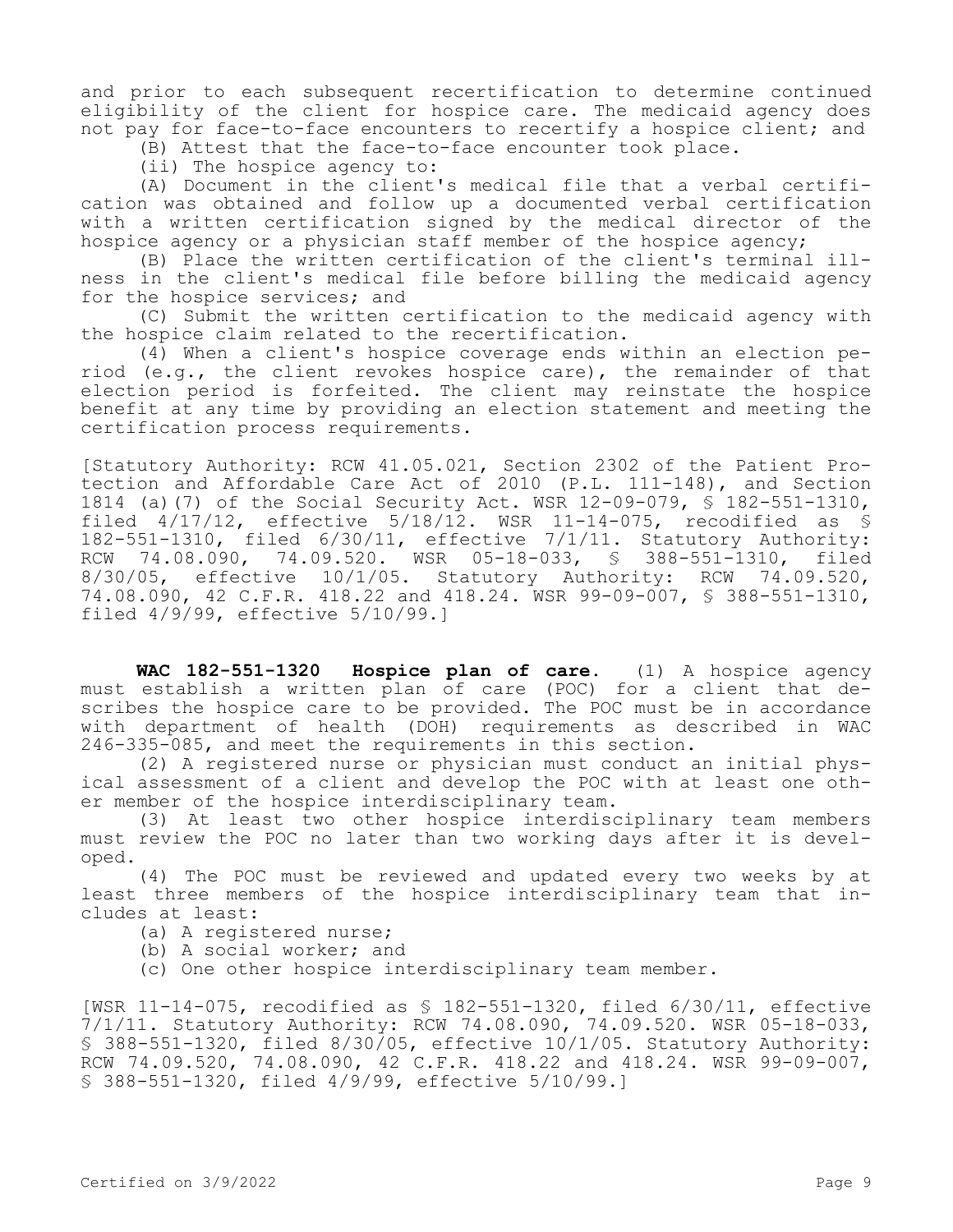and prior to each subsequent recertification to determine continued eligibility of the client for hospice care. The medicaid agency does not pay for face-to-face encounters to recertify a hospice client; and

(B) Attest that the face-to-face encounter took place.

(ii) The hospice agency to:

(A) Document in the client's medical file that a verbal certification was obtained and follow up a documented verbal certification with a written certification signed by the medical director of the hospice agency or a physician staff member of the hospice agency;

(B) Place the written certification of the client's terminal illness in the client's medical file before billing the medicaid agency for the hospice services; and

(C) Submit the written certification to the medicaid agency with the hospice claim related to the recertification.

(4) When a client's hospice coverage ends within an election period (e.g., the client revokes hospice care), the remainder of that election period is forfeited. The client may reinstate the hospice benefit at any time by providing an election statement and meeting the certification process requirements.

[Statutory Authority: RCW 41.05.021, Section 2302 of the Patient Protection and Affordable Care Act of 2010 (P.L. 111-148), and Section 1814 (a)(7) of the Social Security Act. WSR 12-09-079, § 182-551-1310, filed 4/17/12, effective 5/18/12. WSR 11-14-075, recodified as § 182-551-1310, filed 6/30/11, effective 7/1/11. Statutory Authority: RCW 74.08.090, 74.09.520. WSR 05-18-033, § 388-551-1310, filed 8/30/05, effective 10/1/05. Statutory Authority: RCW 74.09.520, 74.08.090, 42 C.F.R. 418.22 and 418.24. WSR 99-09-007, § 388-551-1310, filed 4/9/99, effective 5/10/99.]

**WAC 182-551-1320 Hospice plan of care.** (1) A hospice agency must establish a written plan of care (POC) for a client that describes the hospice care to be provided. The POC must be in accordance with department of health (DOH) requirements as described in WAC 246-335-085, and meet the requirements in this section.

(2) A registered nurse or physician must conduct an initial physical assessment of a client and develop the POC with at least one other member of the hospice interdisciplinary team.

(3) At least two other hospice interdisciplinary team members must review the POC no later than two working days after it is developed.

(4) The POC must be reviewed and updated every two weeks by at least three members of the hospice interdisciplinary team that includes at least:

- (a) A registered nurse;
- (b) A social worker; and
- (c) One other hospice interdisciplinary team member.

[WSR 11-14-075, recodified as § 182-551-1320, filed 6/30/11, effective 7/1/11. Statutory Authority: RCW 74.08.090, 74.09.520. WSR 05-18-033, § 388-551-1320, filed 8/30/05, effective 10/1/05. Statutory Authority: RCW 74.09.520, 74.08.090, 42 C.F.R. 418.22 and 418.24. WSR 99-09-007, § 388-551-1320, filed 4/9/99, effective 5/10/99.]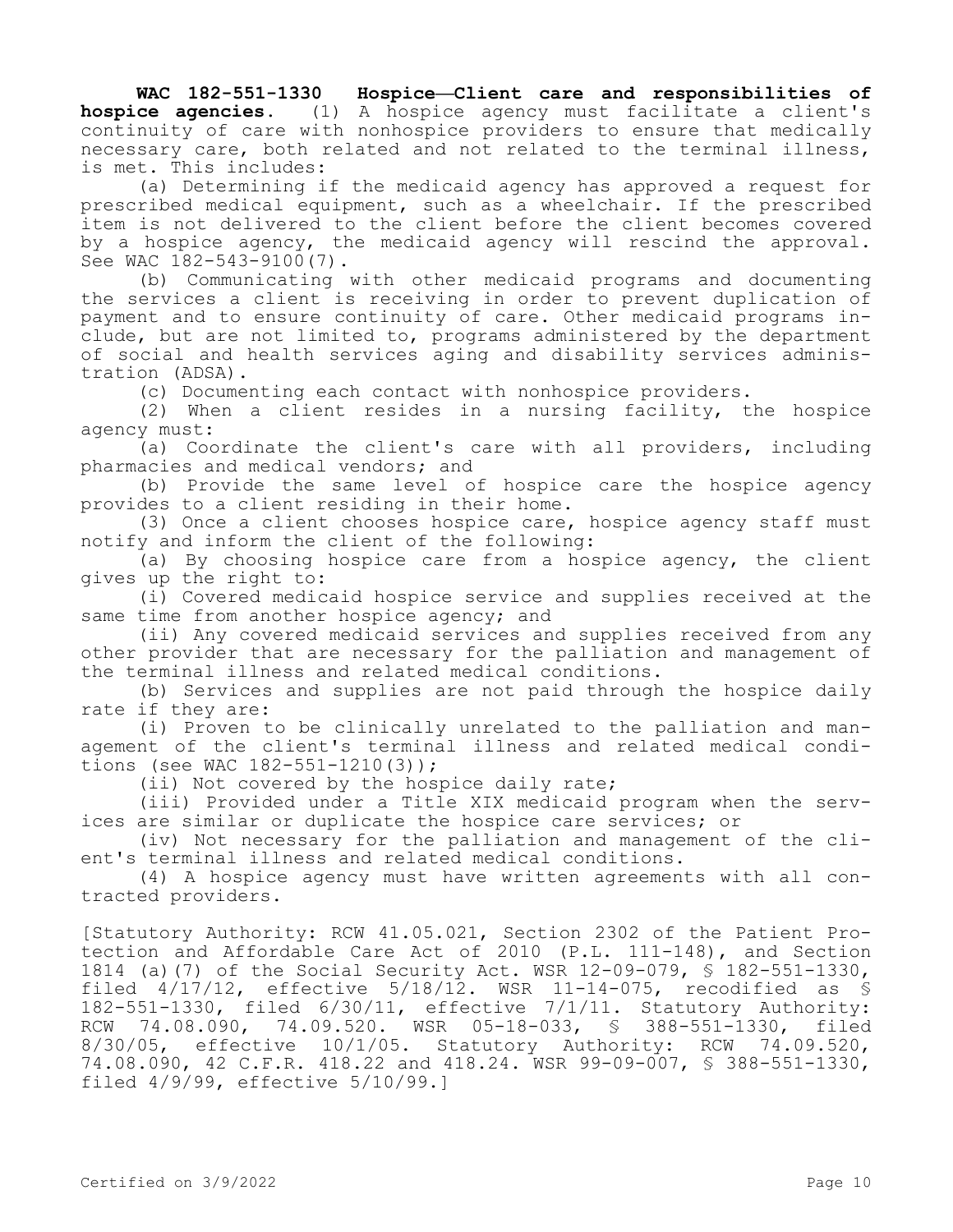**WAC 182-551-1330 Hospice—Client care and responsibilities of hospice agencies.** (1) A hospice agency must facilitate a client's continuity of care with nonhospice providers to ensure that medically necessary care, both related and not related to the terminal illness, is met. This includes:

(a) Determining if the medicaid agency has approved a request for prescribed medical equipment, such as a wheelchair. If the prescribed item is not delivered to the client before the client becomes covered by a hospice agency, the medicaid agency will rescind the approval. See WAC 182-543-9100(7).

(b) Communicating with other medicaid programs and documenting the services a client is receiving in order to prevent duplication of payment and to ensure continuity of care. Other medicaid programs include, but are not limited to, programs administered by the department of social and health services aging and disability services administration (ADSA).

(c) Documenting each contact with nonhospice providers.

(2) When a client resides in a nursing facility, the hospice agency must:

(a) Coordinate the client's care with all providers, including pharmacies and medical vendors; and

(b) Provide the same level of hospice care the hospice agency provides to a client residing in their home.

(3) Once a client chooses hospice care, hospice agency staff must notify and inform the client of the following:

(a) By choosing hospice care from a hospice agency, the client gives up the right to:

(i) Covered medicaid hospice service and supplies received at the same time from another hospice agency; and

(ii) Any covered medicaid services and supplies received from any other provider that are necessary for the palliation and management of the terminal illness and related medical conditions.

(b) Services and supplies are not paid through the hospice daily rate if they are:

(i) Proven to be clinically unrelated to the palliation and management of the client's terminal illness and related medical conditions (see WAC 182-551-1210(3));

(ii) Not covered by the hospice daily rate;

(iii) Provided under a Title XIX medicaid program when the services are similar or duplicate the hospice care services; or

(iv) Not necessary for the palliation and management of the client's terminal illness and related medical conditions.

(4) A hospice agency must have written agreements with all contracted providers.

[Statutory Authority: RCW 41.05.021, Section 2302 of the Patient Protection and Affordable Care Act of 2010 (P.L. 111-148), and Section 1814 (a)(7) of the Social Security Act. WSR 12-09-079, § 182-551-1330, filed 4/17/12, effective 5/18/12. WSR 11-14-075, recodified as § 182-551-1330, filed 6/30/11, effective 7/1/11. Statutory Authority: RCW 74.08.090, 74.09.520. WSR 05-18-033, § 388-551-1330, filed 8/30/05, effective 10/1/05. Statutory Authority: RCW 74.09.520, 74.08.090, 42 C.F.R. 418.22 and 418.24. WSR 99-09-007, § 388-551-1330, filed 4/9/99, effective 5/10/99.]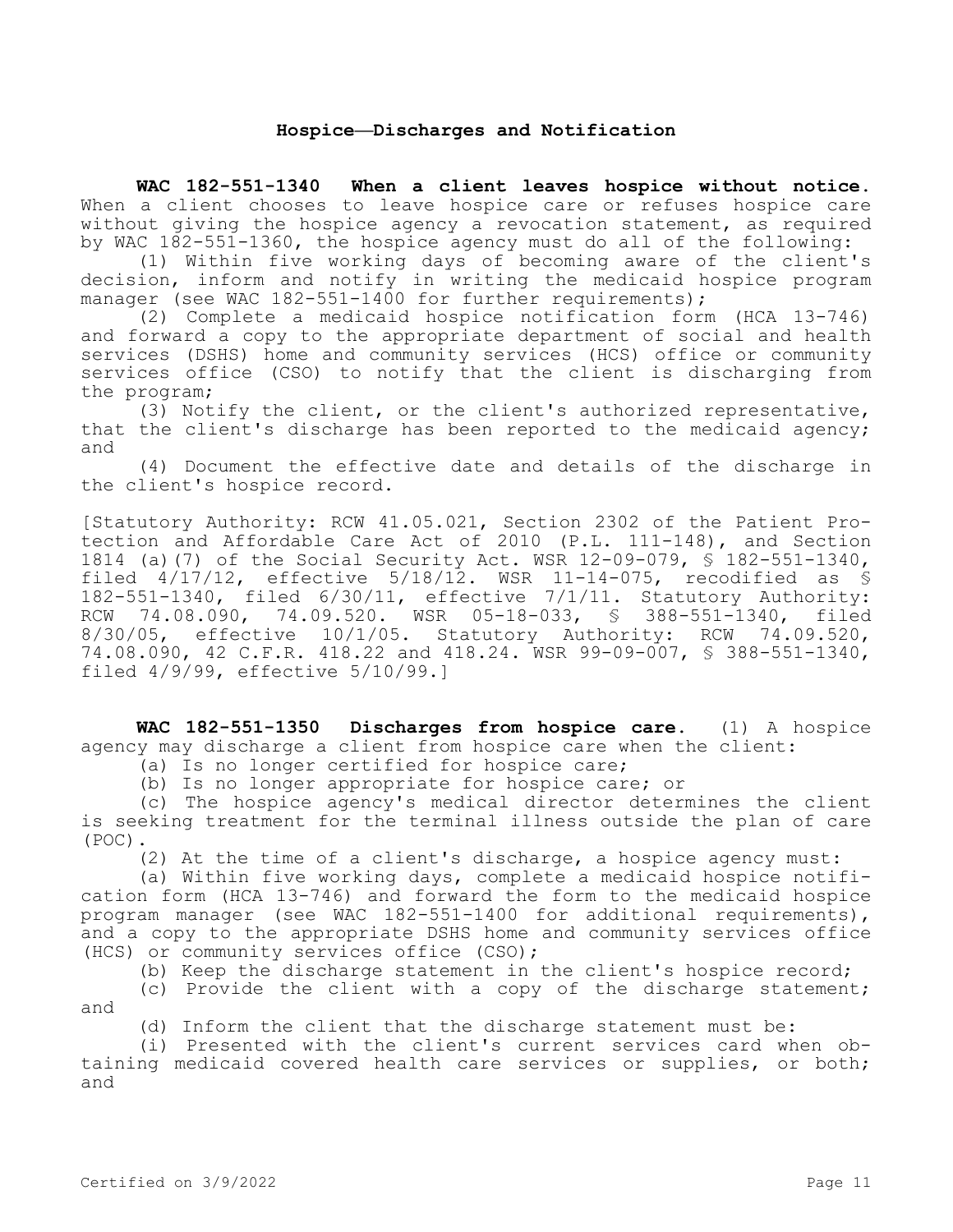# **Hospice—Discharges and Notification**

**WAC 182-551-1340 When a client leaves hospice without notice.**  When a client chooses to leave hospice care or refuses hospice care without giving the hospice agency a revocation statement, as required by WAC 182-551-1360, the hospice agency must do all of the following:

(1) Within five working days of becoming aware of the client's decision, inform and notify in writing the medicaid hospice program manager (see WAC 182-551-1400 for further requirements);

(2) Complete a medicaid hospice notification form (HCA 13-746) and forward a copy to the appropriate department of social and health services (DSHS) home and community services (HCS) office or community services office (CSO) to notify that the client is discharging from the program;

(3) Notify the client, or the client's authorized representative, that the client's discharge has been reported to the medicaid agency; and

(4) Document the effective date and details of the discharge in the client's hospice record.

[Statutory Authority: RCW 41.05.021, Section 2302 of the Patient Protection and Affordable Care Act of 2010 (P.L. 111-148), and Section 1814 (a)(7) of the Social Security Act. WSR 12-09-079, § 182-551-1340, filed 4/17/12, effective 5/18/12. WSR 11-14-075, recodified as § 182-551-1340, filed 6/30/11, effective 7/1/11. Statutory Authority: RCW 74.08.090, 74.09.520. WSR 05-18-033, § 388-551-1340, filed 8/30/05, effective 10/1/05. Statutory Authority: RCW 74.09.520, 74.08.090, 42 C.F.R. 418.22 and 418.24. WSR 99-09-007, § 388-551-1340, filed 4/9/99, effective 5/10/99.]

**WAC 182-551-1350 Discharges from hospice care.** (1) A hospice agency may discharge a client from hospice care when the client:

(a) Is no longer certified for hospice care;

(b) Is no longer appropriate for hospice care; or

(c) The hospice agency's medical director determines the client is seeking treatment for the terminal illness outside the plan of care (POC).

(2) At the time of a client's discharge, a hospice agency must:

(a) Within five working days, complete a medicaid hospice notification form (HCA 13-746) and forward the form to the medicaid hospice program manager (see WAC 182-551-1400 for additional requirements), and a copy to the appropriate DSHS home and community services office (HCS) or community services office (CSO);

(b) Keep the discharge statement in the client's hospice record;

(c) Provide the client with a copy of the discharge statement; and

(d) Inform the client that the discharge statement must be:

(i) Presented with the client's current services card when obtaining medicaid covered health care services or supplies, or both; and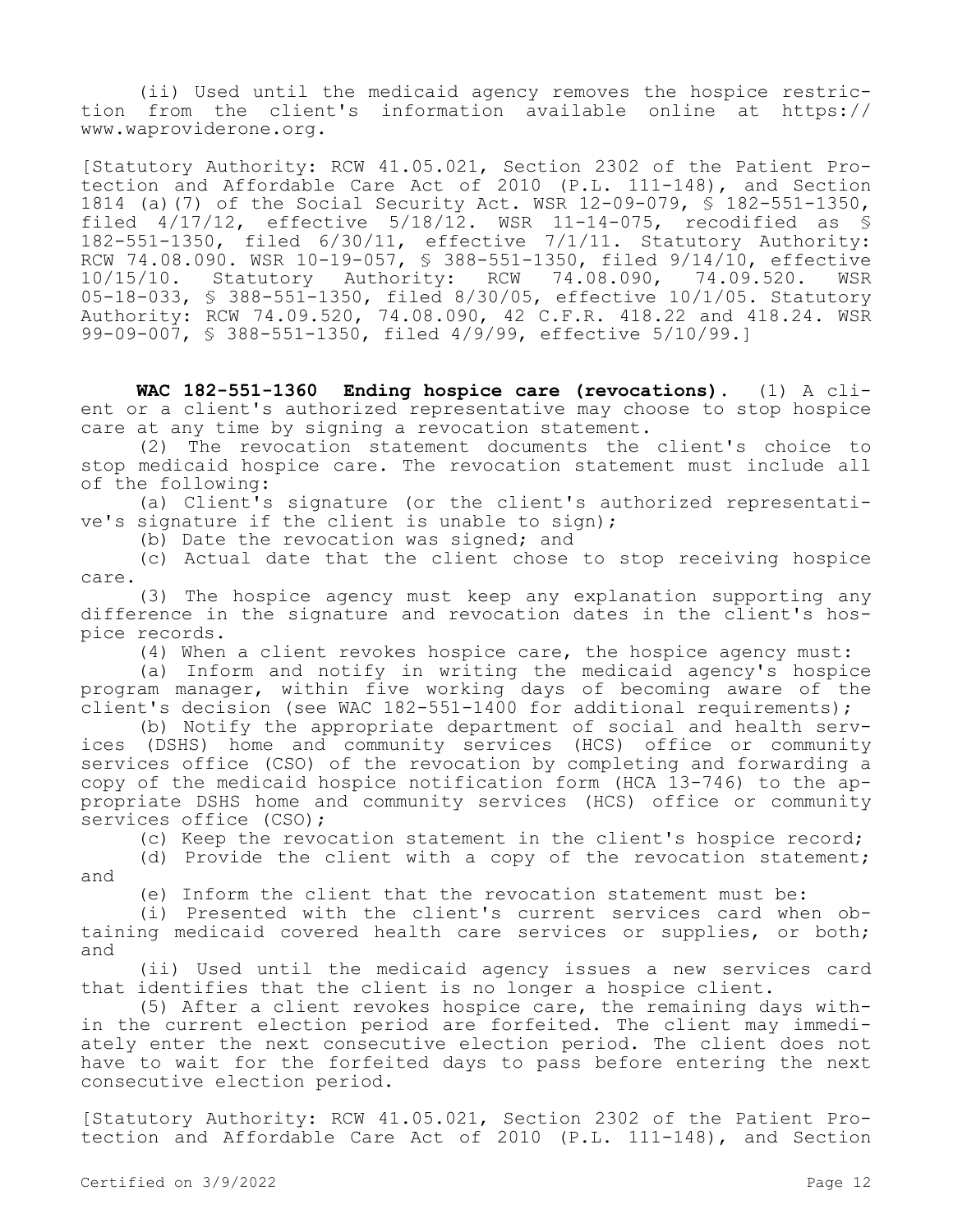(ii) Used until the medicaid agency removes the hospice restriction from the client's information available online at https:// www.waproviderone.org.

[Statutory Authority: RCW 41.05.021, Section 2302 of the Patient Protection and Affordable Care Act of 2010 (P.L. 111-148), and Section 1814 (a)(7) of the Social Security Act. WSR 12-09-079, § 182-551-1350, filed 4/17/12, effective 5/18/12. WSR 11-14-075, recodified as § 182-551-1350, filed 6/30/11, effective 7/1/11. Statutory Authority: RCW 74.08.090. WSR 10-19-057, § 388-551-1350, filed 9/14/10, effective 10/15/10. Statutory Authority: RCW 74.08.090, 74.09.520. WSR 05-18-033, § 388-551-1350, filed 8/30/05, effective 10/1/05. Statutory Authority: RCW 74.09.520, 74.08.090, 42 C.F.R. 418.22 and 418.24. WSR 99-09-007, § 388-551-1350, filed 4/9/99, effective 5/10/99.]

**WAC 182-551-1360 Ending hospice care (revocations).** (1) A client or a client's authorized representative may choose to stop hospice care at any time by signing a revocation statement.

(2) The revocation statement documents the client's choice to stop medicaid hospice care. The revocation statement must include all of the following:

(a) Client's signature (or the client's authorized representative's signature if the client is unable to sign);

(b) Date the revocation was signed; and

(c) Actual date that the client chose to stop receiving hospice care.

(3) The hospice agency must keep any explanation supporting any difference in the signature and revocation dates in the client's hospice records.

(4) When a client revokes hospice care, the hospice agency must:

(a) Inform and notify in writing the medicaid agency's hospice program manager, within five working days of becoming aware of the client's decision (see WAC 182-551-1400 for additional requirements);

(b) Notify the appropriate department of social and health services (DSHS) home and community services (HCS) office or community services office (CSO) of the revocation by completing and forwarding a copy of the medicaid hospice notification form (HCA 13-746) to the appropriate DSHS home and community services (HCS) office or community services office (CSO);

(c) Keep the revocation statement in the client's hospice record;

(d) Provide the client with a copy of the revocation statement; and

(e) Inform the client that the revocation statement must be:

(i) Presented with the client's current services card when obtaining medicaid covered health care services or supplies, or both; and

(ii) Used until the medicaid agency issues a new services card that identifies that the client is no longer a hospice client.

(5) After a client revokes hospice care, the remaining days within the current election period are forfeited. The client may immediately enter the next consecutive election period. The client does not have to wait for the forfeited days to pass before entering the next consecutive election period.

[Statutory Authority: RCW 41.05.021, Section 2302 of the Patient Protection and Affordable Care Act of 2010 (P.L. 111-148), and Section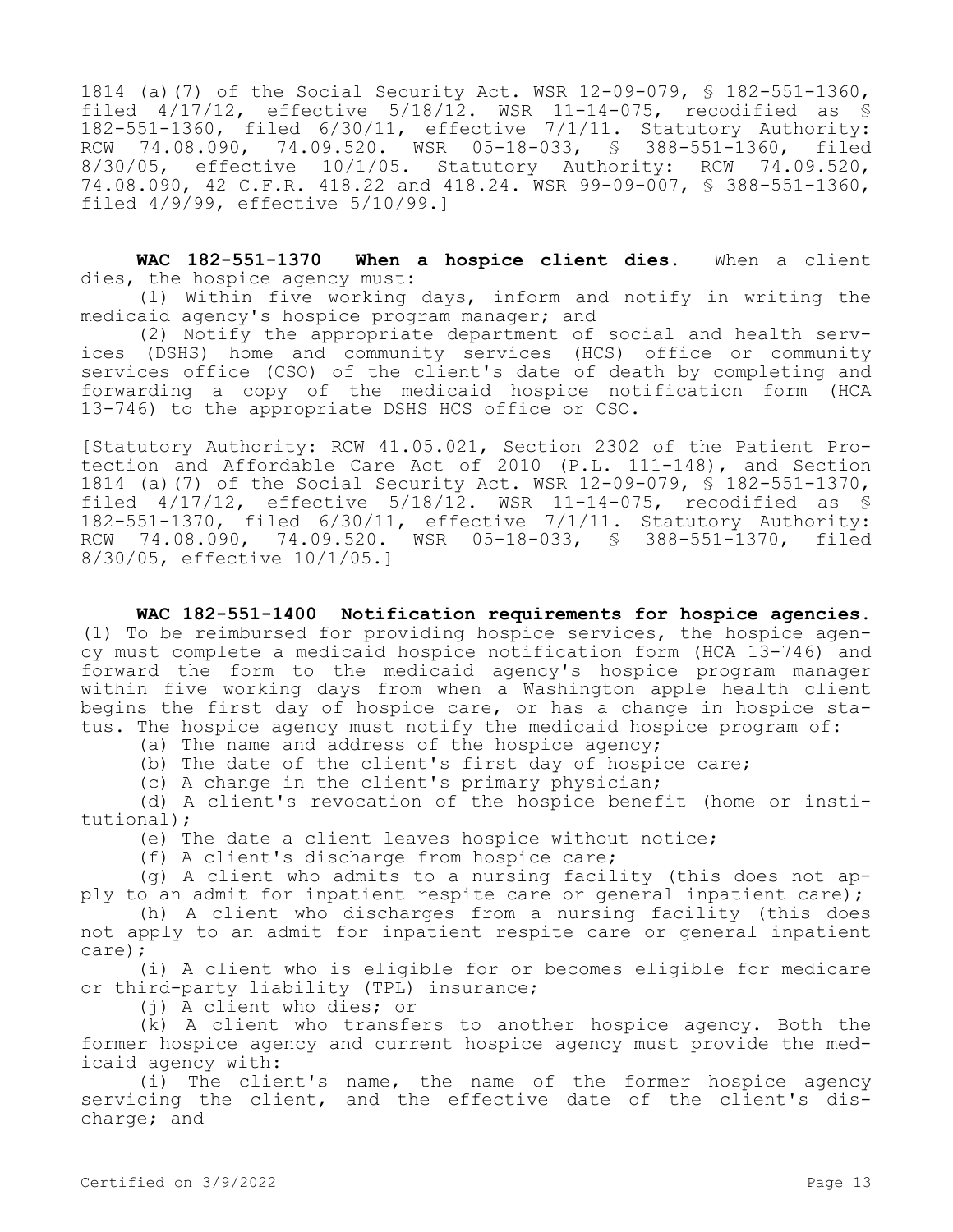1814 (a)(7) of the Social Security Act. WSR 12-09-079, § 182-551-1360, filed 4/17/12, effective 5/18/12. WSR 11-14-075, recodified as § 182-551-1360, filed 6/30/11, effective 7/1/11. Statutory Authority: RCW 74.08.090, 74.09.520. WSR 05-18-033, § 388-551-1360, filed 8/30/05, effective 10/1/05. Statutory Authority: RCW 74.09.520, 74.08.090, 42 C.F.R. 418.22 and 418.24. WSR 99-09-007, § 388-551-1360, filed 4/9/99, effective 5/10/99.]

**WAC 182-551-1370 When a hospice client dies.** When a client dies, the hospice agency must:

(1) Within five working days, inform and notify in writing the medicaid agency's hospice program manager; and

(2) Notify the appropriate department of social and health services (DSHS) home and community services (HCS) office or community services office (CSO) of the client's date of death by completing and forwarding a copy of the medicaid hospice notification form (HCA 13-746) to the appropriate DSHS HCS office or CSO.

[Statutory Authority: RCW 41.05.021, Section 2302 of the Patient Protection and Affordable Care Act of 2010 (P.L. 111-148), and Section 1814 (a)(7) of the Social Security Act. WSR 12-09-079, § 182-551-1370, filed 4/17/12, effective 5/18/12. WSR 11-14-075, recodified as § 182-551-1370, filed 6/30/11, effective 7/1/11. Statutory Authority: RCW 74.08.090, 74.09.520. WSR 05-18-033, § 388-551-1370, filed 8/30/05, effective 10/1/05.]

**WAC 182-551-1400 Notification requirements for hospice agencies.**  (1) To be reimbursed for providing hospice services, the hospice agency must complete a medicaid hospice notification form (HCA 13-746) and forward the form to the medicaid agency's hospice program manager within five working days from when a Washington apple health client begins the first day of hospice care, or has a change in hospice status. The hospice agency must notify the medicaid hospice program of:

(a) The name and address of the hospice agency;

(b) The date of the client's first day of hospice care;

(c) A change in the client's primary physician;

(d) A client's revocation of the hospice benefit (home or institutional);

(e) The date a client leaves hospice without notice;

(f) A client's discharge from hospice care;

(g) A client who admits to a nursing facility (this does not apply to an admit for inpatient respite care or general inpatient care);

(h) A client who discharges from a nursing facility (this does not apply to an admit for inpatient respite care or general inpatient care);

(i) A client who is eligible for or becomes eligible for medicare or third-party liability (TPL) insurance;

(j) A client who dies; or

(k) A client who transfers to another hospice agency. Both the former hospice agency and current hospice agency must provide the medicaid agency with:

(i) The client's name, the name of the former hospice agency servicing the client, and the effective date of the client's discharge; and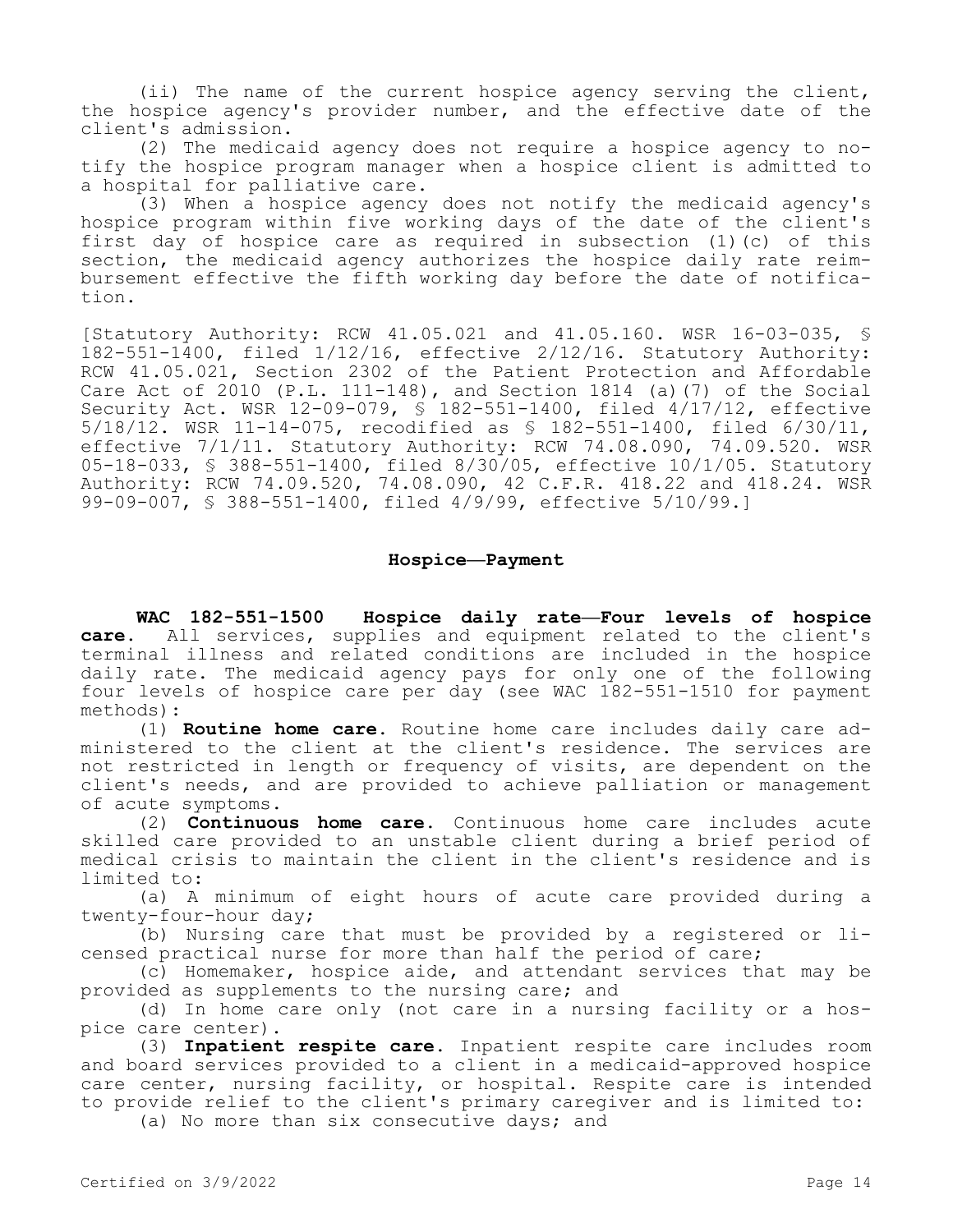(ii) The name of the current hospice agency serving the client, the hospice agency's provider number, and the effective date of the client's admission.

(2) The medicaid agency does not require a hospice agency to notify the hospice program manager when a hospice client is admitted to a hospital for palliative care.

(3) When a hospice agency does not notify the medicaid agency's hospice program within five working days of the date of the client's first day of hospice care as required in subsection (1)(c) of this section, the medicaid agency authorizes the hospice daily rate reimbursement effective the fifth working day before the date of notification.

[Statutory Authority: RCW 41.05.021 and 41.05.160. WSR 16-03-035, § 182-551-1400, filed 1/12/16, effective 2/12/16. Statutory Authority: RCW 41.05.021, Section 2302 of the Patient Protection and Affordable Care Act of 2010 (P.L. 111-148), and Section 1814 (a)(7) of the Social Security Act. WSR 12-09-079, § 182-551-1400, filed 4/17/12, effective 5/18/12. WSR 11-14-075, recodified as § 182-551-1400, filed 6/30/11, effective 7/1/11. Statutory Authority: RCW 74.08.090, 74.09.520. WSR 05-18-033, § 388-551-1400, filed 8/30/05, effective 10/1/05. Statutory Authority: RCW 74.09.520, 74.08.090, 42 C.F.R. 418.22 and 418.24. WSR 99-09-007, § 388-551-1400, filed 4/9/99, effective 5/10/99.]

### **Hospice—Payment**

**WAC 182-551-1500 Hospice daily rate—Four levels of hospice care.** All services, supplies and equipment related to the client's terminal illness and related conditions are included in the hospice daily rate. The medicaid agency pays for only one of the following four levels of hospice care per day (see WAC 182-551-1510 for payment methods):

(1) **Routine home care.** Routine home care includes daily care administered to the client at the client's residence. The services are not restricted in length or frequency of visits, are dependent on the client's needs, and are provided to achieve palliation or management of acute symptoms.

(2) **Continuous home care.** Continuous home care includes acute skilled care provided to an unstable client during a brief period of medical crisis to maintain the client in the client's residence and is limited to:

(a) A minimum of eight hours of acute care provided during a twenty-four-hour day;

(b) Nursing care that must be provided by a registered or licensed practical nurse for more than half the period of care;

(c) Homemaker, hospice aide, and attendant services that may be provided as supplements to the nursing care; and

(d) In home care only (not care in a nursing facility or a hospice care center).

(3) **Inpatient respite care.** Inpatient respite care includes room and board services provided to a client in a medicaid-approved hospice care center, nursing facility, or hospital. Respite care is intended to provide relief to the client's primary caregiver and is limited to:

(a) No more than six consecutive days; and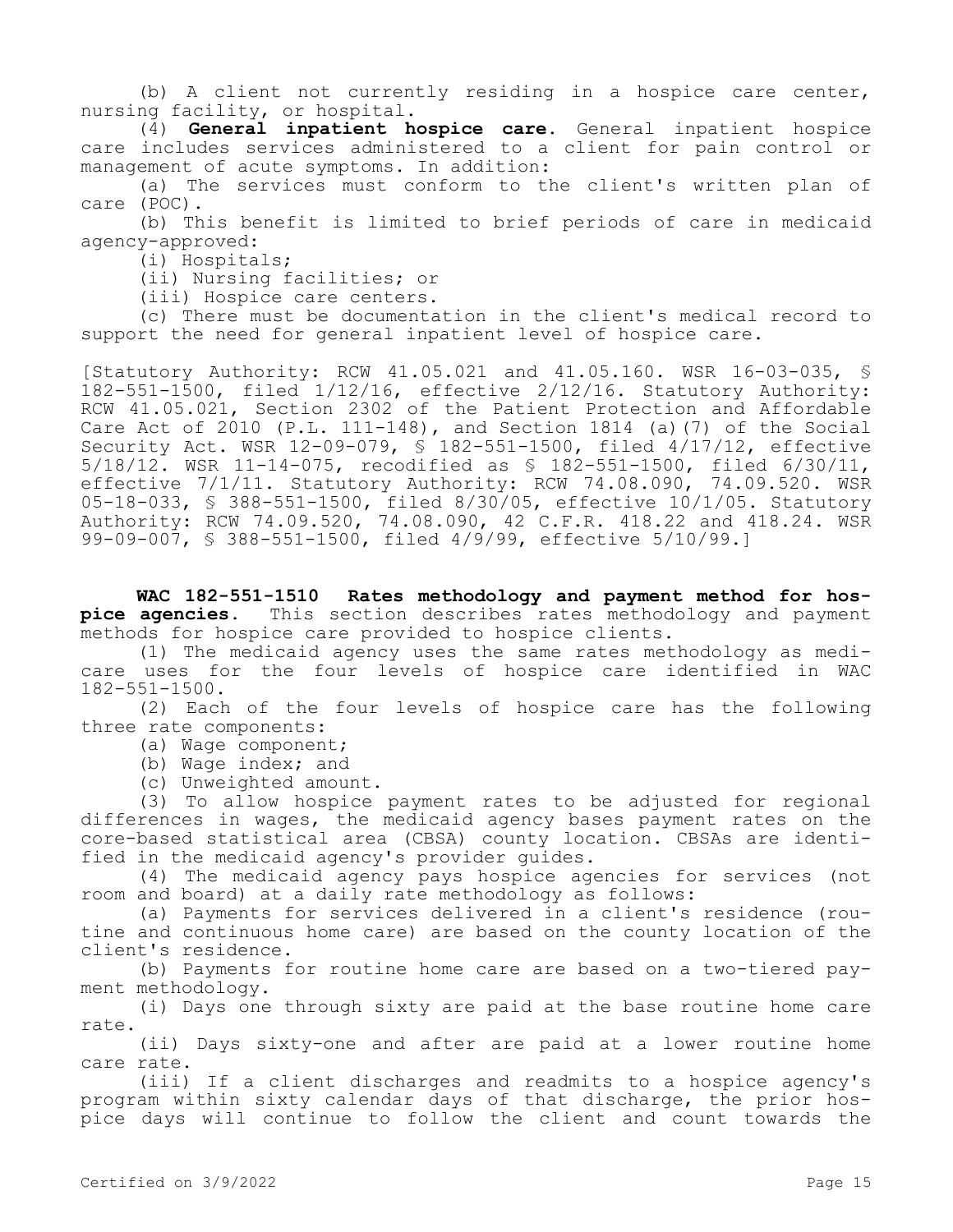(b) A client not currently residing in a hospice care center, nursing facility, or hospital.

(4) **General inpatient hospice care.** General inpatient hospice care includes services administered to a client for pain control or management of acute symptoms. In addition:

(a) The services must conform to the client's written plan of care (POC).

(b) This benefit is limited to brief periods of care in medicaid agency-approved:

(i) Hospitals;

(ii) Nursing facilities; or

(iii) Hospice care centers.

(c) There must be documentation in the client's medical record to support the need for general inpatient level of hospice care.

[Statutory Authority: RCW 41.05.021 and 41.05.160. WSR 16-03-035, § 182-551-1500, filed 1/12/16, effective 2/12/16. Statutory Authority: RCW 41.05.021, Section 2302 of the Patient Protection and Affordable Care Act of  $2010$  (P.L. 111-148), and Section 1814 (a)(7) of the Social Security Act. WSR 12-09-079, § 182-551-1500, filed 4/17/12, effective 5/18/12. WSR 11-14-075, recodified as § 182-551-1500, filed 6/30/11, effective 7/1/11. Statutory Authority: RCW 74.08.090, 74.09.520. WSR 05-18-033, § 388-551-1500, filed 8/30/05, effective 10/1/05. Statutory Authority: RCW 74.09.520, 74.08.090, 42 C.F.R. 418.22 and 418.24. WSR 99-09-007, § 388-551-1500, filed 4/9/99, effective 5/10/99.]

**WAC 182-551-1510 Rates methodology and payment method for hospice agencies.** This section describes rates methodology and payment methods for hospice care provided to hospice clients.

(1) The medicaid agency uses the same rates methodology as medicare uses for the four levels of hospice care identified in WAC 182-551-1500.

(2) Each of the four levels of hospice care has the following three rate components:

(a) Wage component;

(b) Wage index; and

(c) Unweighted amount.

(3) To allow hospice payment rates to be adjusted for regional differences in wages, the medicaid agency bases payment rates on the core-based statistical area (CBSA) county location. CBSAs are identified in the medicaid agency's provider guides.

(4) The medicaid agency pays hospice agencies for services (not room and board) at a daily rate methodology as follows:

(a) Payments for services delivered in a client's residence (routine and continuous home care) are based on the county location of the client's residence.

(b) Payments for routine home care are based on a two-tiered payment methodology.

(i) Days one through sixty are paid at the base routine home care rate.

(ii) Days sixty-one and after are paid at a lower routine home care rate.

(iii) If a client discharges and readmits to a hospice agency's program within sixty calendar days of that discharge, the prior hospice days will continue to follow the client and count towards the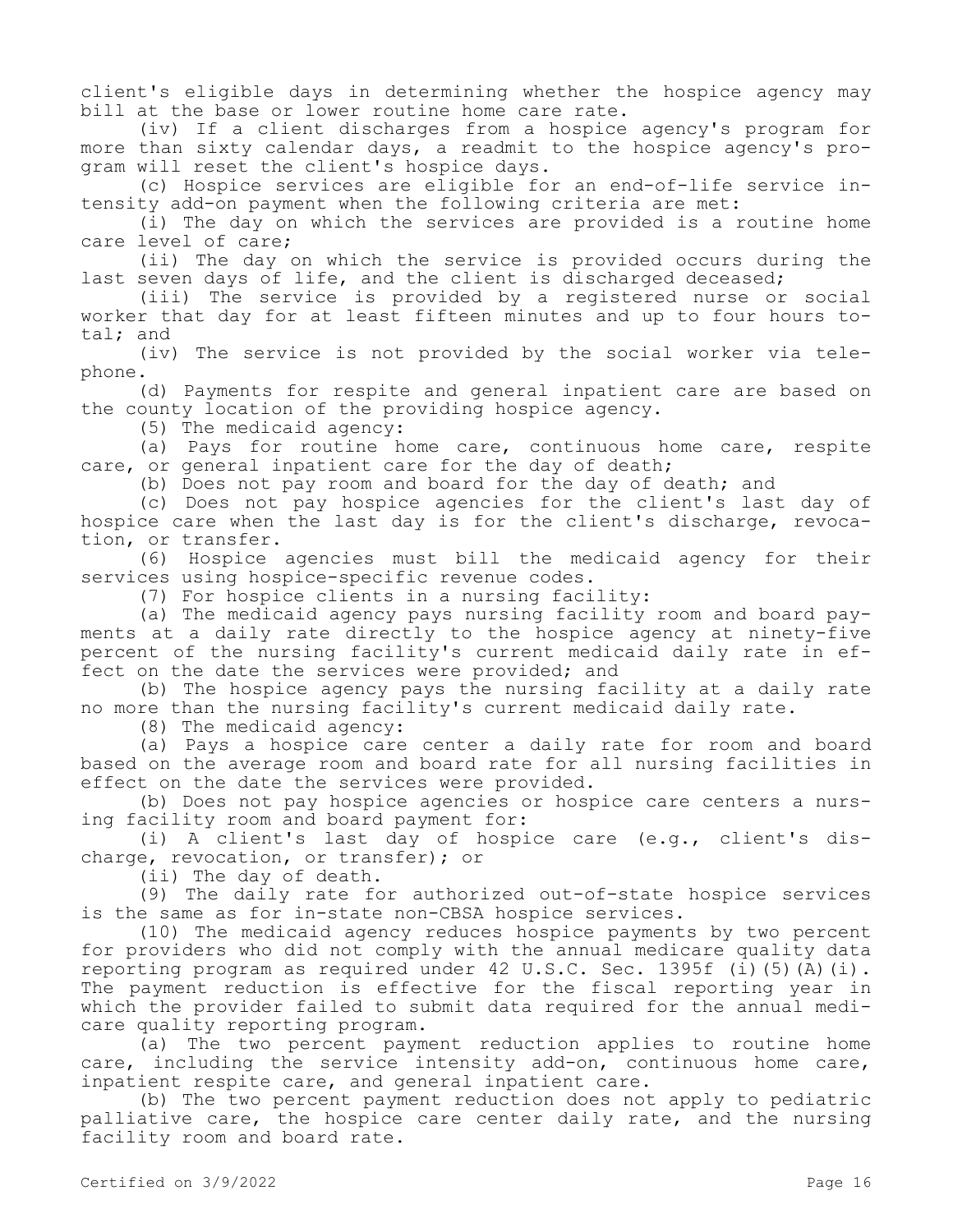client's eligible days in determining whether the hospice agency may bill at the base or lower routine home care rate.

(iv) If a client discharges from a hospice agency's program for more than sixty calendar days, a readmit to the hospice agency's program will reset the client's hospice days.

(c) Hospice services are eligible for an end-of-life service intensity add-on payment when the following criteria are met:

(i) The day on which the services are provided is a routine home care level of care;

(ii) The day on which the service is provided occurs during the last seven days of life, and the client is discharged deceased;

(iii) The service is provided by a registered nurse or social worker that day for at least fifteen minutes and up to four hours total; and

(iv) The service is not provided by the social worker via telephone.

(d) Payments for respite and general inpatient care are based on the county location of the providing hospice agency.

(5) The medicaid agency:

(a) Pays for routine home care, continuous home care, respite care, or general inpatient care for the day of death;

(b) Does not pay room and board for the day of death; and

(c) Does not pay hospice agencies for the client's last day of hospice care when the last day is for the client's discharge, revocation, or transfer.

(6) Hospice agencies must bill the medicaid agency for their services using hospice-specific revenue codes.

(7) For hospice clients in a nursing facility:

(a) The medicaid agency pays nursing facility room and board payments at a daily rate directly to the hospice agency at ninety-five percent of the nursing facility's current medicaid daily rate in effect on the date the services were provided; and

(b) The hospice agency pays the nursing facility at a daily rate no more than the nursing facility's current medicaid daily rate.

(8) The medicaid agency:

(a) Pays a hospice care center a daily rate for room and board based on the average room and board rate for all nursing facilities in effect on the date the services were provided.

(b) Does not pay hospice agencies or hospice care centers a nursing facility room and board payment for:

(i) A client's last day of hospice care (e.g., client's discharge, revocation, or transfer); or

(ii) The day of death.

(9) The daily rate for authorized out-of-state hospice services is the same as for in-state non-CBSA hospice services.

(10) The medicaid agency reduces hospice payments by two percent for providers who did not comply with the annual medicare quality data reporting program as required under 42 U.S.C. Sec. 1395f (i)(5)(A)(i). The payment reduction is effective for the fiscal reporting year in which the provider failed to submit data required for the annual medicare quality reporting program.

(a) The two percent payment reduction applies to routine home care, including the service intensity add-on, continuous home care, inpatient respite care, and general inpatient care.

(b) The two percent payment reduction does not apply to pediatric palliative care, the hospice care center daily rate, and the nursing facility room and board rate.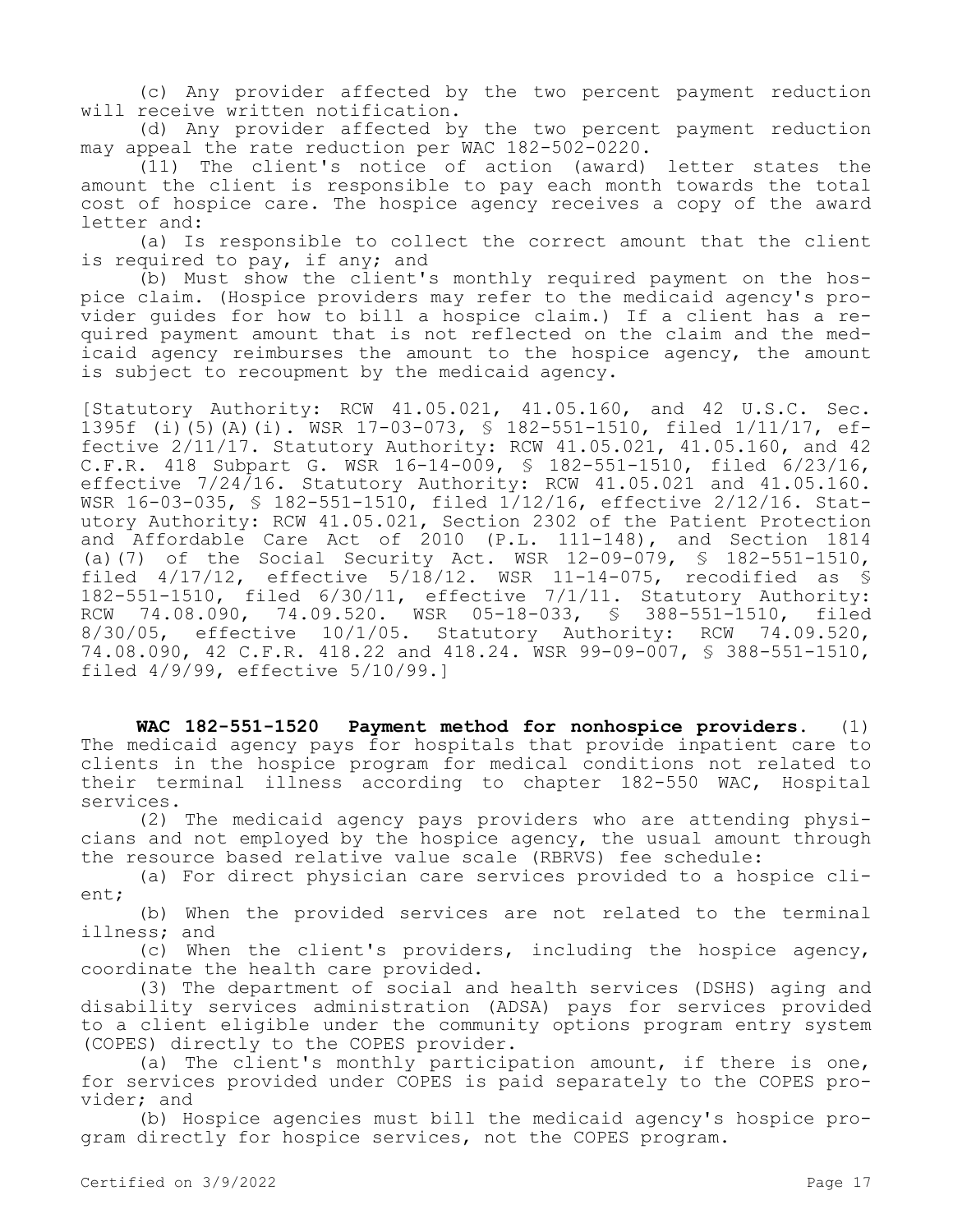(c) Any provider affected by the two percent payment reduction will receive written notification.

(d) Any provider affected by the two percent payment reduction may appeal the rate reduction per WAC 182-502-0220.

(11) The client's notice of action (award) letter states the amount the client is responsible to pay each month towards the total cost of hospice care. The hospice agency receives a copy of the award letter and:

(a) Is responsible to collect the correct amount that the client is required to pay, if any; and

(b) Must show the client's monthly required payment on the hospice claim. (Hospice providers may refer to the medicaid agency's provider guides for how to bill a hospice claim.) If a client has a required payment amount that is not reflected on the claim and the medicaid agency reimburses the amount to the hospice agency, the amount is subject to recoupment by the medicaid agency.

[Statutory Authority: RCW 41.05.021, 41.05.160, and 42 U.S.C. Sec. 1395f (i)(5)(A)(i). WSR 17-03-073, § 182-551-1510, filed 1/11/17, effective 2/11/17. Statutory Authority: RCW 41.05.021, 41.05.160, and 42 C.F.R. 418 Subpart G. WSR 16-14-009, § 182-551-1510, filed 6/23/16, effective  $7/24/16$ . Statutory Authority: RCW  $41.05.021$  and  $41.05.160$ . WSR 16-03-035, § 182-551-1510, filed 1/12/16, effective 2/12/16. Statutory Authority: RCW 41.05.021, Section 2302 of the Patient Protection and Affordable Care Act of 2010 (P.L. 111-148), and Section 1814 (a)(7) of the Social Security Act. WSR 12-09-079, § 182-551-1510, filed  $4/17/12$ , effective  $5/18/12$ . WSR 11-14-075, recodified as § 182-551-1510, filed 6/30/11, effective 7/1/11. Statutory Authority:<br>RCW 74.08.090, 74.09.520. WSR 05-18-033, § 388-551-1510, filed RCW 74.08.090, 74.09.520. WSR 05-18-033, § 388-551-1510, filed 8/30/05, effective 10/1/05. Statutory Authority: RCW 74.09.520, 74.08.090, 42 C.F.R. 418.22 and 418.24. WSR 99-09-007, § 388-551-1510, filed 4/9/99, effective 5/10/99.]

**WAC 182-551-1520 Payment method for nonhospice providers.** (1) The medicaid agency pays for hospitals that provide inpatient care to clients in the hospice program for medical conditions not related to their terminal illness according to chapter 182-550 WAC, Hospital services.

(2) The medicaid agency pays providers who are attending physicians and not employed by the hospice agency, the usual amount through the resource based relative value scale (RBRVS) fee schedule:

(a) For direct physician care services provided to a hospice client;

(b) When the provided services are not related to the terminal illness; and

(c) When the client's providers, including the hospice agency, coordinate the health care provided.

(3) The department of social and health services (DSHS) aging and disability services administration (ADSA) pays for services provided to a client eligible under the community options program entry system (COPES) directly to the COPES provider.

(a) The client's monthly participation amount, if there is one, for services provided under COPES is paid separately to the COPES provider; and

(b) Hospice agencies must bill the medicaid agency's hospice program directly for hospice services, not the COPES program.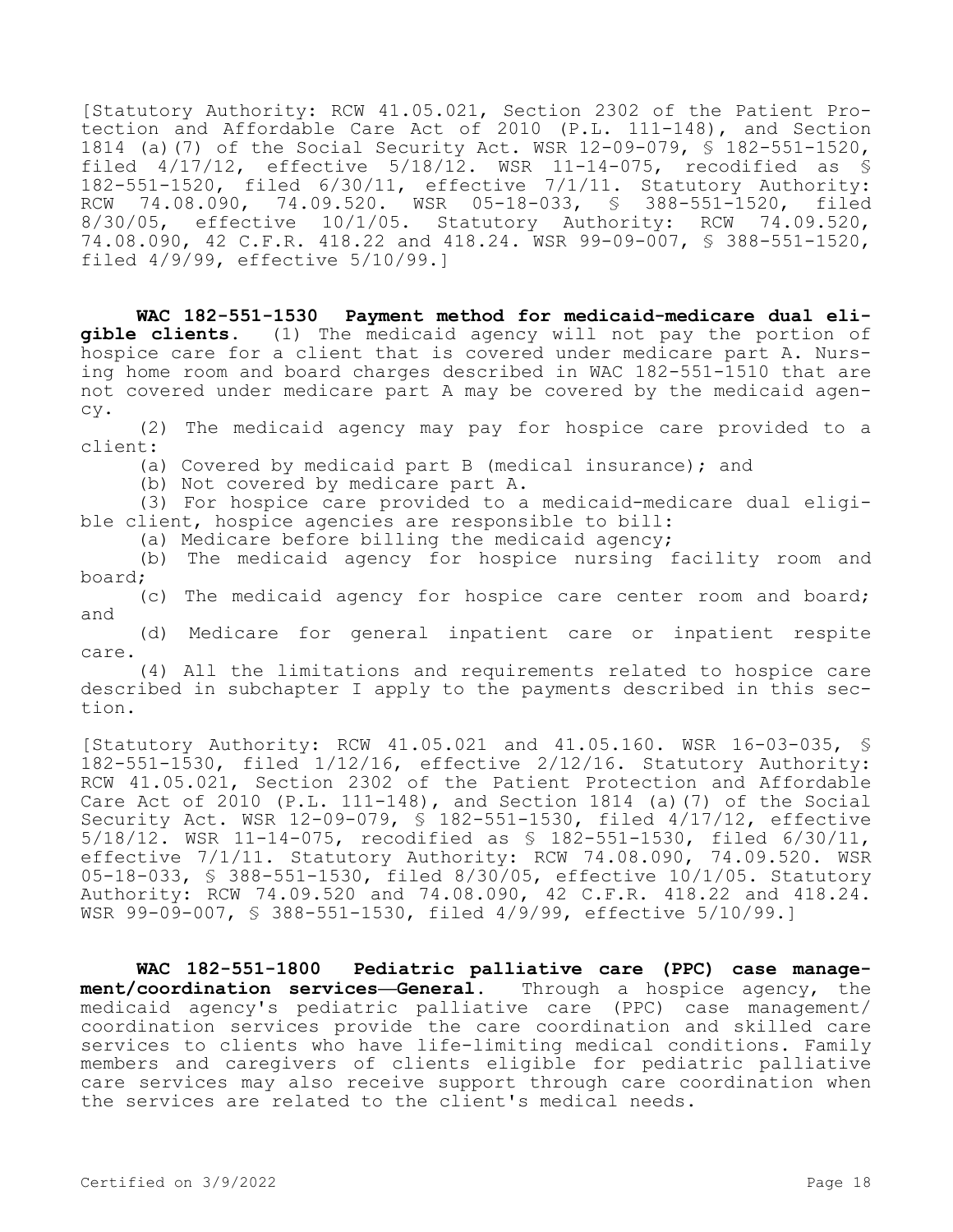[Statutory Authority: RCW 41.05.021, Section 2302 of the Patient Protection and Affordable Care Act of 2010 (P.L. 111-148), and Section 1814 (a)(7) of the Social Security Act. WSR 12-09-079, § 182-551-1520, filed 4/17/12, effective 5/18/12. WSR 11-14-075, recodified as § 182-551-1520, filed 6/30/11, effective 7/1/11. Statutory Authority: RCW 74.08.090, 74.09.520. WSR 05-18-033, § 388-551-1520, filed<br>8/30/05, effective 10/1/05. Statutory Authority: RCW 74.09.520, effective 10/1/05. Statutory Authority: RCW 74.09.520, 74.08.090, 42 C.F.R. 418.22 and 418.24. WSR 99-09-007, § 388-551-1520, filed 4/9/99, effective 5/10/99.]

**WAC 182-551-1530 Payment method for medicaid-medicare dual eligible clients.** (1) The medicaid agency will not pay the portion of hospice care for a client that is covered under medicare part A. Nursing home room and board charges described in WAC 182-551-1510 that are not covered under medicare part A may be covered by the medicaid agency.

(2) The medicaid agency may pay for hospice care provided to a client:

(a) Covered by medicaid part B (medical insurance); and

(b) Not covered by medicare part A.

(3) For hospice care provided to a medicaid-medicare dual eligible client, hospice agencies are responsible to bill:

(a) Medicare before billing the medicaid agency;

(b) The medicaid agency for hospice nursing facility room and board;

(c) The medicaid agency for hospice care center room and board; and

(d) Medicare for general inpatient care or inpatient respite care.

(4) All the limitations and requirements related to hospice care described in subchapter I apply to the payments described in this section.

[Statutory Authority: RCW 41.05.021 and 41.05.160. WSR 16-03-035, § 182-551-1530, filed 1/12/16, effective 2/12/16. Statutory Authority: RCW 41.05.021, Section 2302 of the Patient Protection and Affordable Care Act of 2010 (P.L. 111-148), and Section 1814 (a)(7) of the Social Security Act. WSR 12-09-079, § 182-551-1530, filed 4/17/12, effective 5/18/12. WSR 11-14-075, recodified as § 182-551-1530, filed 6/30/11, effective 7/1/11. Statutory Authority: RCW 74.08.090, 74.09.520. WSR 05-18-033, § 388-551-1530, filed 8/30/05, effective 10/1/05. Statutory Authority: RCW 74.09.520 and 74.08.090, 42 C.F.R. 418.22 and 418.24. WSR 99-09-007, § 388-551-1530, filed 4/9/99, effective 5/10/99.]

**WAC 182-551-1800 Pediatric palliative care (PPC) case management/coordination services—General.** Through a hospice agency, the medicaid agency's pediatric palliative care (PPC) case management/ coordination services provide the care coordination and skilled care services to clients who have life-limiting medical conditions. Family members and caregivers of clients eligible for pediatric palliative care services may also receive support through care coordination when the services are related to the client's medical needs.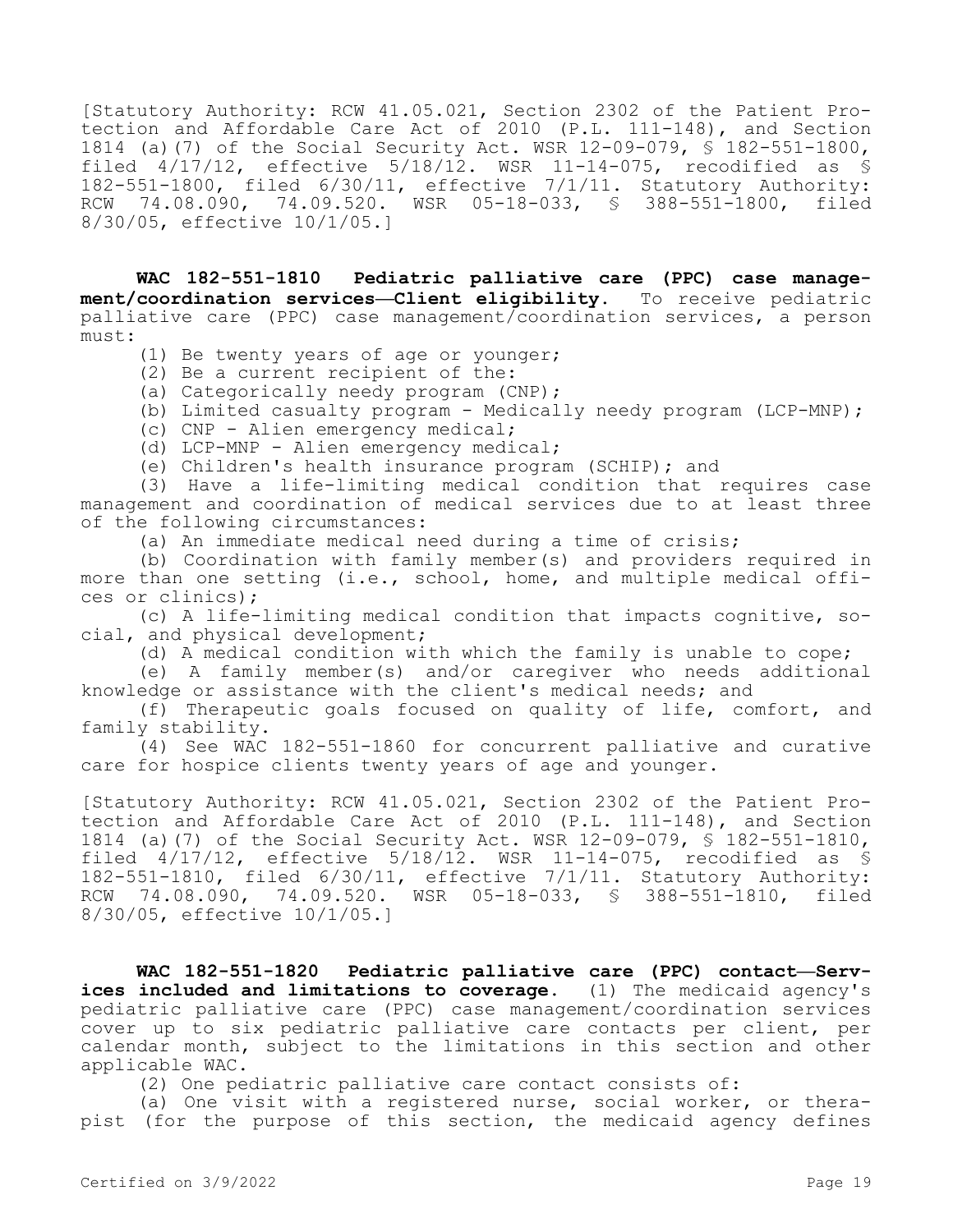[Statutory Authority: RCW 41.05.021, Section 2302 of the Patient Protection and Affordable Care Act of 2010 (P.L. 111-148), and Section 1814 (a)(7) of the Social Security Act. WSR 12-09-079, § 182-551-1800, filed  $4/17/12$ , effective  $5/18/12$ . WSR 11-14-075, recodified as § 182-551-1800, filed 6/30/11, effective 7/1/11. Statutory Authority:<br>RCW 74.08.090, 74.09.520. WSR 05-18-033, § 388-551-1800, filed 74.08.090, 74.09.520. WSR 05-18-033, § 388-551-1800, filed 8/30/05, effective 10/1/05.]

**WAC 182-551-1810 Pediatric palliative care (PPC) case management/coordination services—Client eligibility.** To receive pediatric palliative care (PPC) case management/coordination services, a person must:

(1) Be twenty years of age or younger;

(2) Be a current recipient of the:

(a) Categorically needy program (CNP);

(b) Limited casualty program - Medically needy program (LCP-MNP);

(c) CNP - Alien emergency medical;

(d) LCP-MNP - Alien emergency medical;

(e) Children's health insurance program (SCHIP); and

(3) Have a life-limiting medical condition that requires case management and coordination of medical services due to at least three of the following circumstances:

(a) An immediate medical need during a time of crisis;

(b) Coordination with family member(s) and providers required in more than one setting (i.e., school, home, and multiple medical offices or clinics);

(c) A life-limiting medical condition that impacts cognitive, social, and physical development;

(d) A medical condition with which the family is unable to cope;

(e) A family member(s) and/or caregiver who needs additional knowledge or assistance with the client's medical needs; and

(f) Therapeutic goals focused on quality of life, comfort, and family stability.

(4) See WAC 182-551-1860 for concurrent palliative and curative care for hospice clients twenty years of age and younger.

[Statutory Authority: RCW 41.05.021, Section 2302 of the Patient Protection and Affordable Care Act of 2010 (P.L. 111-148), and Section 1814 (a)(7) of the Social Security Act. WSR 12-09-079, § 182-551-1810, filed 4/17/12, effective 5/18/12. WSR 11-14-075, recodified as § 182-551-1810, filed 6/30/11, effective 7/1/11. Statutory Authority: RCW 74.08.090, 74.09.520. WSR 05-18-033, § 388-551-1810, filed 8/30/05, effective 10/1/05.]

**WAC 182-551-1820 Pediatric palliative care (PPC) contact—Services included and limitations to coverage.** (1) The medicaid agency's pediatric palliative care (PPC) case management/coordination services cover up to six pediatric palliative care contacts per client, per calendar month, subject to the limitations in this section and other applicable WAC.

(2) One pediatric palliative care contact consists of:

(a) One visit with a registered nurse, social worker, or therapist (for the purpose of this section, the medicaid agency defines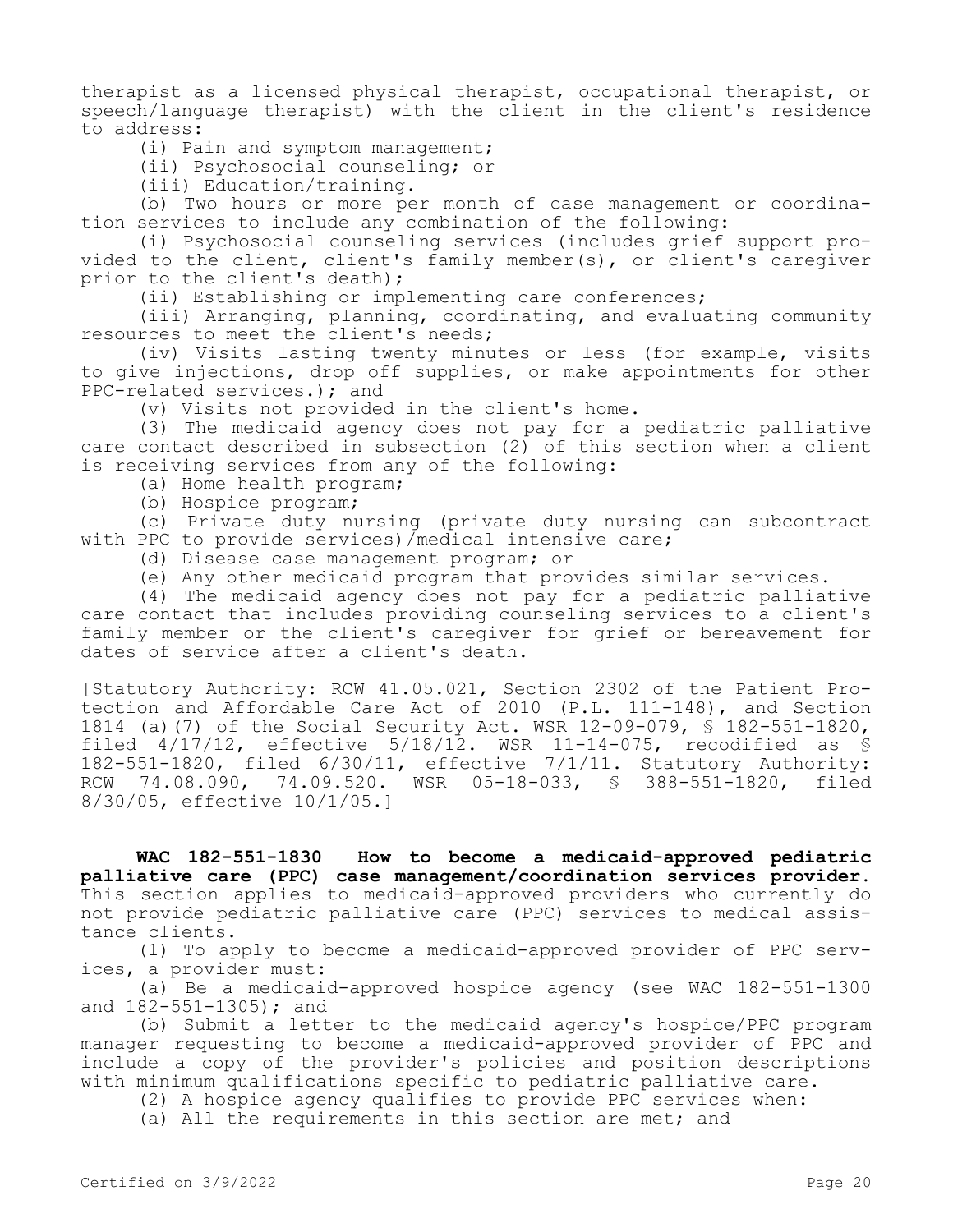therapist as a licensed physical therapist, occupational therapist, or speech/language therapist) with the client in the client's residence to address:

(i) Pain and symptom management;

(ii) Psychosocial counseling; or

(iii) Education/training.

(b) Two hours or more per month of case management or coordination services to include any combination of the following:

(i) Psychosocial counseling services (includes grief support provided to the client, client's family member(s), or client's caregiver prior to the client's death);

(ii) Establishing or implementing care conferences;

(iii) Arranging, planning, coordinating, and evaluating community resources to meet the client's needs;

(iv) Visits lasting twenty minutes or less (for example, visits to give injections, drop off supplies, or make appointments for other PPC-related services.); and

(v) Visits not provided in the client's home.

(3) The medicaid agency does not pay for a pediatric palliative care contact described in subsection  $(2)$  of this section when a client is receiving services from any of the following:

(a) Home health program;

(b) Hospice program;

(c) Private duty nursing (private duty nursing can subcontract with PPC to provide services)/medical intensive care;

(d) Disease case management program; or

(e) Any other medicaid program that provides similar services.

(4) The medicaid agency does not pay for a pediatric palliative care contact that includes providing counseling services to a client's family member or the client's caregiver for grief or bereavement for dates of service after a client's death.

[Statutory Authority: RCW 41.05.021, Section 2302 of the Patient Protection and Affordable Care Act of 2010 (P.L. 111-148), and Section 1814 (a)(7) of the Social Security Act. WSR 12-09-079, § 182-551-1820, filed  $4/17/12$ , effective  $5/18/12$ . WSR 11-14-075, recodified as § 182-551-1820, filed 6/30/11, effective 7/1/11. Statutory Authority: RCW 74.08.090, 74.09.520. WSR 05-18-033, § 388-551-1820, filed 8/30/05, effective 10/1/05.]

**WAC 182-551-1830 How to become a medicaid-approved pediatric palliative care (PPC) case management/coordination services provider.**  This section applies to medicaid-approved providers who currently do not provide pediatric palliative care (PPC) services to medical assistance clients.

(1) To apply to become a medicaid-approved provider of PPC services, a provider must:

(a) Be a medicaid-approved hospice agency (see WAC 182-551-1300 and 182-551-1305); and

(b) Submit a letter to the medicaid agency's hospice/PPC program manager requesting to become a medicaid-approved provider of PPC and include a copy of the provider's policies and position descriptions with minimum qualifications specific to pediatric palliative care.

(2) A hospice agency qualifies to provide PPC services when:

(a) All the requirements in this section are met; and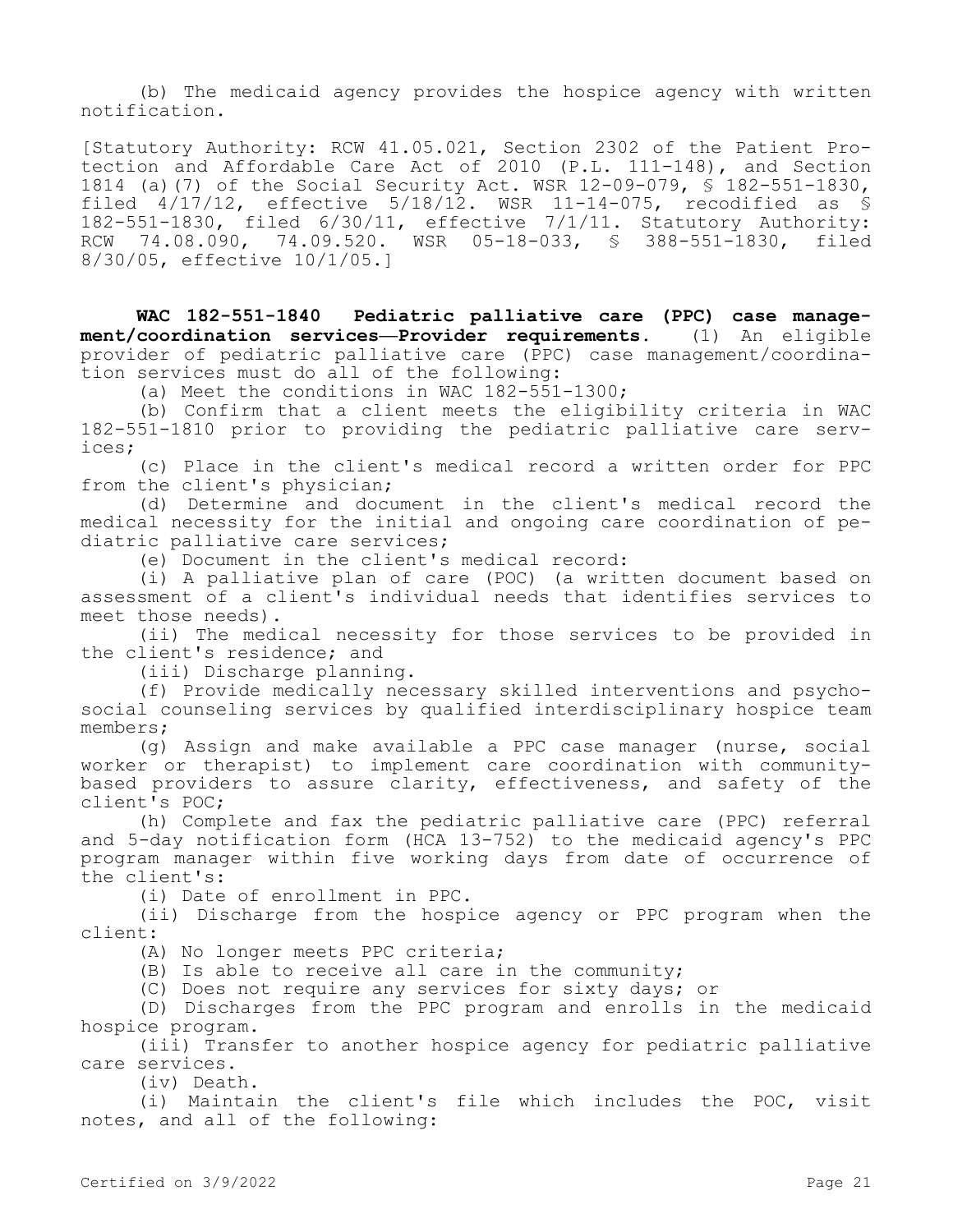(b) The medicaid agency provides the hospice agency with written notification.

[Statutory Authority: RCW 41.05.021, Section 2302 of the Patient Protection and Affordable Care Act of 2010 (P.L. 111-148), and Section 1814 (a)(7) of the Social Security Act. WSR 12-09-079, § 182-551-1830, filed 4/17/12, effective 5/18/12. WSR 11-14-075, recodified as § 182-551-1830, filed 6/30/11, effective 7/1/11. Statutory Authority: RCW 74.08.090, 74.09.520. WSR 05-18-033, § 388-551-1830, filed 8/30/05, effective 10/1/05.]

**WAC 182-551-1840 Pediatric palliative care (PPC) case management/coordination services—Provider requirements.** (1) An eligible provider of pediatric palliative care (PPC) case management/coordination services must do all of the following:

(a) Meet the conditions in WAC 182-551-1300;

(b) Confirm that a client meets the eligibility criteria in WAC 182-551-1810 prior to providing the pediatric palliative care services;

(c) Place in the client's medical record a written order for PPC from the client's physician;

(d) Determine and document in the client's medical record the medical necessity for the initial and ongoing care coordination of pediatric palliative care services;

(e) Document in the client's medical record:

(i) A palliative plan of care (POC) (a written document based on assessment of a client's individual needs that identifies services to meet those needs).

(ii) The medical necessity for those services to be provided in the client's residence; and

(iii) Discharge planning.

(f) Provide medically necessary skilled interventions and psychosocial counseling services by qualified interdisciplinary hospice team members;

(g) Assign and make available a PPC case manager (nurse, social worker or therapist) to implement care coordination with communitybased providers to assure clarity, effectiveness, and safety of the client's POC;

(h) Complete and fax the pediatric palliative care (PPC) referral and 5-day notification form (HCA 13-752) to the medicaid agency's PPC program manager within five working days from date of occurrence of the client's:

(i) Date of enrollment in PPC.

(ii) Discharge from the hospice agency or PPC program when the client:

(A) No longer meets PPC criteria;

(B) Is able to receive all care in the community;

(C) Does not require any services for sixty days; or

(D) Discharges from the PPC program and enrolls in the medicaid hospice program.

(iii) Transfer to another hospice agency for pediatric palliative care services.

(iv) Death.

(i) Maintain the client's file which includes the POC, visit notes, and all of the following: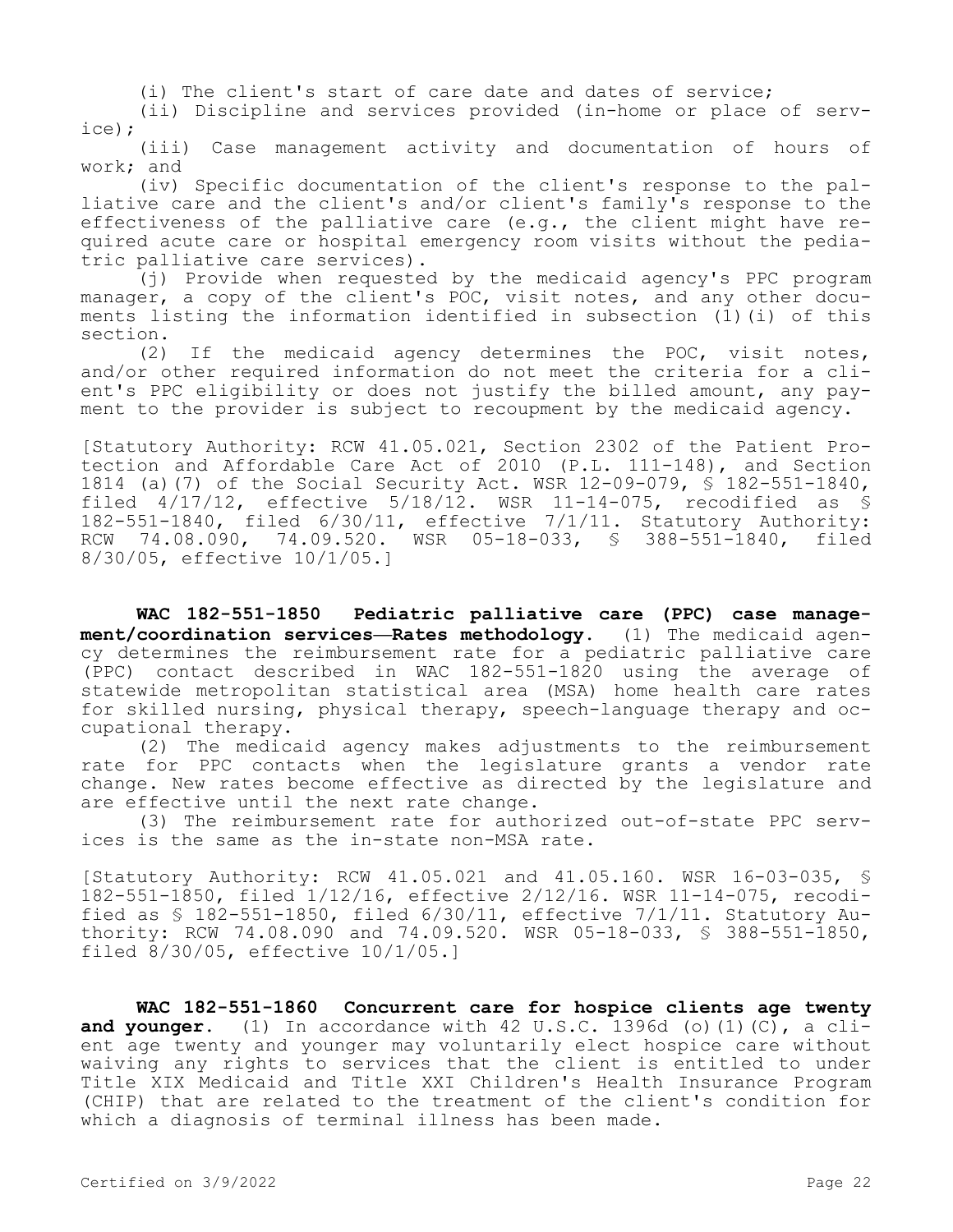(i) The client's start of care date and dates of service;

(ii) Discipline and services provided (in-home or place of service);

(iii) Case management activity and documentation of hours of work; and

(iv) Specific documentation of the client's response to the palliative care and the client's and/or client's family's response to the effectiveness of the palliative care (e.g., the client might have required acute care or hospital emergency room visits without the pediatric palliative care services).

(j) Provide when requested by the medicaid agency's PPC program manager, a copy of the client's POC, visit notes, and any other documents listing the information identified in subsection (1)(i) of this section.

(2) If the medicaid agency determines the POC, visit notes, and/or other required information do not meet the criteria for a client's PPC eligibility or does not justify the billed amount, any payment to the provider is subject to recoupment by the medicaid agency.

[Statutory Authority: RCW 41.05.021, Section 2302 of the Patient Protection and Affordable Care Act of 2010 (P.L. 111-148), and Section 1814 (a)(7) of the Social Security Act. WSR 12-09-079, § 182-551-1840, filed 4/17/12, effective 5/18/12. WSR 11-14-075, recodified as § 182-551-1840, filed 6/30/11, effective 7/1/11. Statutory Authority: RCW 74.08.090, 74.09.520. WSR 05-18-033, § 388-551-1840, filed 8/30/05, effective 10/1/05.]

**WAC 182-551-1850 Pediatric palliative care (PPC) case management/coordination services—Rates methodology.** (1) The medicaid agency determines the reimbursement rate for a pediatric palliative care (PPC) contact described in WAC 182-551-1820 using the average of statewide metropolitan statistical area (MSA) home health care rates for skilled nursing, physical therapy, speech-language therapy and occupational therapy.

(2) The medicaid agency makes adjustments to the reimbursement rate for PPC contacts when the legislature grants a vendor rate change. New rates become effective as directed by the legislature and are effective until the next rate change.

(3) The reimbursement rate for authorized out-of-state PPC services is the same as the in-state non-MSA rate.

[Statutory Authority: RCW 41.05.021 and 41.05.160. WSR 16-03-035, § 182-551-1850, filed 1/12/16, effective 2/12/16. WSR 11-14-075, recodified as § 182-551-1850, filed 6/30/11, effective 7/1/11. Statutory Authority: RCW 74.08.090 and 74.09.520. WSR 05-18-033, § 388-551-1850, filed 8/30/05, effective 10/1/05.]

**WAC 182-551-1860 Concurrent care for hospice clients age twenty and younger.** (1) In accordance with 42 U.S.C. 1396d (o)(1)(C), a client age twenty and younger may voluntarily elect hospice care without waiving any rights to services that the client is entitled to under Title XIX Medicaid and Title XXI Children's Health Insurance Program (CHIP) that are related to the treatment of the client's condition for which a diagnosis of terminal illness has been made.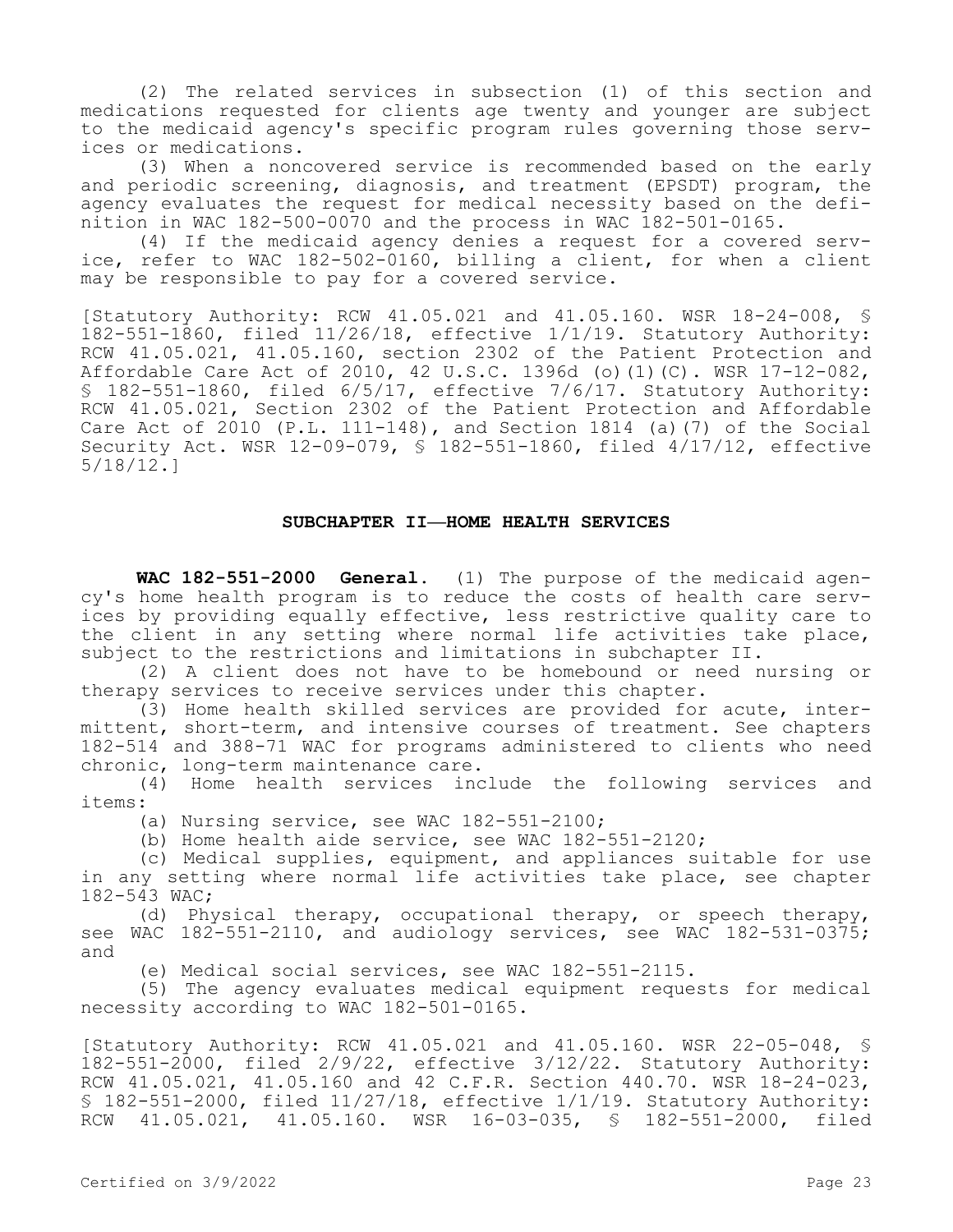(2) The related services in subsection (1) of this section and medications requested for clients age twenty and younger are subject to the medicaid agency's specific program rules governing those services or medications.

(3) When a noncovered service is recommended based on the early and periodic screening, diagnosis, and treatment (EPSDT) program, the agency evaluates the request for medical necessity based on the definition in WAC 182-500-0070 and the process in WAC 182-501-0165.

(4) If the medicaid agency denies a request for a covered service, refer to WAC 182-502-0160, billing a client, for when a client may be responsible to pay for a covered service.

[Statutory Authority: RCW 41.05.021 and 41.05.160. WSR 18-24-008, § 182-551-1860, filed 11/26/18, effective 1/1/19. Statutory Authority: RCW 41.05.021, 41.05.160, section 2302 of the Patient Protection and Affordable Care Act of 2010, 42 U.S.C. 1396d (o)(1)(C). WSR 17-12-082, § 182-551-1860, filed 6/5/17, effective 7/6/17. Statutory Authority: RCW 41.05.021, Section 2302 of the Patient Protection and Affordable Care Act of  $2010$  (P.L. 111-148), and Section 1814 (a)(7) of the Social Security Act. WSR 12-09-079, § 182-551-1860, filed 4/17/12, effective 5/18/12.]

### **SUBCHAPTER II—HOME HEALTH SERVICES**

**WAC 182-551-2000 General.** (1) The purpose of the medicaid agency's home health program is to reduce the costs of health care services by providing equally effective, less restrictive quality care to the client in any setting where normal life activities take place, subject to the restrictions and limitations in subchapter II.

(2) A client does not have to be homebound or need nursing or therapy services to receive services under this chapter.

(3) Home health skilled services are provided for acute, intermittent, short-term, and intensive courses of treatment. See chapters 182-514 and 388-71 WAC for programs administered to clients who need chronic, long-term maintenance care.

(4) Home health services include the following services and items:

(a) Nursing service, see WAC 182-551-2100;

(b) Home health aide service, see WAC 182-551-2120;

(c) Medical supplies, equipment, and appliances suitable for use in any setting where normal life activities take place, see chapter 182-543 WAC;

(d) Physical therapy, occupational therapy, or speech therapy, see WAC 182-551-2110, and audiology services, see WAC 182-531-0375; and

(e) Medical social services, see WAC 182-551-2115.

(5) The agency evaluates medical equipment requests for medical necessity according to WAC 182-501-0165.

[Statutory Authority: RCW 41.05.021 and 41.05.160. WSR 22-05-048, § 182-551-2000, filed 2/9/22, effective 3/12/22. Statutory Authority: RCW 41.05.021, 41.05.160 and 42 C.F.R. Section 440.70. WSR 18-24-023, § 182-551-2000, filed 11/27/18, effective 1/1/19. Statutory Authority: RCW 41.05.021, 41.05.160. WSR 16-03-035, § 182-551-2000, filed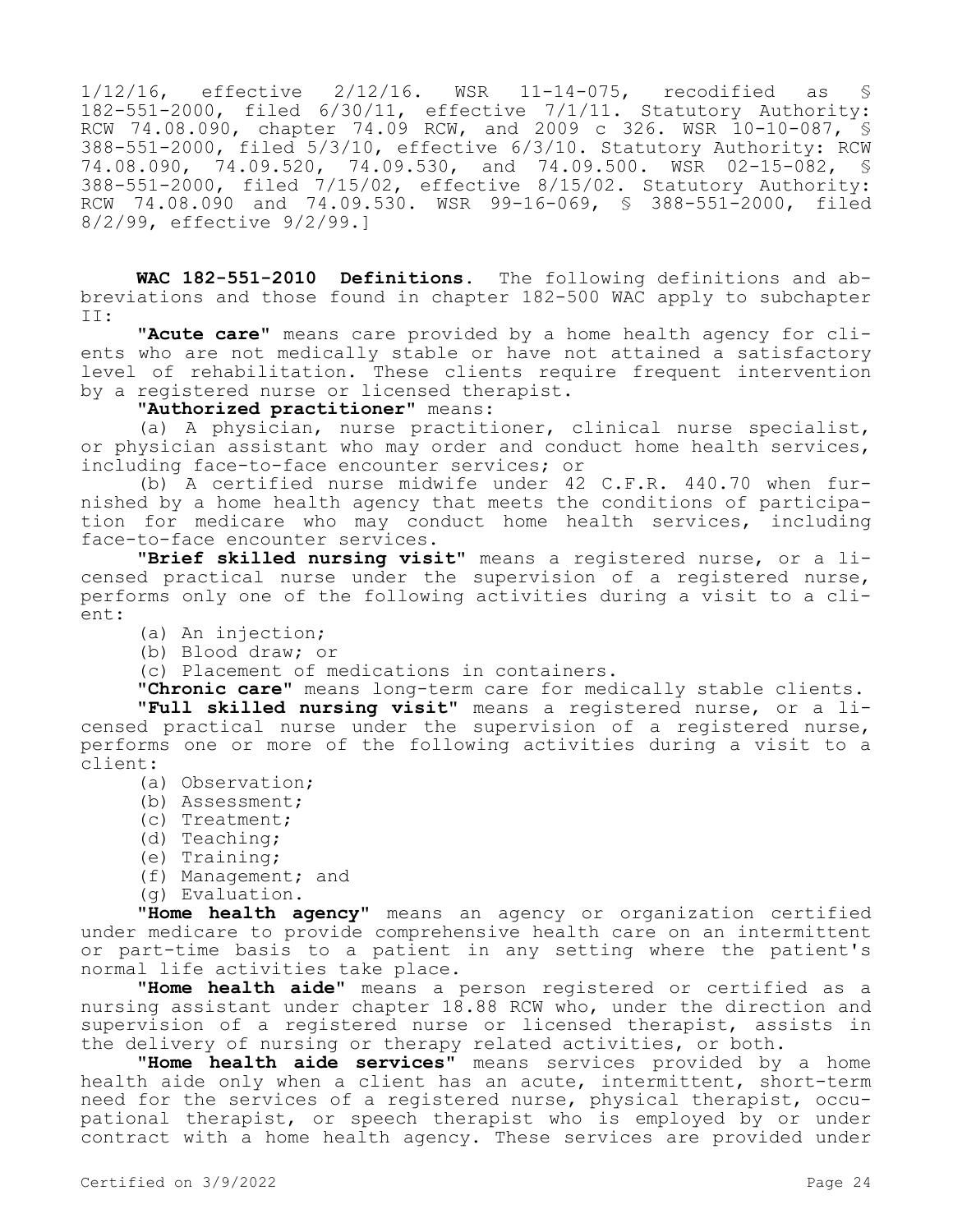1/12/16, effective 2/12/16. WSR 11-14-075, recodified as § 182-551-2000, filed 6/30/11, effective 7/1/11. Statutory Authority: RCW 74.08.090, chapter 74.09 RCW, and 2009 c 326. WSR 10-10-087, § 388-551-2000, filed 5/3/10, effective 6/3/10. Statutory Authority: RCW 74.08.090, 74.09.520, 74.09.530, and 74.09.500. WSR 02-15-082, 388-551-2000, filed 7/15/02, effective 8/15/02. Statutory Authority: RCW 74.08.090 and 74.09.530. WSR 99-16-069, § 388-551-2000, filed 8/2/99, effective 9/2/99.]

**WAC 182-551-2010 Definitions.** The following definitions and abbreviations and those found in chapter 182-500 WAC apply to subchapter II:

**"Acute care"** means care provided by a home health agency for clients who are not medically stable or have not attained a satisfactory level of rehabilitation. These clients require frequent intervention by a registered nurse or licensed therapist.

**"Authorized practitioner"** means:

(a) A physician, nurse practitioner, clinical nurse specialist, or physician assistant who may order and conduct home health services, including face-to-face encounter services; or

(b) A certified nurse midwife under 42 C.F.R. 440.70 when furnished by a home health agency that meets the conditions of participation for medicare who may conduct home health services, including face-to-face encounter services.

**"Brief skilled nursing visit"** means a registered nurse, or a licensed practical nurse under the supervision of a registered nurse, performs only one of the following activities during a visit to a client:

- (a) An injection;
- (b) Blood draw; or

(c) Placement of medications in containers.

**"Chronic care"** means long-term care for medically stable clients. **"Full skilled nursing visit"** means a registered nurse, or a li-

censed practical nurse under the supervision of a registered nurse, performs one or more of the following activities during a visit to a client:

- (a) Observation;
- (b) Assessment;
- (c) Treatment;
- (d) Teaching;
- (e) Training;
- (f) Management; and
- (g) Evaluation.

**"Home health agency"** means an agency or organization certified under medicare to provide comprehensive health care on an intermittent or part-time basis to a patient in any setting where the patient's normal life activities take place.

**"Home health aide"** means a person registered or certified as a nursing assistant under chapter 18.88 RCW who, under the direction and supervision of a registered nurse or licensed therapist, assists in the delivery of nursing or therapy related activities, or both.

**"Home health aide services"** means services provided by a home health aide only when a client has an acute, intermittent, short-term need for the services of a registered nurse, physical therapist, occupational therapist, or speech therapist who is employed by or under contract with a home health agency. These services are provided under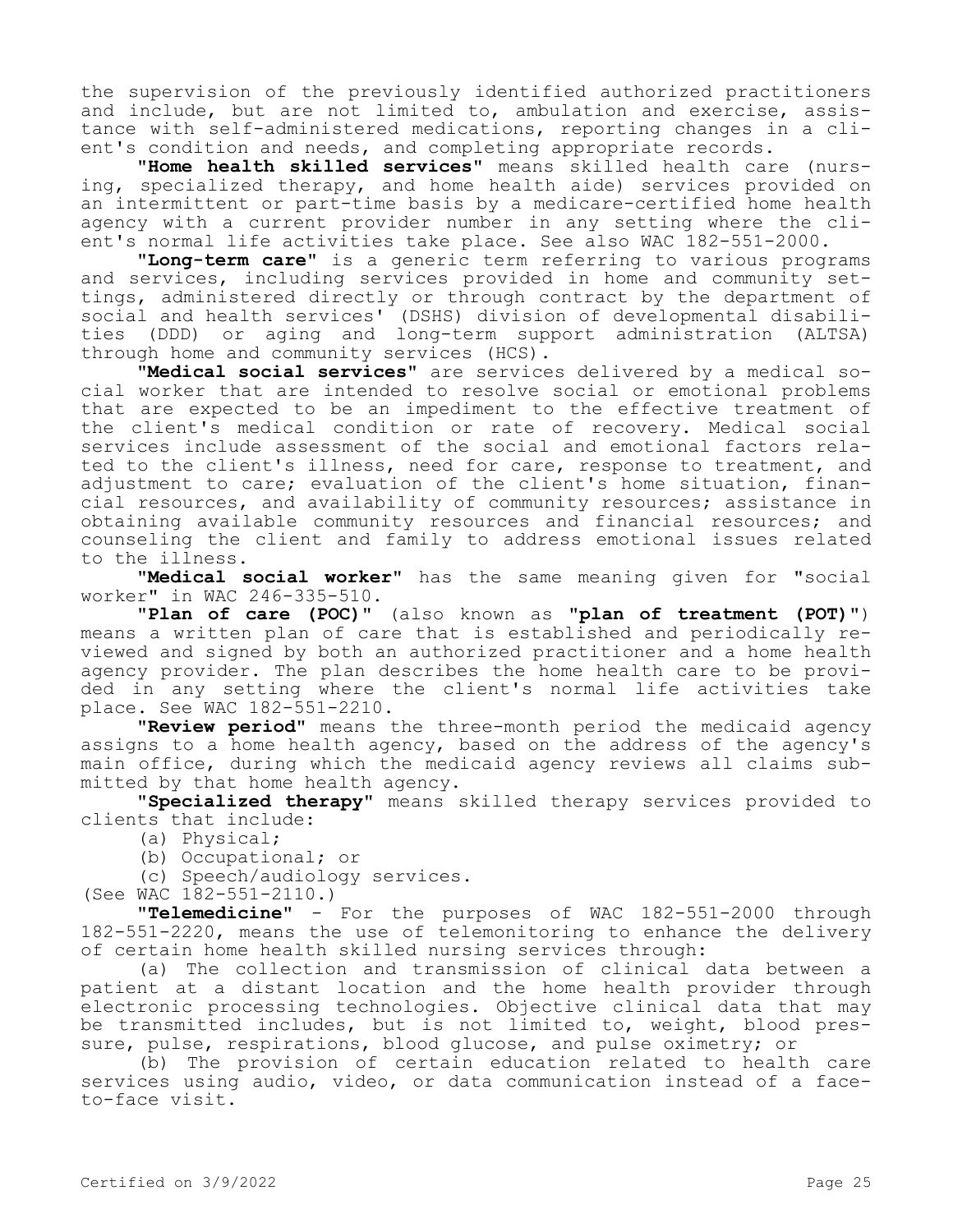the supervision of the previously identified authorized practitioners and include, but are not limited to, ambulation and exercise, assistance with self-administered medications, reporting changes in a client's condition and needs, and completing appropriate records.

**"Home health skilled services"** means skilled health care (nursing, specialized therapy, and home health aide) services provided on an intermittent or part-time basis by a medicare-certified home health agency with a current provider number in any setting where the client's normal life activities take place. See also WAC 182-551-2000.

**"Long-term care"** is a generic term referring to various programs and services, including services provided in home and community settings, administered directly or through contract by the department of social and health services' (DSHS) division of developmental disabilities (DDD) or aging and long-term support administration (ALTSA) through home and community services (HCS).

**"Medical social services"** are services delivered by a medical social worker that are intended to resolve social or emotional problems that are expected to be an impediment to the effective treatment of the client's medical condition or rate of recovery. Medical social services include assessment of the social and emotional factors related to the client's illness, need for care, response to treatment, and adjustment to care; evaluation of the client's home situation, financial resources, and availability of community resources; assistance in obtaining available community resources and financial resources; and counseling the client and family to address emotional issues related to the illness.

**"Medical social worker"** has the same meaning given for "social worker" in WAC 246-335-510.

**"Plan of care (POC)"** (also known as **"plan of treatment (POT)"**) means a written plan of care that is established and periodically reviewed and signed by both an authorized practitioner and a home health agency provider. The plan describes the home health care to be provided in any setting where the client's normal life activities take place. See WAC 182-551-2210.

**"Review period"** means the three-month period the medicaid agency assigns to a home health agency, based on the address of the agency's main office, during which the medicaid agency reviews all claims submitted by that home health agency.

**"Specialized therapy"** means skilled therapy services provided to clients that include:

- (a) Physical;
- (b) Occupational; or
- (c) Speech/audiology services.

(See WAC 182-551-2110.)

**"Telemedicine"** - For the purposes of WAC 182-551-2000 through 182-551-2220, means the use of telemonitoring to enhance the delivery of certain home health skilled nursing services through:

(a) The collection and transmission of clinical data between a patient at a distant location and the home health provider through electronic processing technologies. Objective clinical data that may be transmitted includes, but is not limited to, weight, blood pressure, pulse, respirations, blood glucose, and pulse oximetry; or

(b) The provision of certain education related to health care services using audio, video, or data communication instead of a faceto-face visit.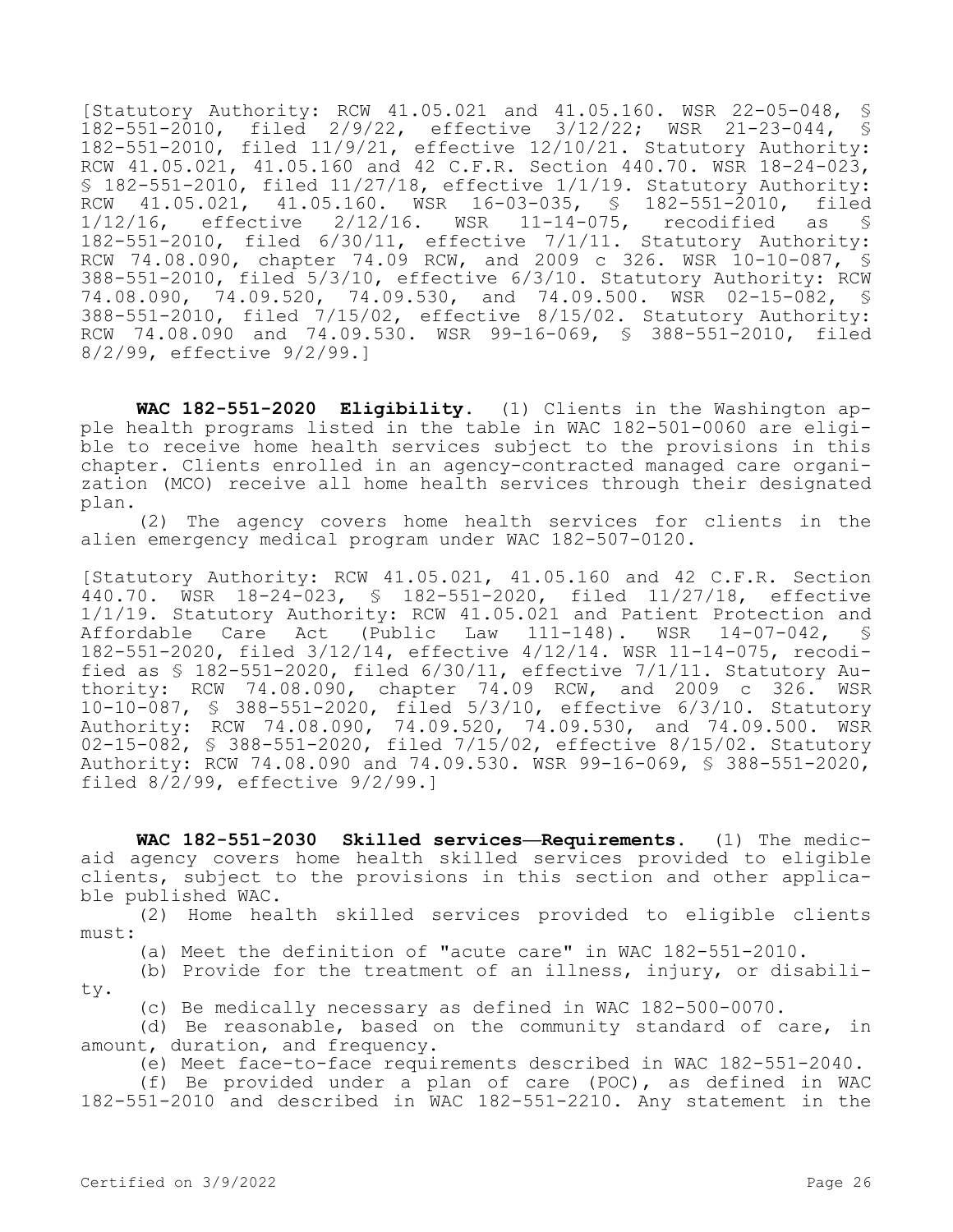[Statutory Authority: RCW 41.05.021 and 41.05.160. WSR 22-05-048, § 182-551-2010, filed 2/9/22, effective 3/12/22; WSR 21-23-044, § 182-551-2010, filed 11/9/21, effective 12/10/21. Statutory Authority: RCW 41.05.021, 41.05.160 and 42 C.F.R. Section 440.70. WSR 18-24-023, § 182-551-2010, filed 11/27/18, effective 1/1/19. Statutory Authority: RCW 41.05.021, 41.05.160. WSR 16-03-035, § 182-551-2010, filed<br>1/12/16, effective 2/12/16. WSR 11-14-075, recodified as § 1/12/16, effective 2/12/16. WSR 11-14-075, recodified as § 182-551-2010, filed 6/30/11, effective 7/1/11. Statutory Authority: RCW 74.08.090, chapter 74.09 RCW, and 2009 c 326. WSR 10-10-087, § 388-551-2010, filed 5/3/10, effective 6/3/10. Statutory Authority: RCW 74.08.090, 74.09.520, 74.09.530, and 74.09.500. WSR 02-15-082, § 388-551-2010, filed 7/15/02, effective 8/15/02. Statutory Authority: RCW 74.08.090 and 74.09.530. WSR 99-16-069, § 388-551-2010, filed 8/2/99, effective 9/2/99.]

**WAC 182-551-2020 Eligibility.** (1) Clients in the Washington apple health programs listed in the table in WAC 182-501-0060 are eligible to receive home health services subject to the provisions in this chapter. Clients enrolled in an agency-contracted managed care organization (MCO) receive all home health services through their designated plan.

(2) The agency covers home health services for clients in the alien emergency medical program under WAC 182-507-0120.

[Statutory Authority: RCW 41.05.021, 41.05.160 and 42 C.F.R. Section 440.70. WSR 18-24-023, § 182-551-2020, filed 11/27/18, effective 1/1/19. Statutory Authority: RCW 41.05.021 and Patient Protection and Affordable Care Act (Public Law 111-148). WSR 14-07-042, § 182-551-2020, filed 3/12/14, effective 4/12/14. WSR 11-14-075, recodified as  $\$$  182-551-2020, filed  $6/30/11$ , effective  $7/1/11$ . Statutory Authority: RCW 74.08.090, chapter 74.09 RCW, and 2009 c 326. WSR 10-10-087, § 388-551-2020, filed 5/3/10, effective 6/3/10. Statutory Authority: RCW 74.08.090, 74.09.520, 74.09.530, and 74.09.500. WSR 02-15-082, § 388-551-2020, filed 7/15/02, effective 8/15/02. Statutory Authority: RCW 74.08.090 and 74.09.530. WSR 99-16-069, § 388-551-2020, filed 8/2/99, effective 9/2/99.]

**WAC 182-551-2030 Skilled services—Requirements.** (1) The medicaid agency covers home health skilled services provided to eligible clients, subject to the provisions in this section and other applicable published WAC.

(2) Home health skilled services provided to eligible clients must:

(a) Meet the definition of "acute care" in WAC 182-551-2010.

(b) Provide for the treatment of an illness, injury, or disability.

(c) Be medically necessary as defined in WAC 182-500-0070.

(d) Be reasonable, based on the community standard of care, in amount, duration, and frequency.

(e) Meet face-to-face requirements described in WAC 182-551-2040.

(f) Be provided under a plan of care (POC), as defined in WAC 182-551-2010 and described in WAC 182-551-2210. Any statement in the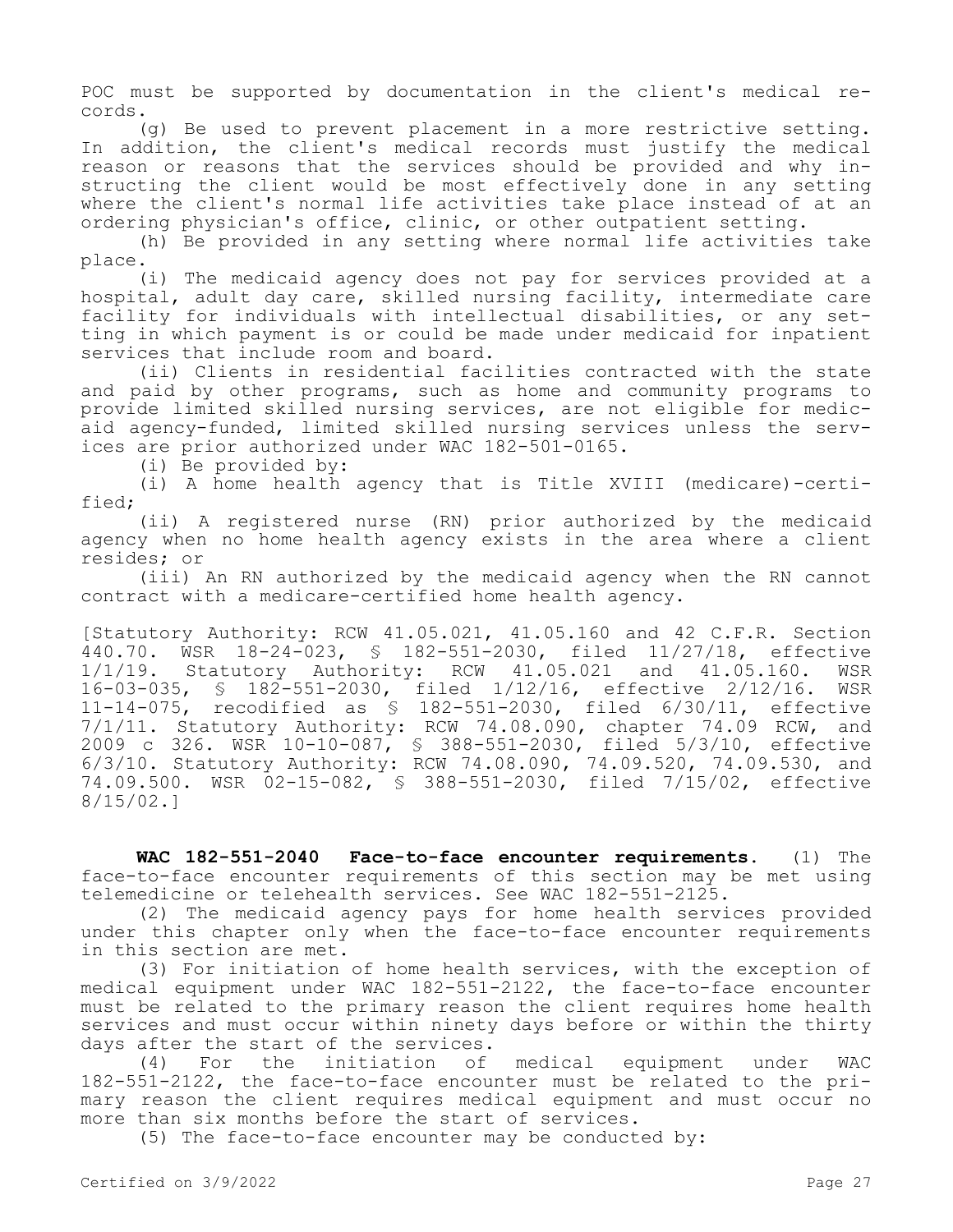POC must be supported by documentation in the client's medical records.

(g) Be used to prevent placement in a more restrictive setting. In addition, the client's medical records must justify the medical reason or reasons that the services should be provided and why instructing the client would be most effectively done in any setting where the client's normal life activities take place instead of at an ordering physician's office, clinic, or other outpatient setting.

(h) Be provided in any setting where normal life activities take place.

(i) The medicaid agency does not pay for services provided at a hospital, adult day care, skilled nursing facility, intermediate care facility for individuals with intellectual disabilities, or any setting in which payment is or could be made under medicaid for inpatient services that include room and board.

(ii) Clients in residential facilities contracted with the state and paid by other programs, such as home and community programs to provide limited skilled nursing services, are not eligible for medicaid agency-funded, limited skilled nursing services unless the services are prior authorized under WAC 182-501-0165.

(i) Be provided by:

(i) A home health agency that is Title XVIII (medicare)-certified;

(ii) A registered nurse (RN) prior authorized by the medicaid agency when no home health agency exists in the area where a client resides; or

(iii) An RN authorized by the medicaid agency when the RN cannot contract with a medicare-certified home health agency.

[Statutory Authority: RCW 41.05.021, 41.05.160 and 42 C.F.R. Section 440.70. WSR 18-24-023, § 182-551-2030, filed 11/27/18, effective 1/1/19. Statutory Authority: RCW 41.05.021 and 41.05.160. WSR 16-03-035, § 182-551-2030, filed 1/12/16, effective 2/12/16. WSR 11-14-075, recodified as § 182-551-2030, filed 6/30/11, effective 7/1/11. Statutory Authority: RCW 74.08.090, chapter 74.09 RCW, and 2009 c 326. WSR 10-10-087, § 388-551-2030, filed 5/3/10, effective 6/3/10. Statutory Authority: RCW 74.08.090, 74.09.520, 74.09.530, and 74.09.500. WSR 02-15-082, § 388-551-2030, filed 7/15/02, effective 8/15/02.]

**WAC 182-551-2040 Face-to-face encounter requirements.** (1) The face-to-face encounter requirements of this section may be met using telemedicine or telehealth services. See WAC 182-551-2125.

(2) The medicaid agency pays for home health services provided under this chapter only when the face-to-face encounter requirements in this section are met.

(3) For initiation of home health services, with the exception of medical equipment under WAC 182-551-2122, the face-to-face encounter must be related to the primary reason the client requires home health services and must occur within ninety days before or within the thirty days after the start of the services.

(4) For the initiation of medical equipment under WAC 182-551-2122, the face-to-face encounter must be related to the primary reason the client requires medical equipment and must occur no more than six months before the start of services.

(5) The face-to-face encounter may be conducted by: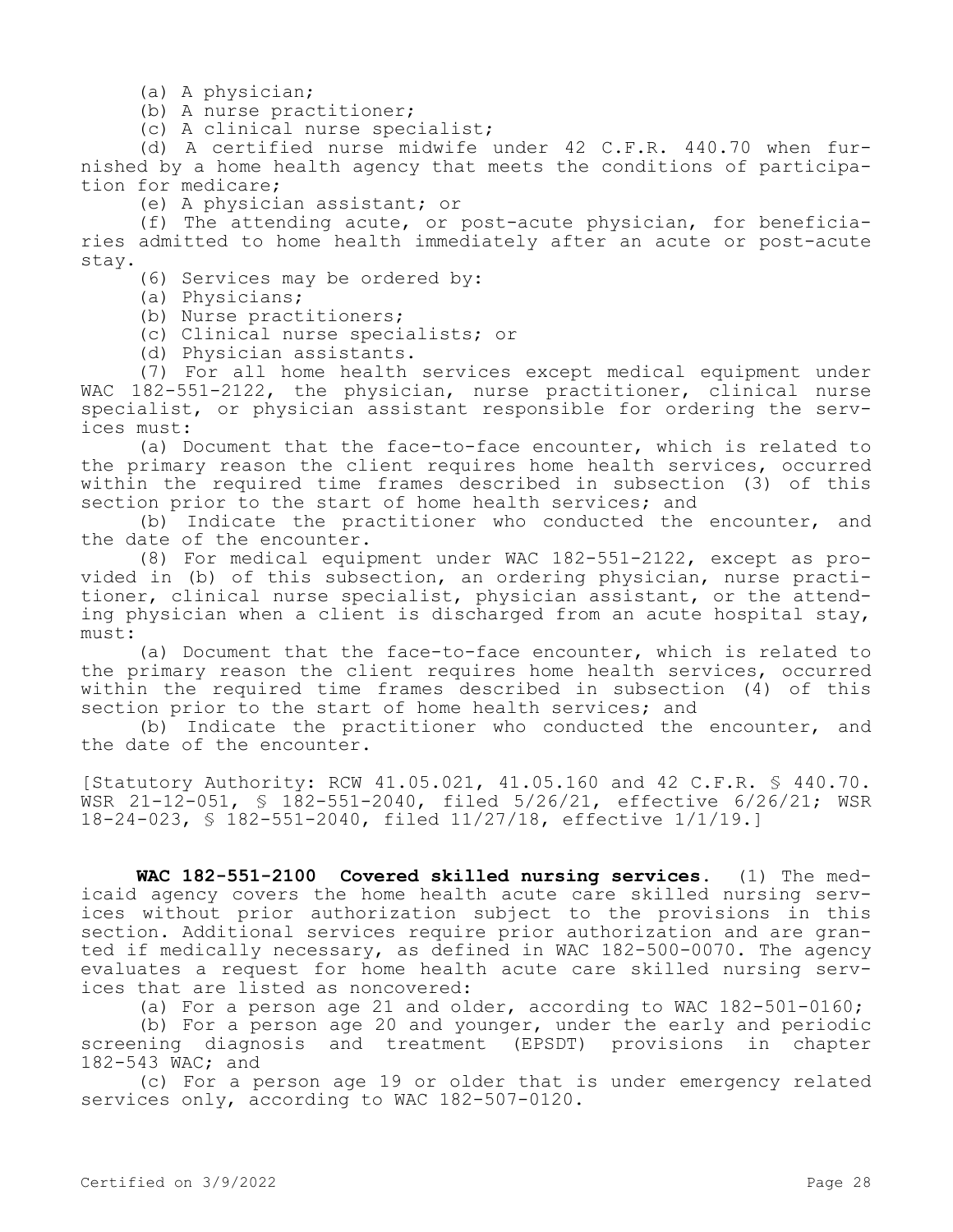(a) A physician;

(b) A nurse practitioner;

(c) A clinical nurse specialist;

(d) A certified nurse midwife under 42 C.F.R. 440.70 when furnished by a home health agency that meets the conditions of participation for medicare;

(e) A physician assistant; or

(f) The attending acute, or post-acute physician, for beneficiaries admitted to home health immediately after an acute or post-acute stay.

(6) Services may be ordered by:

(a) Physicians;

(b) Nurse practitioners;

(c) Clinical nurse specialists; or

(d) Physician assistants.

(7) For all home health services except medical equipment under WAC 182-551-2122, the physician, nurse practitioner, clinical nurse specialist, or physician assistant responsible for ordering the services must:

(a) Document that the face-to-face encounter, which is related to the primary reason the client requires home health services, occurred within the required time frames described in subsection (3) of this section prior to the start of home health services; and

(b) Indicate the practitioner who conducted the encounter, and the date of the encounter.

(8) For medical equipment under WAC 182-551-2122, except as provided in (b) of this subsection, an ordering physician, nurse practitioner, clinical nurse specialist, physician assistant, or the attending physician when a client is discharged from an acute hospital stay, must:

(a) Document that the face-to-face encounter, which is related to the primary reason the client requires home health services, occurred within the required time frames described in subsection (4) of this section prior to the start of home health services; and

(b) Indicate the practitioner who conducted the encounter, and the date of the encounter.

[Statutory Authority: RCW 41.05.021, 41.05.160 and 42 C.F.R. § 440.70. WSR 21-12-051, § 182-551-2040, filed 5/26/21, effective 6/26/21; WSR 18-24-023, § 182-551-2040, filed 11/27/18, effective 1/1/19.]

**WAC 182-551-2100 Covered skilled nursing services.** (1) The medicaid agency covers the home health acute care skilled nursing services without prior authorization subject to the provisions in this section. Additional services require prior authorization and are granted if medically necessary, as defined in WAC 182-500-0070. The agency evaluates a request for home health acute care skilled nursing services that are listed as noncovered:

(a) For a person age 21 and older, according to WAC 182-501-0160;

(b) For a person age 20 and younger, under the early and periodic screening diagnosis and treatment (EPSDT) provisions in chapter 182-543 WAC; and

(c) For a person age 19 or older that is under emergency related services only, according to WAC 182-507-0120.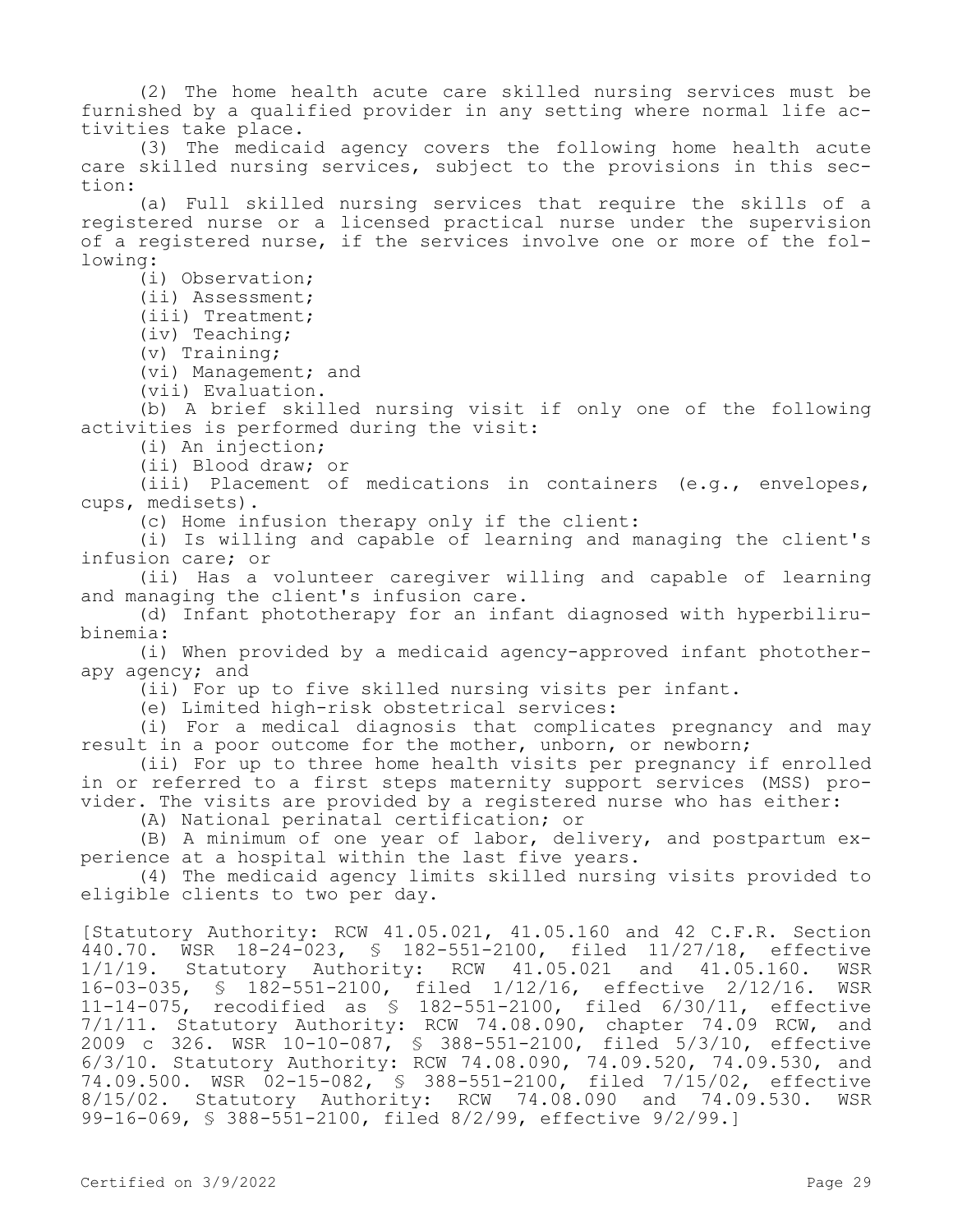(2) The home health acute care skilled nursing services must be furnished by a qualified provider in any setting where normal life activities take place.

(3) The medicaid agency covers the following home health acute care skilled nursing services, subject to the provisions in this section:

(a) Full skilled nursing services that require the skills of a registered nurse or a licensed practical nurse under the supervision of a registered nurse, if the services involve one or more of the following:

(i) Observation;

(ii) Assessment;

(iii) Treatment;

(iv) Teaching;

(v) Training;

(vi) Management; and

(vii) Evaluation.

(b) A brief skilled nursing visit if only one of the following activities is performed during the visit:

(i) An injection;

(ii) Blood draw; or

(iii) Placement of medications in containers (e.g., envelopes, cups, medisets).

(c) Home infusion therapy only if the client:

(i) Is willing and capable of learning and managing the client's infusion care; or

(ii) Has a volunteer caregiver willing and capable of learning and managing the client's infusion care.

(d) Infant phototherapy for an infant diagnosed with hyperbilirubinemia:

(i) When provided by a medicaid agency-approved infant phototherapy agency; and

(ii) For up to five skilled nursing visits per infant.

(e) Limited high-risk obstetrical services:

(i) For a medical diagnosis that complicates pregnancy and may result in a poor outcome for the mother, unborn, or newborn;

(ii) For up to three home health visits per pregnancy if enrolled in or referred to a first steps maternity support services (MSS) provider. The visits are provided by a registered nurse who has either:

(A) National perinatal certification; or

(B) A minimum of one year of labor, delivery, and postpartum experience at a hospital within the last five years.

(4) The medicaid agency limits skilled nursing visits provided to eligible clients to two per day.

[Statutory Authority: RCW 41.05.021, 41.05.160 and 42 C.F.R. Section 440.70. WSR 18-24-023, \$ 182-551-2100, filed 11/27/18, effective<br>1/1/19. Statutory Authority: RCW 41.05.021 and 41.05.160. WSR Statutory Authority: RCW 41.05.021 and 41.05.160. WSR 16-03-035, § 182-551-2100, filed 1/12/16, effective 2/12/16. WSR 11-14-075, recodified as § 182-551-2100, filed 6/30/11, effective 7/1/11. Statutory Authority: RCW 74.08.090, chapter 74.09 RCW, and 2009 c 326. WSR 10-10-087, § 388-551-2100, filed 5/3/10, effective 6/3/10. Statutory Authority: RCW 74.08.090, 74.09.520, 74.09.530, and 74.09.500. WSR 02-15-082, § 388-551-2100, filed 7/15/02, effective 8/15/02. Statutory Authority: RCW 74.08.090 and 74.09.530. WSR 99-16-069, § 388-551-2100, filed 8/2/99, effective 9/2/99.]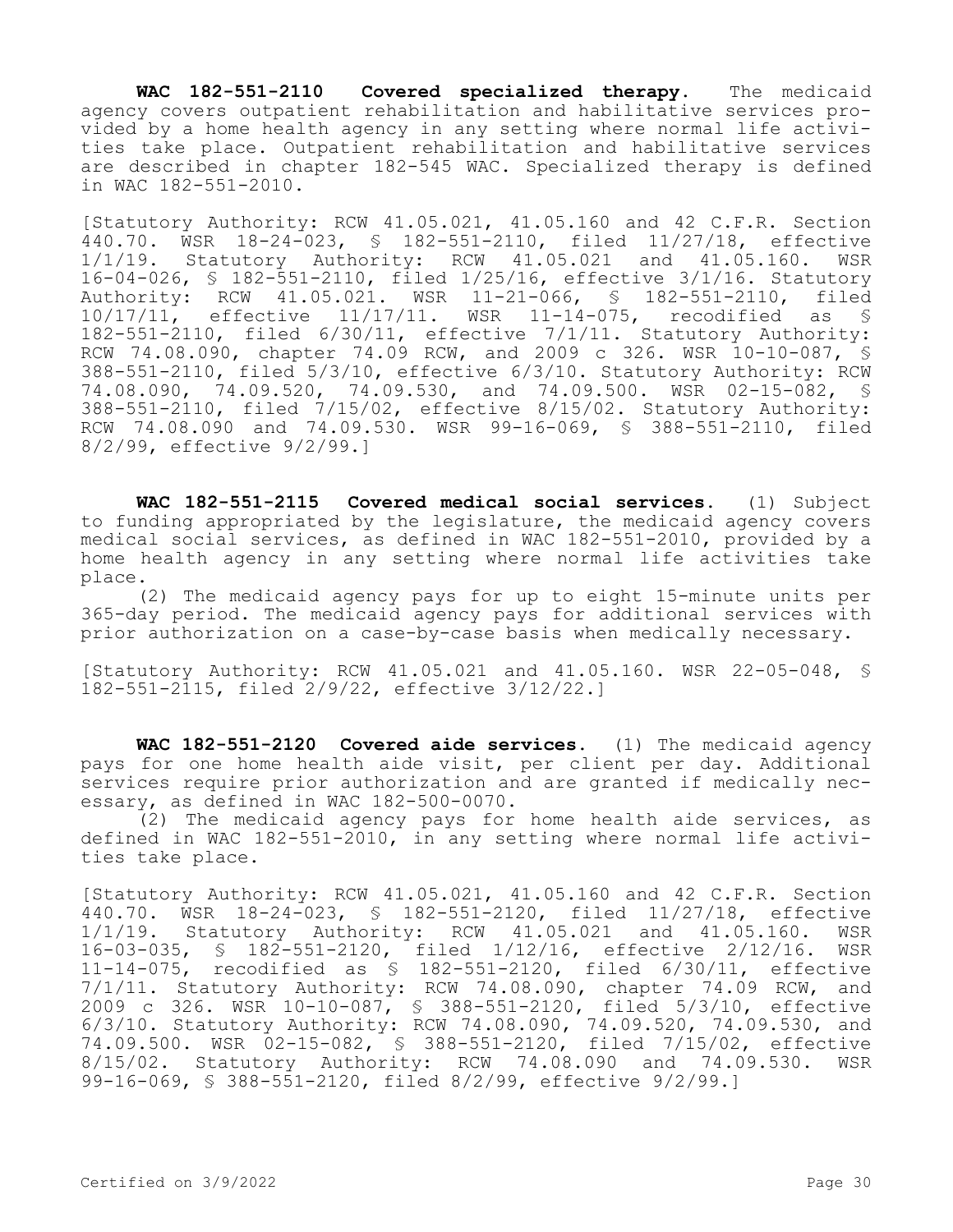**WAC 182-551-2110 Covered specialized therapy.** The medicaid agency covers outpatient rehabilitation and habilitative services provided by a home health agency in any setting where normal life activities take place. Outpatient rehabilitation and habilitative services are described in chapter 182-545 WAC. Specialized therapy is defined in WAC 182-551-2010.

[Statutory Authority: RCW 41.05.021, 41.05.160 and 42 C.F.R. Section 440.70. WSR 18-24-023, § 182-551-2110, filed 11/27/18, effective 1/1/19. Statutory Authority: RCW 41.05.021 and 41.05.160. WSR 16-04-026, § 182-551-2110, filed 1/25/16, effective 3/1/16. Statutory Authority: RCW 41.05.021. WSR 11-21-066, § 182-551-2110, filed 10/17/11, effective 11/17/11. WSR 11-14-075, recodified as § 182-551-2110, filed 6/30/11, effective 7/1/11. Statutory Authority: RCW 74.08.090, chapter 74.09 RCW, and 2009 c 326. WSR 10-10-087, § 388-551-2110, filed 5/3/10, effective 6/3/10. Statutory Authority: RCW 74.08.090, 74.09.520, 74.09.530, and 74.09.500. WSR 02-15-082, § 388-551-2110, filed 7/15/02, effective 8/15/02. Statutory Authority: RCW 74.08.090 and 74.09.530. WSR 99-16-069, § 388-551-2110, filed 8/2/99, effective 9/2/99.]

**WAC 182-551-2115 Covered medical social services.** (1) Subject to funding appropriated by the legislature, the medicaid agency covers medical social services, as defined in WAC 182-551-2010, provided by a home health agency in any setting where normal life activities take place.

(2) The medicaid agency pays for up to eight 15-minute units per 365-day period. The medicaid agency pays for additional services with prior authorization on a case-by-case basis when medically necessary.

[Statutory Authority: RCW 41.05.021 and 41.05.160. WSR 22-05-048, § 182-551-2115, filed 2/9/22, effective 3/12/22.]

**WAC 182-551-2120 Covered aide services.** (1) The medicaid agency pays for one home health aide visit, per client per day. Additional services require prior authorization and are granted if medically necessary, as defined in WAC 182-500-0070.

 $(2)$  The medicaid agency pays for home health aide services, as defined in WAC 182-551-2010, in any setting where normal life activities take place.

[Statutory Authority: RCW 41.05.021, 41.05.160 and 42 C.F.R. Section 440.70. WSR 18-24-023, § 182-551-2120, filed 11/27/18, effective 1/1/19. Statutory Authority: RCW 41.05.021 and 41.05.160. WSR 16-03-035, § 182-551-2120, filed 1/12/16, effective 2/12/16. WSR 11-14-075, recodified as § 182-551-2120, filed 6/30/11, effective 7/1/11. Statutory Authority: RCW 74.08.090, chapter 74.09 RCW, and 2009 c 326. WSR 10-10-087, § 388-551-2120, filed 5/3/10, effective 6/3/10. Statutory Authority: RCW 74.08.090, 74.09.520, 74.09.530, and 74.09.500. WSR 02-15-082, § 388-551-2120, filed 7/15/02, effective 8/15/02. Statutory Authority: RCW 74.08.090 and 74.09.530. WSR 99-16-069, § 388-551-2120, filed 8/2/99, effective 9/2/99.]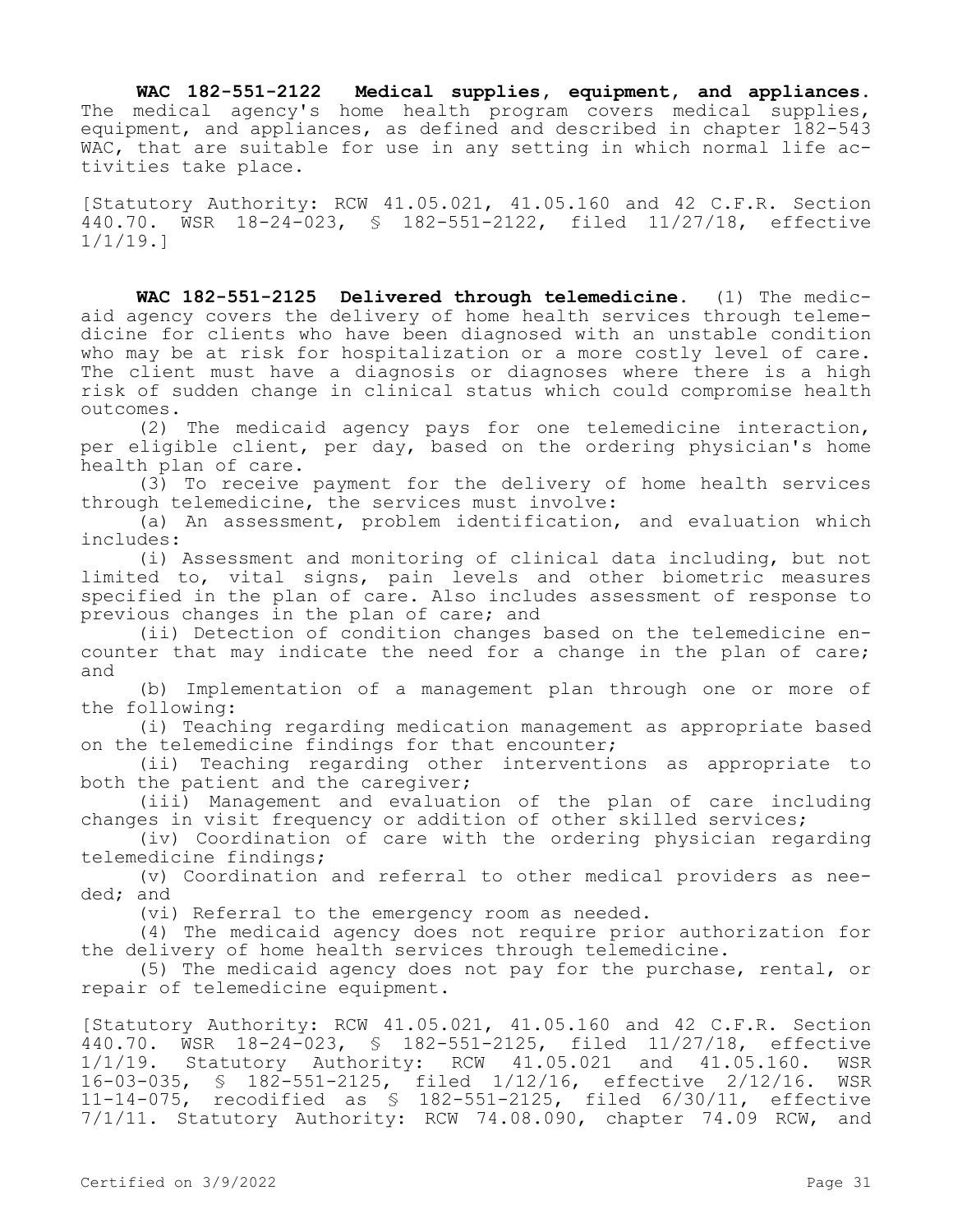**WAC 182-551-2122 Medical supplies, equipment, and appliances.**  The medical agency's home health program covers medical supplies, equipment, and appliances, as defined and described in chapter 182-543 WAC, that are suitable for use in any setting in which normal life activities take place.

[Statutory Authority: RCW 41.05.021, 41.05.160 and 42 C.F.R. Section 440.70. WSR 18-24-023, § 182-551-2122, filed 11/27/18, effective 1/1/19.]

**WAC 182-551-2125 Delivered through telemedicine.** (1) The medicaid agency covers the delivery of home health services through telemedicine for clients who have been diagnosed with an unstable condition who may be at risk for hospitalization or a more costly level of care. The client must have a diagnosis or diagnoses where there is a high risk of sudden change in clinical status which could compromise health outcomes.

(2) The medicaid agency pays for one telemedicine interaction, per eligible client, per day, based on the ordering physician's home health plan of care.

(3) To receive payment for the delivery of home health services through telemedicine, the services must involve:

(a) An assessment, problem identification, and evaluation which includes:

(i) Assessment and monitoring of clinical data including, but not limited to, vital signs, pain levels and other biometric measures specified in the plan of care. Also includes assessment of response to previous changes in the plan of care; and

(ii) Detection of condition changes based on the telemedicine encounter that may indicate the need for a change in the plan of care; and

(b) Implementation of a management plan through one or more of the following:

(i) Teaching regarding medication management as appropriate based on the telemedicine findings for that encounter;

(ii) Teaching regarding other interventions as appropriate to both the patient and the caregiver;

(iii) Management and evaluation of the plan of care including changes in visit frequency or addition of other skilled services;

(iv) Coordination of care with the ordering physician regarding telemedicine findings;

(v) Coordination and referral to other medical providers as needed; and

(vi) Referral to the emergency room as needed.

(4) The medicaid agency does not require prior authorization for the delivery of home health services through telemedicine.

(5) The medicaid agency does not pay for the purchase, rental, or repair of telemedicine equipment.

[Statutory Authority: RCW 41.05.021, 41.05.160 and 42 C.F.R. Section 440.70. WSR 18-24-023, § 182-551-2125, filed 11/27/18, effective 1/1/19. Statutory Authority: RCW 41.05.021 and 41.05.160. WSR 16-03-035, § 182-551-2125, filed 1/12/16, effective 2/12/16. WSR 11-14-075, recodified as § 182-551-2125, filed 6/30/11, effective 7/1/11. Statutory Authority: RCW 74.08.090, chapter 74.09 RCW, and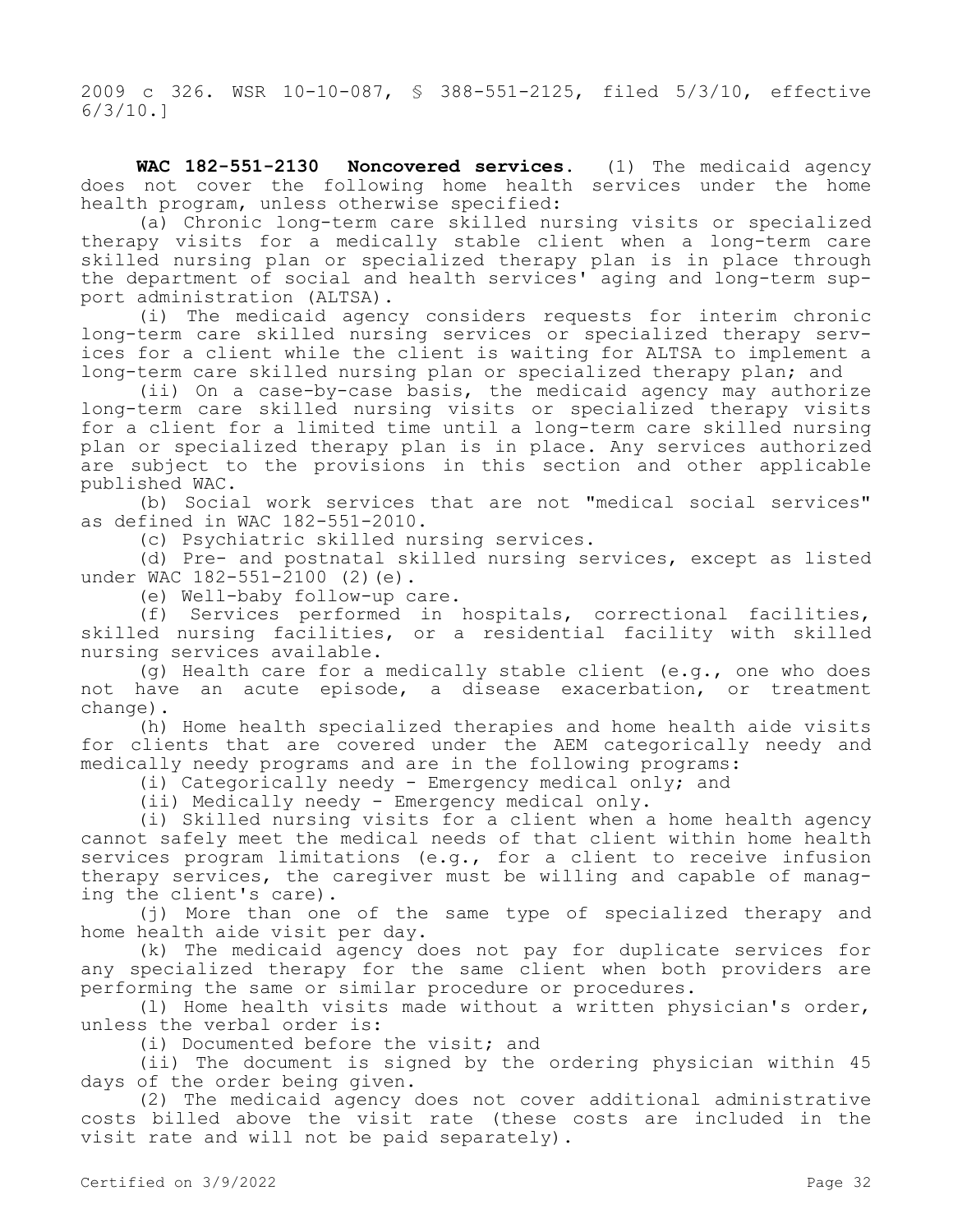2009 c 326. WSR 10-10-087, § 388-551-2125, filed 5/3/10, effective 6/3/10.]

**WAC 182-551-2130 Noncovered services.** (1) The medicaid agency does not cover the following home health services under the home health program, unless otherwise specified:

(a) Chronic long-term care skilled nursing visits or specialized therapy visits for a medically stable client when a long-term care skilled nursing plan or specialized therapy plan is in place through the department of social and health services' aging and long-term support administration (ALTSA).

(i) The medicaid agency considers requests for interim chronic long-term care skilled nursing services or specialized therapy services for a client while the client is waiting for ALTSA to implement a long-term care skilled nursing plan or specialized therapy plan; and

(ii) On a case-by-case basis, the medicaid agency may authorize long-term care skilled nursing visits or specialized therapy visits for a client for a limited time until a long-term care skilled nursing plan or specialized therapy plan is in place. Any services authorized are subject to the provisions in this section and other applicable published WAC.

(b) Social work services that are not "medical social services" as defined in WAC 182-551-2010.

(c) Psychiatric skilled nursing services.

(d) Pre- and postnatal skilled nursing services, except as listed under WAC 182-551-2100 (2) (e).

(e) Well-baby follow-up care.

(f) Services performed in hospitals, correctional facilities, skilled nursing facilities, or a residential facility with skilled nursing services available.

(g) Health care for a medically stable client (e.g., one who does not have an acute episode, a disease exacerbation, or treatment change).

(h) Home health specialized therapies and home health aide visits for clients that are covered under the AEM categorically needy and medically needy programs and are in the following programs:

(i) Categorically needy - Emergency medical only; and

(ii) Medically needy - Emergency medical only.

(i) Skilled nursing visits for a client when a home health agency cannot safely meet the medical needs of that client within home health services program limitations (e.g., for a client to receive infusion therapy services, the caregiver must be willing and capable of managing the client's care).

(j) More than one of the same type of specialized therapy and home health aide visit per day.

(k) The medicaid agency does not pay for duplicate services for any specialized therapy for the same client when both providers are performing the same or similar procedure or procedures.

(l) Home health visits made without a written physician's order, unless the verbal order is:

(i) Documented before the visit; and

(ii) The document is signed by the ordering physician within 45 days of the order being given.

(2) The medicaid agency does not cover additional administrative costs billed above the visit rate (these costs are included in the visit rate and will not be paid separately).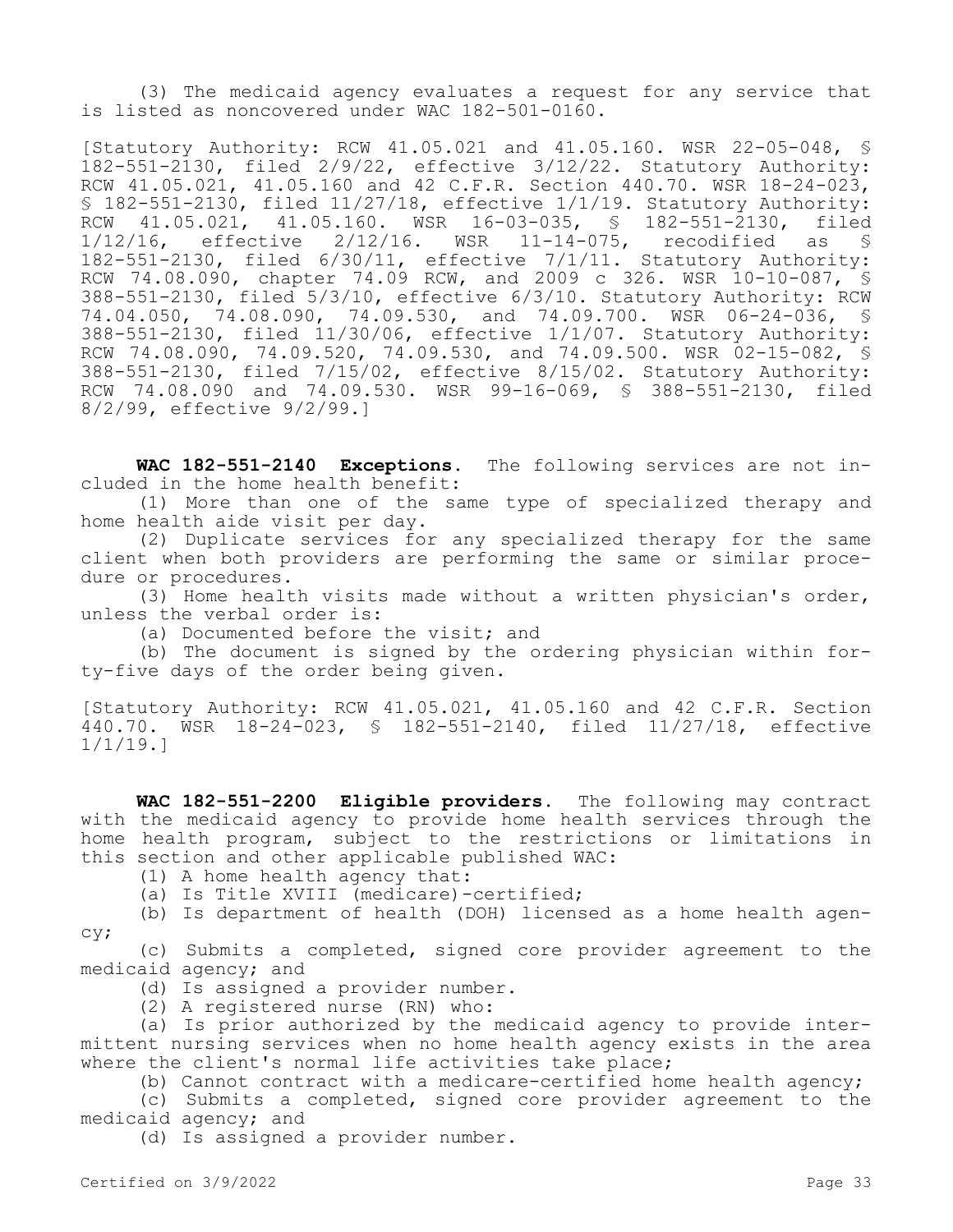(3) The medicaid agency evaluates a request for any service that is listed as noncovered under WAC 182-501-0160.

[Statutory Authority: RCW 41.05.021 and 41.05.160. WSR 22-05-048, § 182-551-2130, filed 2/9/22, effective 3/12/22. Statutory Authority: RCW 41.05.021, 41.05.160 and 42 C.F.R. Section 440.70. WSR 18-24-023, § 182-551-2130, filed 11/27/18, effective 1/1/19. Statutory Authority: RCW 41.05.021, 41.05.160. WSR 16-03-035, § 182-551-2130, filed<br>1/12/16, effective 2/12/16. WSR 11-14-075, recodified as \$ effective  $2/12/16$ . WSR 11-14-075, recodified as § 182-551-2130, filed 6/30/11, effective 7/1/11. Statutory Authority: RCW 74.08.090, chapter 74.09 RCW, and 2009 c 326. WSR 10-10-087, § 388-551-2130, filed 5/3/10, effective 6/3/10. Statutory Authority: RCW 74.04.050, 74.08.090, 74.09.530, and 74.09.700. WSR 06-24-036, § 388-551-2130, filed 11/30/06, effective 1/1/07. Statutory Authority: RCW 74.08.090, 74.09.520, 74.09.530, and 74.09.500. WSR 02-15-082, § 388-551-2130, filed 7/15/02, effective 8/15/02. Statutory Authority: RCW 74.08.090 and 74.09.530. WSR 99-16-069, § 388-551-2130, filed 8/2/99, effective 9/2/99.]

**WAC 182-551-2140 Exceptions.** The following services are not included in the home health benefit:

(1) More than one of the same type of specialized therapy and home health aide visit per day.

(2) Duplicate services for any specialized therapy for the same client when both providers are performing the same or similar procedure or procedures.

(3) Home health visits made without a written physician's order, unless the verbal order is:

(a) Documented before the visit; and

(b) The document is signed by the ordering physician within forty-five days of the order being given.

[Statutory Authority: RCW 41.05.021, 41.05.160 and 42 C.F.R. Section 440.70. WSR 18-24-023, § 182-551-2140, filed 11/27/18, effective 1/1/19.]

**WAC 182-551-2200 Eligible providers.** The following may contract with the medicaid agency to provide home health services through the home health program, subject to the restrictions or limitations in this section and other applicable published WAC:

(1) A home health agency that:

(a) Is Title XVIII (medicare)-certified;

(b) Is department of health (DOH) licensed as a home health agency;

(c) Submits a completed, signed core provider agreement to the medicaid agency; and

(d) Is assigned a provider number.

(2) A registered nurse (RN) who:

(a) Is prior authorized by the medicaid agency to provide intermittent nursing services when no home health agency exists in the area where the client's normal life activities take place;

(b) Cannot contract with a medicare-certified home health agency;

(c) Submits a completed, signed core provider agreement to the medicaid agency; and

(d) Is assigned a provider number.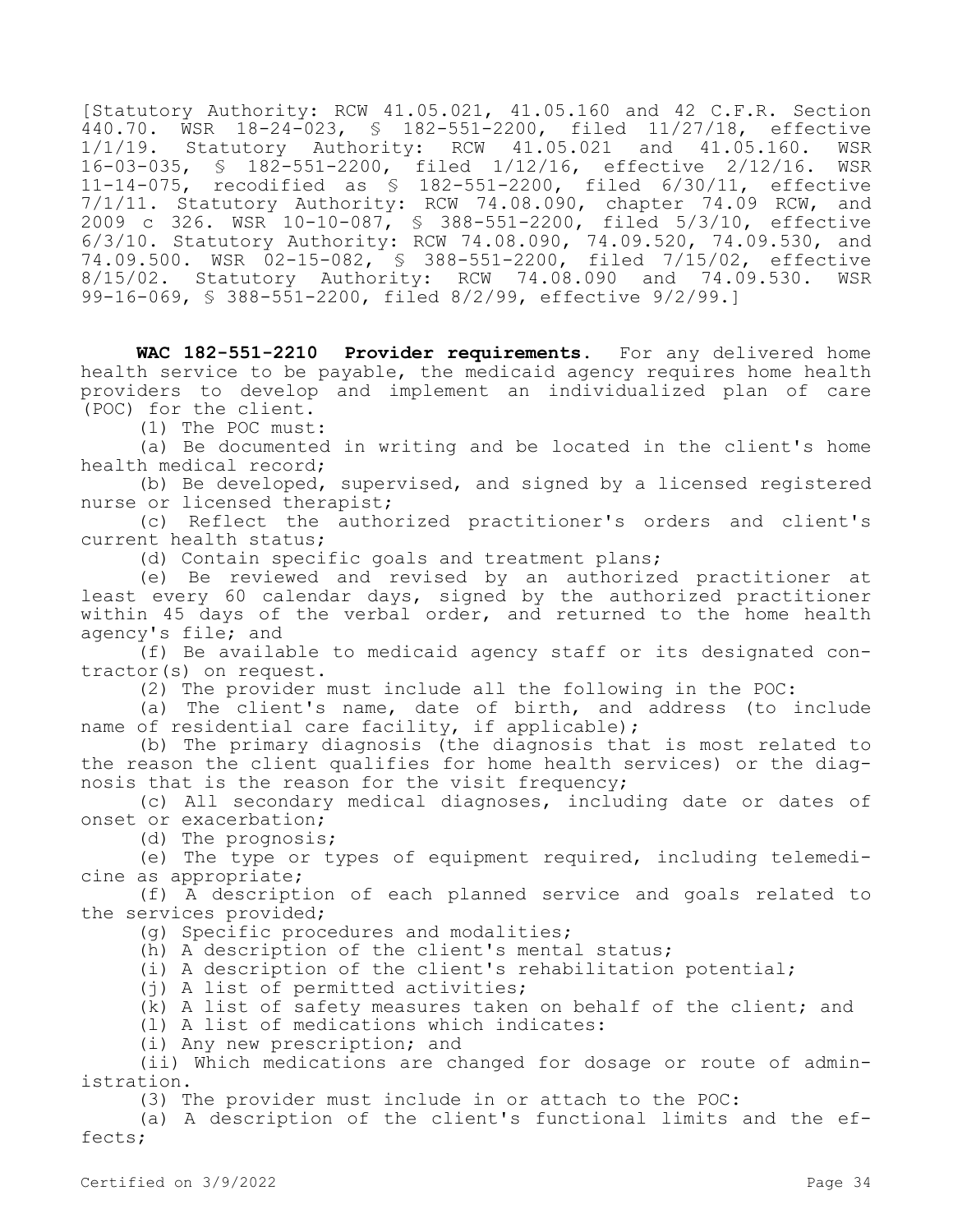[Statutory Authority: RCW 41.05.021, 41.05.160 and 42 C.F.R. Section 440.70. WSR 18-24-023, § 182-551-2200, filed 11/27/18, effective Statutory Authority:  $RCW$  41.05.021 and 41.05.160. WSR 16-03-035, § 182-551-2200, filed 1/12/16, effective 2/12/16. WSR 11-14-075, recodified as § 182-551-2200, filed 6/30/11, effective 7/1/11. Statutory Authority: RCW 74.08.090, chapter 74.09 RCW, and 2009 c 326. WSR 10-10-087, § 388-551-2200, filed 5/3/10, effective 6/3/10. Statutory Authority: RCW 74.08.090, 74.09.520, 74.09.530, and 74.09.500. WSR 02-15-082, § 388-551-2200, filed 7/15/02, effective 8/15/02. Statutory Authority: RCW 74.08.090 and 74.09.530. WSR 99-16-069, § 388-551-2200, filed 8/2/99, effective 9/2/99.]

**WAC 182-551-2210 Provider requirements.** For any delivered home health service to be payable, the medicaid agency requires home health providers to develop and implement an individualized plan of care (POC) for the client.

(1) The POC must:

(a) Be documented in writing and be located in the client's home health medical record;

(b) Be developed, supervised, and signed by a licensed registered nurse or licensed therapist;

(c) Reflect the authorized practitioner's orders and client's current health status;

(d) Contain specific goals and treatment plans;

(e) Be reviewed and revised by an authorized practitioner at least every 60 calendar days, signed by the authorized practitioner within 45 days of the verbal order, and returned to the home health agency's file; and

(f) Be available to medicaid agency staff or its designated contractor(s) on request.

(2) The provider must include all the following in the POC:

(a) The client's name, date of birth, and address (to include name of residential care facility, if applicable);

(b) The primary diagnosis (the diagnosis that is most related to the reason the client qualifies for home health services) or the diagnosis that is the reason for the visit frequency;

(c) All secondary medical diagnoses, including date or dates of onset or exacerbation;

(d) The prognosis;

(e) The type or types of equipment required, including telemedicine as appropriate;

(f) A description of each planned service and goals related to the services provided;

(g) Specific procedures and modalities;

(h) A description of the client's mental status;

(i) A description of the client's rehabilitation potential;

(j) A list of permitted activities;

(k) A list of safety measures taken on behalf of the client; and

(l) A list of medications which indicates:

(i) Any new prescription; and

(ii) Which medications are changed for dosage or route of administration.

(3) The provider must include in or attach to the POC:

(a) A description of the client's functional limits and the effects;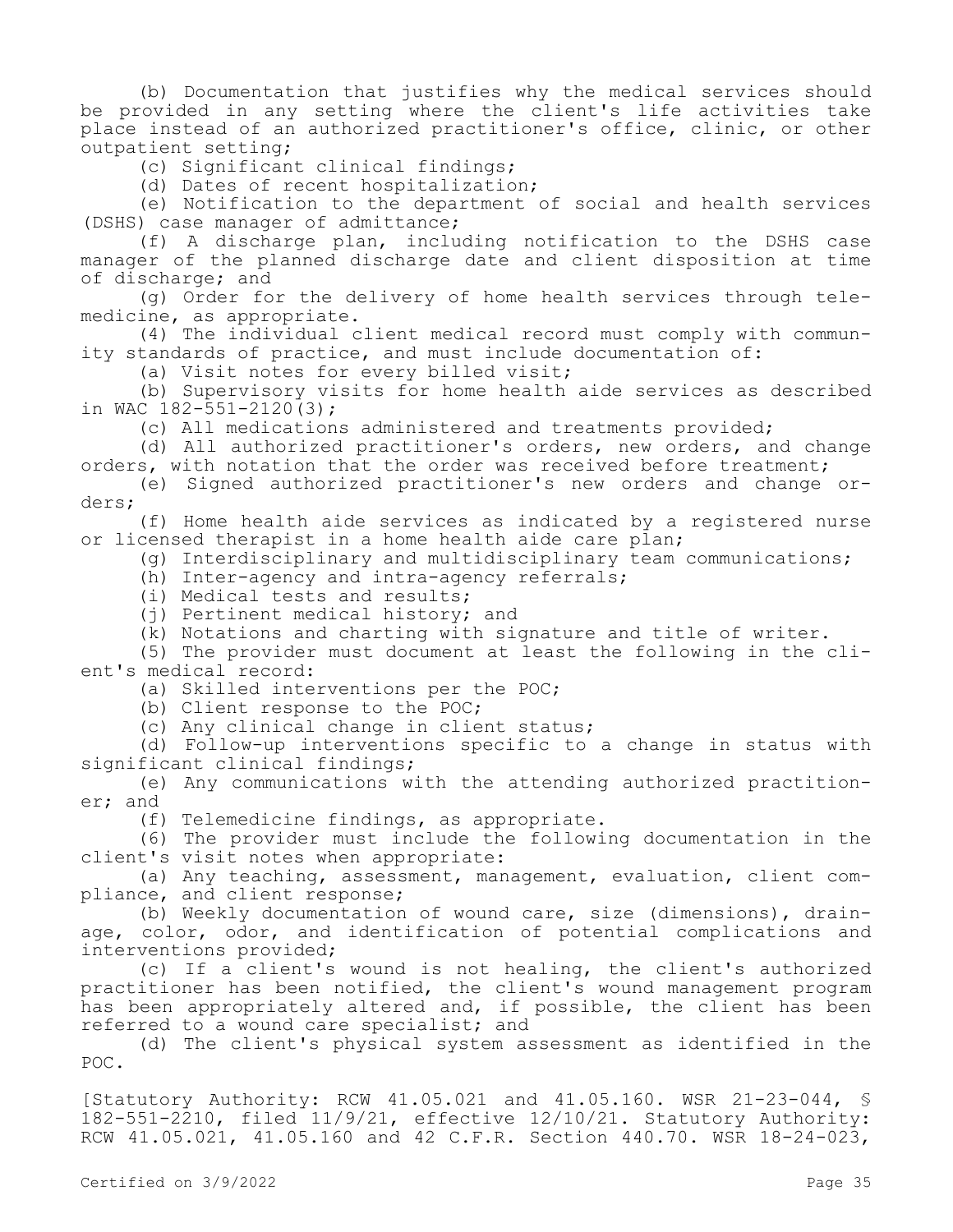(b) Documentation that justifies why the medical services should be provided in any setting where the client's life activities take place instead of an authorized practitioner's office, clinic, or other outpatient setting;

(c) Significant clinical findings;

(d) Dates of recent hospitalization;

(e) Notification to the department of social and health services (DSHS) case manager of admittance;

(f) A discharge plan, including notification to the DSHS case manager of the planned discharge date and client disposition at time of discharge; and

(g) Order for the delivery of home health services through telemedicine, as appropriate.

(4) The individual client medical record must comply with community standards of practice, and must include documentation of:

(a) Visit notes for every billed visit;

(b) Supervisory visits for home health aide services as described in WAC 182-551-2120(3);

(c) All medications administered and treatments provided;

(d) All authorized practitioner's orders, new orders, and change orders, with notation that the order was received before treatment;

(e) Signed authorized practitioner's new orders and change orders;

(f) Home health aide services as indicated by a registered nurse or licensed therapist in a home health aide care plan;

(g) Interdisciplinary and multidisciplinary team communications;

(h) Inter-agency and intra-agency referrals;

(i) Medical tests and results;

(j) Pertinent medical history; and

(k) Notations and charting with signature and title of writer.

(5) The provider must document at least the following in the client's medical record:

(a) Skilled interventions per the POC;

(b) Client response to the POC;

(c) Any clinical change in client status;

(d) Follow-up interventions specific to a change in status with significant clinical findings;

(e) Any communications with the attending authorized practitioner; and

(f) Telemedicine findings, as appropriate.

(6) The provider must include the following documentation in the client's visit notes when appropriate:

(a) Any teaching, assessment, management, evaluation, client compliance, and client response;

(b) Weekly documentation of wound care, size (dimensions), drainage, color, odor, and identification of potential complications and interventions provided;

(c) If a client's wound is not healing, the client's authorized practitioner has been notified, the client's wound management program has been appropriately altered and, if possible, the client has been referred to a wound care specialist; and

(d) The client's physical system assessment as identified in the POC.

[Statutory Authority: RCW 41.05.021 and 41.05.160. WSR 21-23-044, § 182-551-2210, filed 11/9/21, effective 12/10/21. Statutory Authority: RCW 41.05.021, 41.05.160 and 42 C.F.R. Section 440.70. WSR 18-24-023,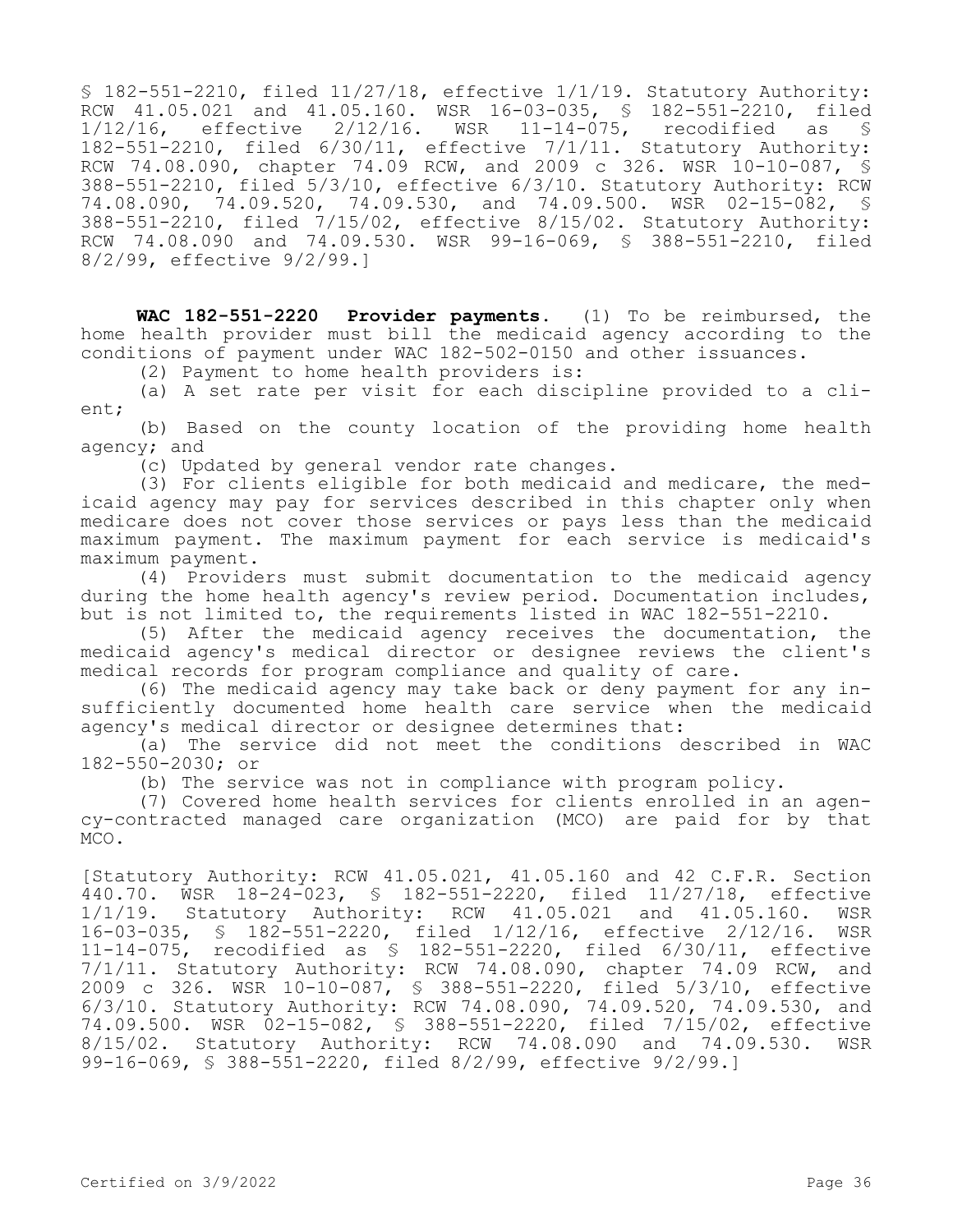§ 182-551-2210, filed 11/27/18, effective 1/1/19. Statutory Authority: RCW 41.05.021 and 41.05.160. WSR 16-03-035, § 182-551-2210, filed 1/12/16, effective 2/12/16. WSR 11-14-075, recodified as § 182-551-2210, filed 6/30/11, effective 7/1/11. Statutory Authority: RCW 74.08.090, chapter 74.09 RCW, and 2009 c 326. WSR 10-10-087, § 388-551-2210, filed 5/3/10, effective 6/3/10. Statutory Authority: RCW 74.08.090, 74.09.520, 74.09.530, and 74.09.500. WSR 02-15-082, § 388-551-2210, filed 7/15/02, effective 8/15/02. Statutory Authority: RCW 74.08.090 and 74.09.530. WSR 99-16-069, § 388-551-2210, filed 8/2/99, effective 9/2/99.]

**WAC 182-551-2220 Provider payments.** (1) To be reimbursed, the home health provider must bill the medicaid agency according to the conditions of payment under WAC 182-502-0150 and other issuances.

(2) Payment to home health providers is:

(a) A set rate per visit for each discipline provided to a client;

(b) Based on the county location of the providing home health agency; and

(c) Updated by general vendor rate changes.

(3) For clients eligible for both medicaid and medicare, the medicaid agency may pay for services described in this chapter only when medicare does not cover those services or pays less than the medicaid maximum payment. The maximum payment for each service is medicaid's maximum payment.

(4) Providers must submit documentation to the medicaid agency during the home health agency's review period. Documentation includes, but is not limited to, the requirements listed in WAC 182-551-2210.

(5) After the medicaid agency receives the documentation, the medicaid agency's medical director or designee reviews the client's medical records for program compliance and quality of care.

(6) The medicaid agency may take back or deny payment for any insufficiently documented home health care service when the medicaid agency's medical director or designee determines that:

(a) The service did not meet the conditions described in WAC 182-550-2030; or

(b) The service was not in compliance with program policy.

(7) Covered home health services for clients enrolled in an agency-contracted managed care organization (MCO) are paid for by that MCO.

[Statutory Authority: RCW 41.05.021, 41.05.160 and 42 C.F.R. Section 440.70. WSR 18-24-023, § 182-551-2220, filed 11/27/18, effective 1/1/19. Statutory Authority: RCW 41.05.021 and 41.05.160. WSR 16-03-035, § 182-551-2220, filed 1/12/16, effective 2/12/16.<br>11-14-075, recodified as § 182-551-2220, filed 6/30/11, effeo recodified as  $$ 182-551-2220$ , filed  $6/30/11$ , effective 7/1/11. Statutory Authority: RCW 74.08.090, chapter 74.09 RCW, and 2009 c 326. WSR 10-10-087, § 388-551-2220, filed 5/3/10, effective 6/3/10. Statutory Authority: RCW 74.08.090, 74.09.520, 74.09.530, and 74.09.500. WSR 02-15-082, § 388-551-2220, filed 7/15/02, effective 8/15/02. Statutory Authority: RCW 74.08.090 and 74.09.530. WSR 99-16-069, § 388-551-2220, filed 8/2/99, effective 9/2/99.]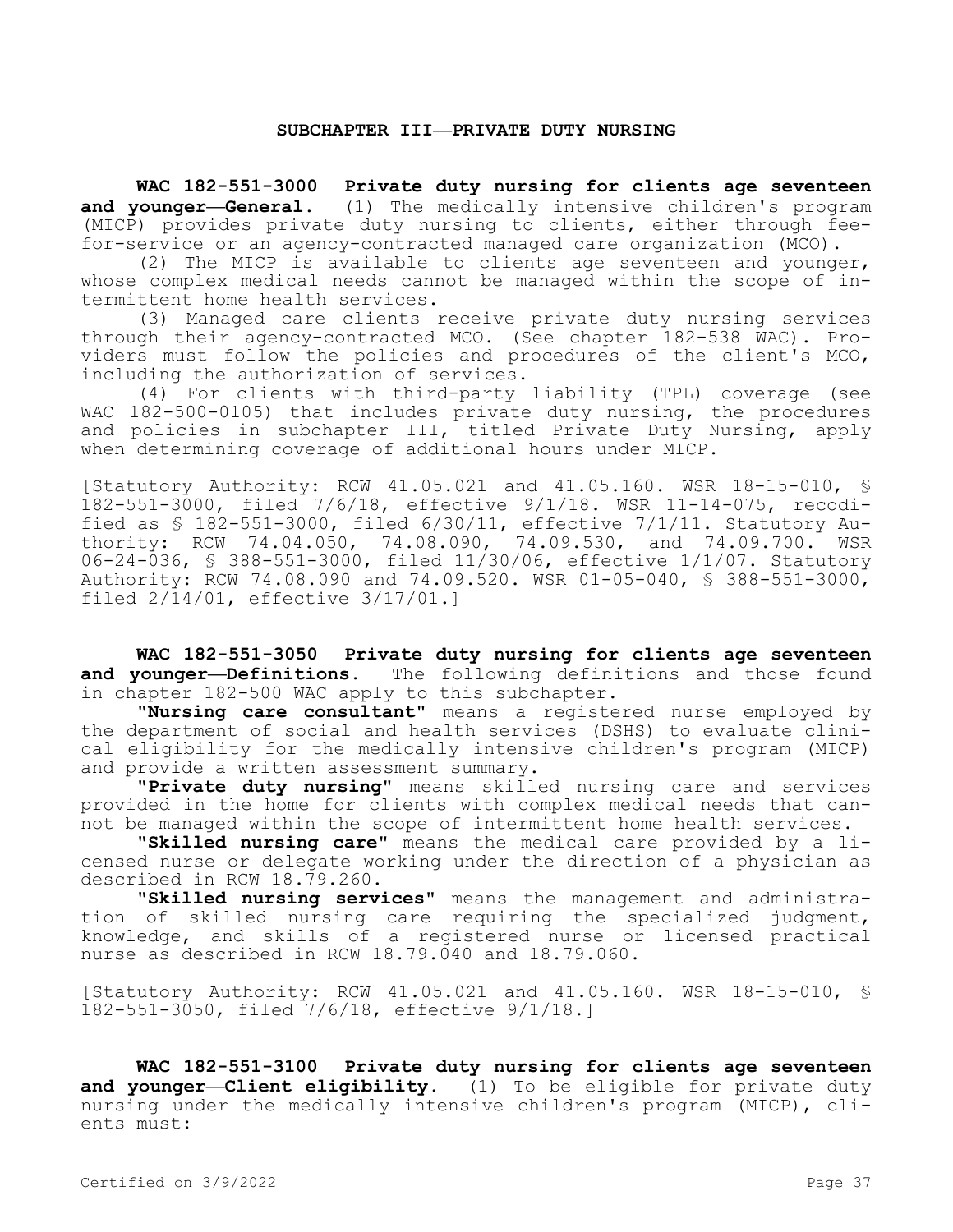#### **SUBCHAPTER III—PRIVATE DUTY NURSING**

**WAC 182-551-3000 Private duty nursing for clients age seventeen and younger—General.** (1) The medically intensive children's program (MICP) provides private duty nursing to clients, either through feefor-service or an agency-contracted managed care organization (MCO).

(2) The MICP is available to clients age seventeen and younger, whose complex medical needs cannot be managed within the scope of intermittent home health services.

(3) Managed care clients receive private duty nursing services through their agency-contracted MCO. (See chapter 182-538 WAC). Providers must follow the policies and procedures of the client's MCO, including the authorization of services.

(4) For clients with third-party liability (TPL) coverage (see WAC 182-500-0105) that includes private duty nursing, the procedures and policies in subchapter III, titled Private Duty Nursing, apply when determining coverage of additional hours under MICP.

[Statutory Authority: RCW 41.05.021 and 41.05.160. WSR 18-15-010, § 182-551-3000, filed 7/6/18, effective 9/1/18. WSR 11-14-075, recodified as § 182-551-3000, filed 6/30/11, effective 7/1/11. Statutory Authority: RCW 74.04.050, 74.08.090, 74.09.530, and 74.09.700. WSR 06-24-036, § 388-551-3000, filed 11/30/06, effective 1/1/07. Statutory Authority: RCW 74.08.090 and 74.09.520. WSR 01-05-040, § 388-551-3000, filed 2/14/01, effective 3/17/01.]

**WAC 182-551-3050 Private duty nursing for clients age seventeen and younger—Definitions.** The following definitions and those found in chapter 182-500 WAC apply to this subchapter.

**"Nursing care consultant"** means a registered nurse employed by the department of social and health services (DSHS) to evaluate clinical eligibility for the medically intensive children's program (MICP) and provide a written assessment summary.

**"Private duty nursing"** means skilled nursing care and services provided in the home for clients with complex medical needs that cannot be managed within the scope of intermittent home health services.

**"Skilled nursing care"** means the medical care provided by a licensed nurse or delegate working under the direction of a physician as described in RCW 18.79.260.

**"Skilled nursing services"** means the management and administration of skilled nursing care requiring the specialized judgment, knowledge, and skills of a registered nurse or licensed practical nurse as described in RCW 18.79.040 and 18.79.060.

[Statutory Authority: RCW 41.05.021 and 41.05.160. WSR 18-15-010, § 182-551-3050, filed 7/6/18, effective 9/1/18.]

**WAC 182-551-3100 Private duty nursing for clients age seventeen and younger—Client eligibility.** (1) To be eligible for private duty nursing under the medically intensive children's program (MICP), clients must: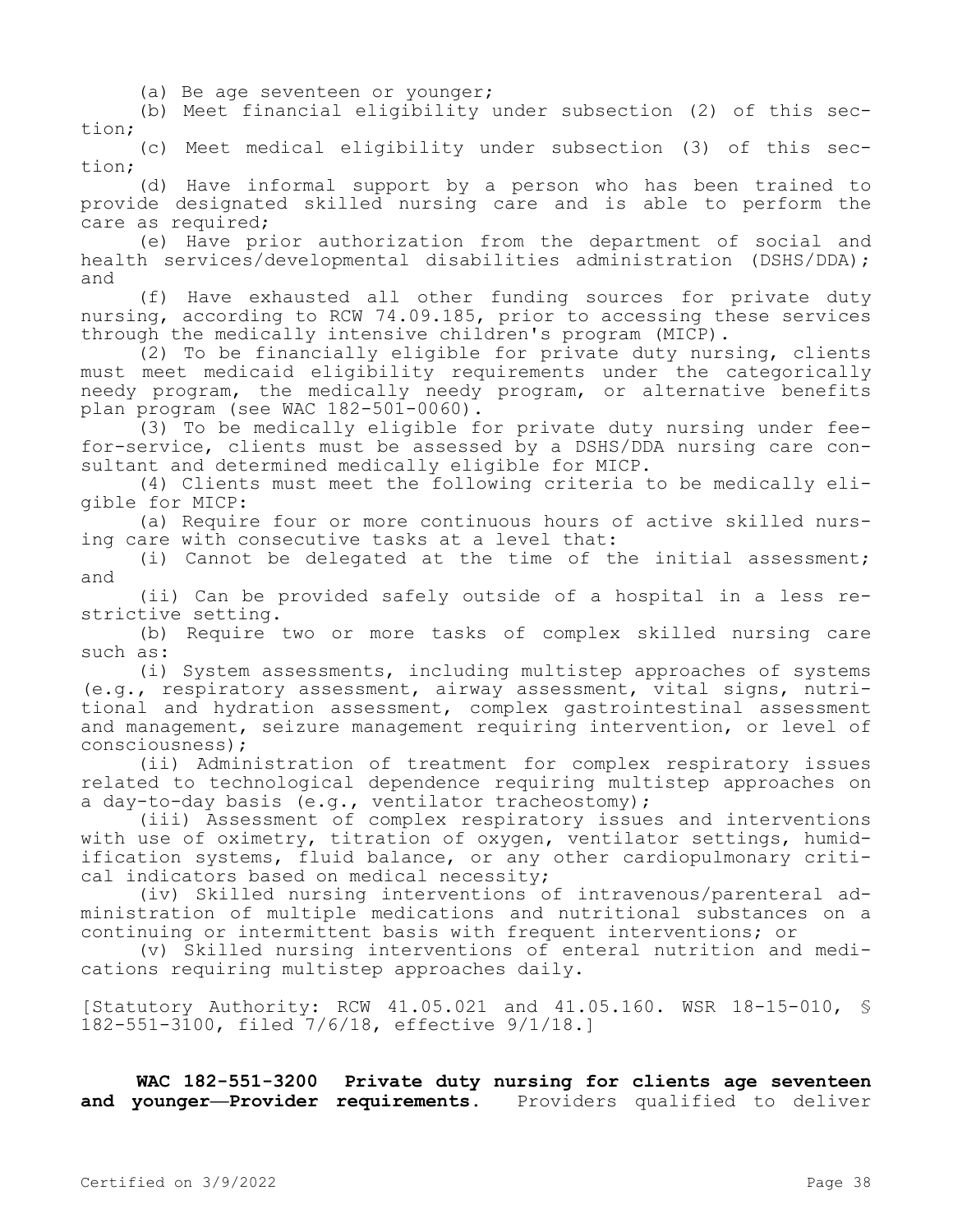(a) Be age seventeen or younger;

(b) Meet financial eligibility under subsection (2) of this section;

(c) Meet medical eligibility under subsection (3) of this section;

(d) Have informal support by a person who has been trained to provide designated skilled nursing care and is able to perform the care as required;

(e) Have prior authorization from the department of social and health services/developmental disabilities administration (DSHS/DDA); and

(f) Have exhausted all other funding sources for private duty nursing, according to RCW 74.09.185, prior to accessing these services through the medically intensive children's program (MICP).

(2) To be financially eligible for private duty nursing, clients must meet medicaid eligibility requirements under the categorically needy program, the medically needy program, or alternative benefits plan program (see WAC 182-501-0060).

(3) To be medically eligible for private duty nursing under feefor-service, clients must be assessed by a DSHS/DDA nursing care consultant and determined medically eligible for MICP.

(4) Clients must meet the following criteria to be medically eligible for MICP:

(a) Require four or more continuous hours of active skilled nursing care with consecutive tasks at a level that:

(i) Cannot be delegated at the time of the initial assessment; and

(ii) Can be provided safely outside of a hospital in a less restrictive setting.

(b) Require two or more tasks of complex skilled nursing care such as:

(i) System assessments, including multistep approaches of systems (e.g., respiratory assessment, airway assessment, vital signs, nutritional and hydration assessment, complex gastrointestinal assessment and management, seizure management requiring intervention, or level of consciousness);

(ii) Administration of treatment for complex respiratory issues related to technological dependence requiring multistep approaches on a day-to-day basis (e.g., ventilator tracheostomy);

(iii) Assessment of complex respiratory issues and interventions with use of oximetry, titration of oxygen, ventilator settings, humidification systems, fluid balance, or any other cardiopulmonary critical indicators based on medical necessity;

(iv) Skilled nursing interventions of intravenous/parenteral administration of multiple medications and nutritional substances on a continuing or intermittent basis with frequent interventions; or

(v) Skilled nursing interventions of enteral nutrition and medications requiring multistep approaches daily.

[Statutory Authority: RCW 41.05.021 and 41.05.160. WSR 18-15-010, § 182-551-3100, filed 7/6/18, effective 9/1/18.]

**WAC 182-551-3200 Private duty nursing for clients age seventeen and younger—Provider requirements.** Providers qualified to deliver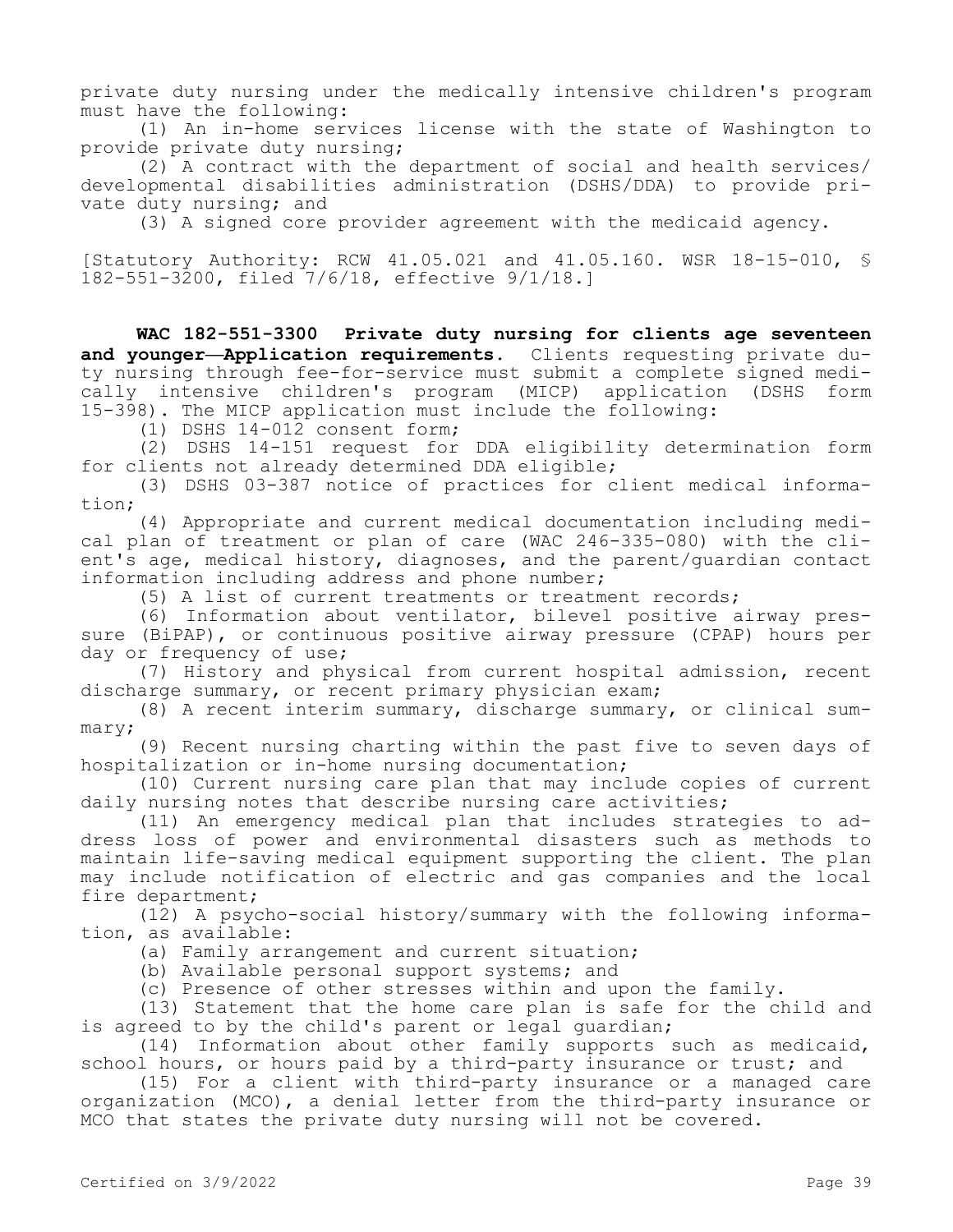private duty nursing under the medically intensive children's program must have the following:

(1) An in-home services license with the state of Washington to provide private duty nursing;

(2) A contract with the department of social and health services/ developmental disabilities administration (DSHS/DDA) to provide private duty nursing; and

(3) A signed core provider agreement with the medicaid agency.

[Statutory Authority: RCW 41.05.021 and 41.05.160. WSR 18-15-010, § 182-551-3200, filed 7/6/18, effective 9/1/18.]

**WAC 182-551-3300 Private duty nursing for clients age seventeen and younger—Application requirements.** Clients requesting private duty nursing through fee-for-service must submit a complete signed medically intensive children's program (MICP) application (DSHS form 15-398). The MICP application must include the following:

(1) DSHS 14-012 consent form;

(2) DSHS 14-151 request for DDA eligibility determination form for clients not already determined DDA eligible;

(3) DSHS 03-387 notice of practices for client medical information;

(4) Appropriate and current medical documentation including medical plan of treatment or plan of care (WAC 246-335-080) with the client's age, medical history, diagnoses, and the parent/guardian contact information including address and phone number;

(5) A list of current treatments or treatment records;

(6) Information about ventilator, bilevel positive airway pressure (BiPAP), or continuous positive airway pressure (CPAP) hours per day or frequency of use;

(7) History and physical from current hospital admission, recent discharge summary, or recent primary physician exam;

(8) A recent interim summary, discharge summary, or clinical summary;

(9) Recent nursing charting within the past five to seven days of hospitalization or in-home nursing documentation;

(10) Current nursing care plan that may include copies of current daily nursing notes that describe nursing care activities;

(11) An emergency medical plan that includes strategies to address loss of power and environmental disasters such as methods to maintain life-saving medical equipment supporting the client. The plan may include notification of electric and gas companies and the local fire department;

(12) A psycho-social history/summary with the following information, as available:

(a) Family arrangement and current situation;

(b) Available personal support systems; and

(c) Presence of other stresses within and upon the family.

(13) Statement that the home care plan is safe for the child and is agreed to by the child's parent or legal guardian;

(14) Information about other family supports such as medicaid, school hours, or hours paid by a third-party insurance or trust; and

(15) For a client with third-party insurance or a managed care organization (MCO), a denial letter from the third-party insurance or MCO that states the private duty nursing will not be covered.